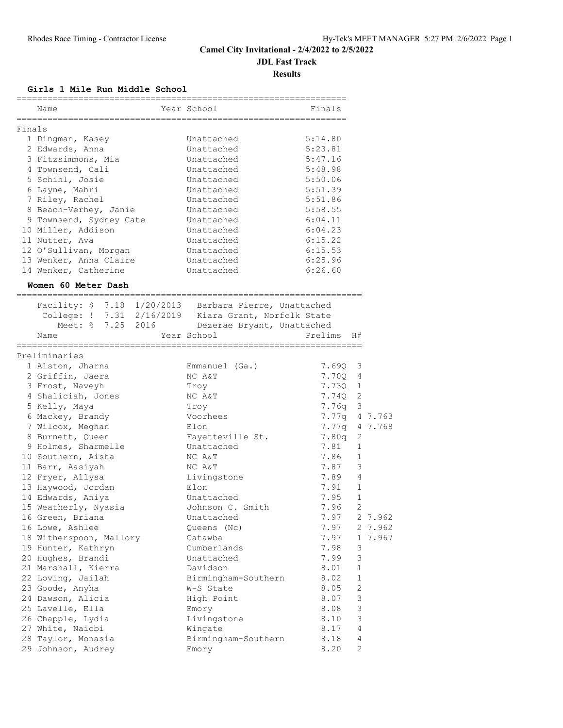#### **JDL Fast Track**

**Results**

#### **Girls 1 Mile Run Middle School**

|        | Name                                                                 | Year School                | Finals  |                |         |
|--------|----------------------------------------------------------------------|----------------------------|---------|----------------|---------|
| Finals |                                                                      |                            |         |                |         |
|        | 1 Dingman, Kasey                                                     | Unattached                 | 5:14.80 |                |         |
|        | 2 Edwards, Anna                                                      | Unattached                 | 5:23.81 |                |         |
|        | 3 Fitzsimmons, Mia                                                   | Unattached                 | 5:47.16 |                |         |
|        | 4 Townsend, Cali                                                     | Unattached                 | 5:48.98 |                |         |
|        | 5 Schihl, Josie                                                      | Unattached                 | 5:50.06 |                |         |
|        | 6 Layne, Mahri                                                       | Unattached                 | 5:51.39 |                |         |
|        | 7 Riley, Rachel                                                      | Unattached                 | 5:51.86 |                |         |
|        | 8 Beach-Verhey, Janie                                                | Unattached                 | 5:58.55 |                |         |
|        | 9 Townsend, Sydney Cate                                              | Unattached                 | 6:04.11 |                |         |
|        | 10 Miller, Addison                                                   | Unattached                 | 6:04.23 |                |         |
|        | 11 Nutter, Ava                                                       | Unattached                 | 6:15.22 |                |         |
|        | 12 O'Sullivan, Morgan                                                | Unattached                 | 6:15.53 |                |         |
|        | 13 Wenker, Anna Claire                                               | Unattached                 | 6:25.96 |                |         |
|        | 14 Wenker, Catherine                                                 | Unattached                 | 6:26.60 |                |         |
|        | Women 60 Meter Dash                                                  |                            |         |                |         |
|        | ==========<br>Facility: \$ 7.18 1/20/2013 Barbara Pierre, Unattached |                            |         |                |         |
|        | College: ! 7.31 2/16/2019 Kiara Grant, Norfolk State                 |                            |         |                |         |
|        | Meet: % 7.25 2016                                                    | Dezerae Bryant, Unattached |         |                |         |
|        | Name                                                                 | Year School                | Prelims | H#             |         |
|        | ---------------------                                                |                            |         |                |         |
|        | Preliminaries                                                        |                            |         |                |         |
|        | 1 Alston, Jharna                                                     | Emmanuel (Ga.)             | 7.69Q   | 3              |         |
|        | 2 Griffin, Jaera                                                     | NC A&T                     | 7.70Q   | 4              |         |
|        | 3 Frost, Naveyh                                                      | Troy                       | 7.73Q   | $\mathbf{1}$   |         |
|        | 4 Shaliciah, Jones                                                   | NC A&T                     | 7.74Q   | 2              |         |
|        | 5 Kelly, Maya                                                        | Troy                       | 7.76q   | 3              |         |
|        | 6 Mackey, Brandy                                                     | Voorhees                   | 7.77q   |                | 4 7.763 |
|        | 7 Wilcox, Meghan                                                     | Elon                       | 7.77q   |                | 4 7.768 |
|        | 8 Burnett, Queen                                                     | Fayetteville St.           | 7.80q   | 2              |         |
|        | 9 Holmes, Sharmelle                                                  | Unattached                 | 7.81    | 1              |         |
|        | 10 Southern, Aisha                                                   | NC A&T                     | 7.86    | 1              |         |
|        | 11 Barr, Aasiyah                                                     | NC A&T                     | 7.87    | 3              |         |
|        | 12 Fryer, Allysa                                                     | Livingstone                | 7.89    | 4              |         |
|        | 13 Haywood, Jordan                                                   | Elon                       | 7.91    | $\mathbf{1}$   |         |
|        | 14 Edwards, Aniya                                                    | Unattached                 | 7.95    | $\mathbf 1$    |         |
|        | 15 Weatherly, Nyasia                                                 | Johnson C. Smith           | 7.96    | $\overline{c}$ |         |
|        | 16 Green, Briana                                                     | Unattached                 | 7.97    |                | 2 7.962 |
|        | 16 Lowe, Ashlee                                                      | Queens (Nc)                | 7.97    |                | 2 7.962 |
|        | 18 Witherspoon, Mallory                                              | Catawba                    | 7.97    |                | 1 7.967 |
|        | 19 Hunter, Kathryn                                                   | Cumberlands                | 7.98    | 3              |         |
|        | 20 Hughes, Brandi                                                    | Unattached                 | 7.99    | 3              |         |
|        | 21 Marshall, Kierra                                                  | Davidson                   | 8.01    | $\mathbf 1$    |         |
|        | 22 Loving, Jailah                                                    | Birmingham-Southern        | 8.02    | $\mathbf 1$    |         |
|        | 23 Goode, Anyha                                                      | W-S State                  | 8.05    | 2              |         |
|        | 24 Dawson, Alicia                                                    | High Point                 | 8.07    | 3              |         |
|        | 25 Lavelle, Ella                                                     | Emory                      | 8.08    | $\mathsf 3$    |         |
|        | 26 Chapple, Lydia                                                    | Livingstone                | 8.10    | $\mathsf 3$    |         |
|        | 27 White, Naiobi                                                     | Wingate                    | 8.17    | 4              |         |
|        | 28 Taylor, Monasia                                                   | Birmingham-Southern        | 8.18    | 4              |         |
|        | 29 Johnson, Audrey                                                   | Emory                      | 8.20    | 2              |         |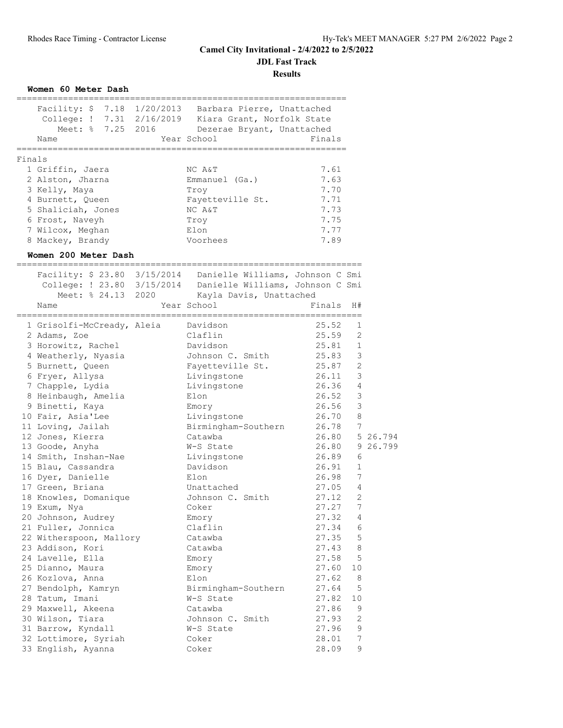**JDL Fast Track**

**Results**

|        | Women 60 Meter Dash                  |                                                                                                                              |                |                |          |
|--------|--------------------------------------|------------------------------------------------------------------------------------------------------------------------------|----------------|----------------|----------|
|        |                                      | Facility: \$7.18 1/20/2013 Barbara Pierre, Unattached                                                                        |                |                |          |
|        |                                      | College: ! 7.31 2/16/2019 Kiara Grant, Norfolk State                                                                         |                |                |          |
|        |                                      | Meet: % 7.25 2016 Dezerae Bryant, Unattached                                                                                 |                |                |          |
|        | Name                                 | Year School                                                                                                                  | Finals         |                |          |
| Finals |                                      |                                                                                                                              |                |                |          |
|        | 1 Griffin, Jaera                     | NC A&T                                                                                                                       | 7.61           |                |          |
|        | 2 Alston, Jharna                     | Emmanuel (Ga.)                                                                                                               | 7.63           |                |          |
|        | 3 Kelly, Maya                        | Troy                                                                                                                         | 7.70           |                |          |
|        | 4 Burnett, Queen                     | Fayetteville St.                                                                                                             | 7.71           |                |          |
|        | 5 Shaliciah, Jones                   | NC A&T                                                                                                                       | 7.73           |                |          |
|        | 6 Frost, Naveyh                      | Troy                                                                                                                         | 7.75           |                |          |
|        | 7 Wilcox, Meghan<br>8 Mackey, Brandy | Elon<br>Voorhees                                                                                                             | 7.77<br>7.89   |                |          |
|        | Women 200 Meter Dash                 |                                                                                                                              |                |                |          |
|        |                                      |                                                                                                                              |                |                |          |
|        |                                      | Facility: \$ 23.80 3/15/2014 Danielle Williams, Johnson C Smi<br>College: ! 23.80 3/15/2014 Danielle Williams, Johnson C Smi |                |                |          |
|        | Meet: % 24.13 2020                   |                                                                                                                              |                |                |          |
|        | Name                                 | Kayla Davis, Unattached<br>Year School                                                                                       | Finals         | H#             |          |
|        |                                      |                                                                                                                              |                |                |          |
|        | 1 Grisolfi-McCready, Aleia           | Davidson                                                                                                                     | 25.52<br>25.59 | 1              |          |
|        | 2 Adams, Zoe<br>3 Horowitz, Rachel   | Claflin<br>Davidson                                                                                                          | 25.81          | 2<br>1         |          |
|        | 4 Weatherly, Nyasia                  | Johnson C. Smith                                                                                                             | 25.83          | 3              |          |
|        | 5 Burnett, Queen                     | Fayetteville St.                                                                                                             | 25.87          | 2              |          |
|        | 6 Fryer, Allysa                      | Livingstone                                                                                                                  | 26.11          | 3              |          |
|        | 7 Chapple, Lydia                     | Livingstone                                                                                                                  | 26.36          | $\overline{4}$ |          |
|        | 8 Heinbaugh, Amelia                  | Elon                                                                                                                         | 26.52          | $\mathcal{E}$  |          |
|        | 9 Binetti, Kaya                      | Emory                                                                                                                        | 26.56          | 3              |          |
|        | 10 Fair, Asia'Lee                    | Livingstone                                                                                                                  | 26.70          | 8              |          |
|        | 11 Loving, Jailah                    | Birmingham-Southern                                                                                                          | 26.78          | 7              |          |
|        | 12 Jones, Kierra                     | Catawba                                                                                                                      | 26.80          |                | 5 26.794 |
|        | 13 Goode, Anyha                      | W-S State                                                                                                                    | 26.80          |                | 9 26.799 |
|        | 14 Smith, Inshan-Nae                 | Livingstone                                                                                                                  | 26.89          | 6              |          |
|        | 15 Blau, Cassandra                   | Davidson                                                                                                                     | 26.91          | 1              |          |
|        | 16 Dyer, Danielle                    | Elon                                                                                                                         | 26.98          | 7              |          |
|        | 17 Green, Briana                     | Unattached                                                                                                                   | 27.05          | 4              |          |
|        | 18 Knowles, Domanique                | Johnson C. Smith                                                                                                             | 27.12          | 2              |          |
|        | 19 Exum, Nya                         | Coker                                                                                                                        | 27.27          | 7              |          |
|        | 20 Johnson, Audrey                   | Emory                                                                                                                        | 27.32          | 4              |          |
|        | 21 Fuller, Jonnica                   | Claflin                                                                                                                      | 27.34          | 6              |          |
|        | 22 Witherspoon, Mallory              | Catawba                                                                                                                      | 27.35          | 5              |          |
|        | 23 Addison, Kori                     | Catawba                                                                                                                      | 27.43          | 8              |          |
|        | 24 Lavelle, Ella                     | Emory                                                                                                                        | 27.58          | 5              |          |
|        | 25 Dianno, Maura<br>26 Kozlova, Anna | Emory<br>Elon                                                                                                                | 27.60<br>27.62 | 10<br>8        |          |
|        | 27 Bendolph, Kamryn                  | Birmingham-Southern                                                                                                          | 27.64          | 5              |          |
|        | 28 Tatum, Imani                      | W-S State                                                                                                                    | 27.82          | 10             |          |
|        | 29 Maxwell, Akeena                   | Catawba                                                                                                                      | 27.86          | 9              |          |
|        | 30 Wilson, Tiara                     | Johnson C. Smith                                                                                                             | 27.93          | $\mathbf{2}$   |          |
|        | 31 Barrow, Kyndall                   | W-S State                                                                                                                    | 27.96          | 9              |          |
|        | 32 Lottimore, Syriah                 | Coker                                                                                                                        | 28.01          | 7              |          |
|        | 33 English, Ayanna                   | Coker                                                                                                                        | 28.09          | 9              |          |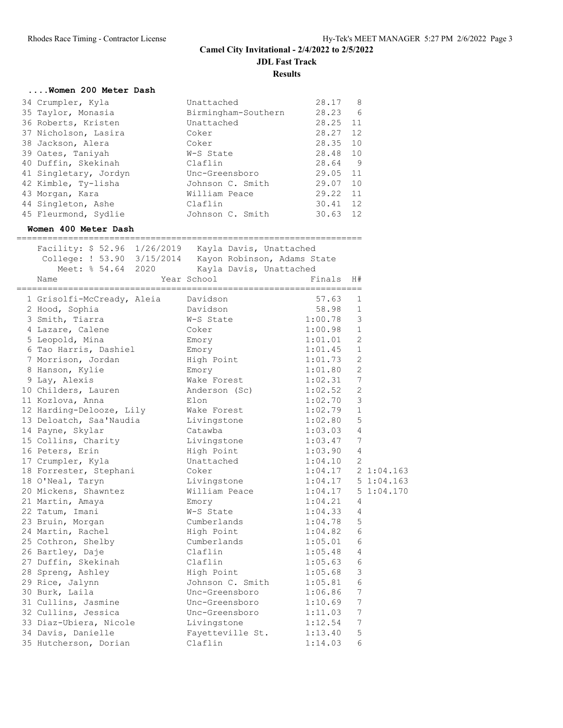| Unattached          | 28.17    | 8   |
|---------------------|----------|-----|
| Birmingham-Southern | 28.23    | 6   |
| Unattached          | 28.25    | 11  |
| Coker               | 28.27    | 12  |
| Coker               | 28.35    | 10  |
| W-S State           | 28.48    | 10  |
| Claflin             | 28.64    | - 9 |
| Unc-Greensboro      | 29.05 11 |     |
| Johnson C. Smith    | 29.07    | 10  |
| William Peace       | 29.22    | 11  |
| Claflin             | 30.41    | 12  |
| Johnson C. Smith    | 30.63    | 12  |
|                     |          |     |

#### **Women 400 Meter Dash**

| Facility: \$ 52.96 1/26/2019 Kayla Davis, Unattached<br>College: ! 53.90 3/15/2014 Kayon Robinson, Adams State<br>Meet: % 54.64 2020 | Kayla Davis, Unattached  |                      |                 |           |
|--------------------------------------------------------------------------------------------------------------------------------------|--------------------------|----------------------|-----------------|-----------|
| Name                                                                                                                                 | Year School              | Finals               | H#              |           |
| 1 Grisolfi-McCready, Aleia                                                                                                           | Davidson                 | 57.63                | 1               |           |
| 2 Hood, Sophia                                                                                                                       | Davidson                 | 58.98                | 1               |           |
| 3 Smith, Tiarra                                                                                                                      | W-S State                | 1:00.78              | 3               |           |
| 4 Lazare, Calene                                                                                                                     | Coker                    | 1:00.98              | $\mathbf{1}$    |           |
| 5 Leopold, Mina                                                                                                                      | Emory                    | 1:01.01              | $\overline{2}$  |           |
| 6 Tao Harris, Dashiel                                                                                                                | Emory                    | 1:01.45              | $\mathbf{1}$    |           |
| 7 Morrison, Jordan                                                                                                                   | High Point               | 1:01.73              | $\overline{c}$  |           |
| 8 Hanson, Kylie                                                                                                                      | Emory                    | 1:01.80              | $\overline{2}$  |           |
| 9 Lay, Alexis                                                                                                                        | Wake Forest              | 1:02.31              | 7               |           |
| 10 Childers, Lauren                                                                                                                  | Anderson (Sc) 1:02.52    |                      | $\overline{2}$  |           |
| 11 Kozlova, Anna                                                                                                                     | Elon                     | 1:02.70              | 3               |           |
| 12 Harding-Delooze, Lily                                                                                                             | Wake Forest              | 1:02.79              | $\mathbf{1}$    |           |
| 13 Deloatch, Saa'Naudia                                                                                                              | Livingstone              | 1:02.80              | 5               |           |
| 14 Payne, Skylar                                                                                                                     | Catawba                  | 1:03.03              | 4               |           |
| 15 Collins, Charity                                                                                                                  | Livingstone              | 1:03.47              | 7               |           |
| 16 Peters, Erin                                                                                                                      | High Point               | 1:03.90              | $\overline{4}$  |           |
| 17 Crumpler, Kyla                                                                                                                    | Unattached               | 1:04.10              | $\overline{c}$  |           |
| 18 Forrester, Stephani                                                                                                               | Coker                    | $1:04.17$ 2 1:04.163 |                 |           |
| 18 O'Neal, Taryn                                                                                                                     | Livingstone              | 1:04.17              |                 | 51:04.163 |
| 20 Mickens, Shawntez                                                                                                                 | William Peace 1:04.17    |                      |                 | 51:04.170 |
| 21 Martin, Amaya                                                                                                                     | Emory                    | 1:04.21              | 4               |           |
| 22 Tatum, Imani                                                                                                                      | W-S State                | 1:04.33              | $\overline{4}$  |           |
| 23 Bruin, Morgan                                                                                                                     | Cumberlands              | 1:04.78              | 5               |           |
| 24 Martin, Rachel                                                                                                                    | High Point               | 1:04.82              | 6               |           |
| 25 Cothron, Shelby                                                                                                                   | Cumberlands              | 1:05.01              | 6               |           |
| 26 Bartley, Daje                                                                                                                     | Claflin                  | 1:05.48              | 4               |           |
| 27 Duffin, Skekinah                                                                                                                  | Claflin                  | 1:05.63              | 6               |           |
| 28 Spreng, Ashley                                                                                                                    | High Point               | 1:05.68              | 3               |           |
| 29 Rice, Jalynn                                                                                                                      | Johnson C. Smith         | 1:05.81              | 6               |           |
| 30 Burk, Laila                                                                                                                       | Unc-Greensboro           | 1:06.86              | 7               |           |
| 31 Cullins, Jasmine                                                                                                                  | Unc-Greensboro           | 1:10.69              | $7\phantom{.0}$ |           |
| 32 Cullins, Jessica                                                                                                                  | Unc-Greensboro           | 1:11.03              | 7               |           |
| 33 Diaz-Ubiera, Nicole                                                                                                               | Livingstone              | 1:12.54              | 7               |           |
| 34 Davis, Danielle                                                                                                                   | Fayetteville St. 1:13.40 |                      | 5               |           |
| 35 Hutcherson, Dorian                                                                                                                | Claflin                  | 1:14.03              | 6               |           |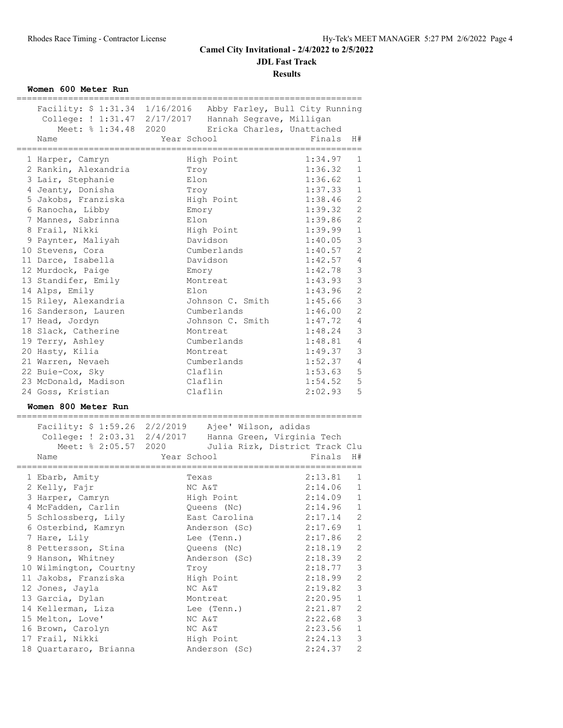**JDL Fast Track**

**Results**

**Women 600 Meter Run**

| Meet: % 1:34.48 2020<br>Name                        | Facility: \$ 1:31.34 1/16/2016 Abby Farley, Bull City Running<br>College: ! 1:31.47 2/17/2017 Hannah Segrave, Milligan<br>Ericka Charles, Unattached<br>Year School | Finals      | H#                        |
|-----------------------------------------------------|---------------------------------------------------------------------------------------------------------------------------------------------------------------------|-------------|---------------------------|
| 1 Harper, Camryn                                    | High Point                                                                                                                                                          | 1:34.97     | 1                         |
| 2 Rankin, Alexandria                                | Troy                                                                                                                                                                | 1:36.32     | $\mathbf{1}$              |
| 3 Lair, Stephanie                                   | Elon                                                                                                                                                                | 1:36.62     | $\mathbf{1}$              |
| 4 Jeanty, Donisha                                   | Troy                                                                                                                                                                | 1:37.33     | $\mathbf{1}$              |
| 5 Jakobs, Franziska                                 | High Point                                                                                                                                                          | 1:38.46     | $\mathbf{2}$              |
| 6 Ranocha, Libby                                    | Emory                                                                                                                                                               | 1:39.32     | 2                         |
| 7 Mannes, Sabrinna                                  | Elon                                                                                                                                                                | 1:39.86     | $\overline{2}$            |
| 8 Frail, Nikki                                      | High Point                                                                                                                                                          | 1:39.99     | $\mathbf 1$               |
| 9 Paynter, Maliyah                                  | Davidson                                                                                                                                                            | 1:40.05     | 3                         |
| 10 Stevens, Cora                                    | Cumberlands                                                                                                                                                         | 1:40.57     | $\overline{2}$            |
| 11 Darce, Isabella                                  | Davidson                                                                                                                                                            | 1:42.57     | $\overline{4}$            |
| 12 Murdock, Paige                                   | Emory                                                                                                                                                               | 1:42.78     | $\ensuremath{\mathsf{3}}$ |
| 13 Standifer, Emily                                 | Montreat                                                                                                                                                            | 1:43.93     | 3                         |
| 14 Alps, Emily                                      | Elon                                                                                                                                                                | 1:43.96     | $\overline{c}$            |
| 15 Riley, Alexandria                                | Johnson C. Smith                                                                                                                                                    | 1:45.66     | $\mathfrak{Z}$            |
| 16 Sanderson, Lauren                                | Cumberlands                                                                                                                                                         | 1:46.00     | $\overline{2}$            |
| 17 Head, Jordyn                                     | Johnson C. Smith                                                                                                                                                    | 1:47.72     | $\overline{4}$            |
| 18 Slack, Catherine                                 | Montreat                                                                                                                                                            | 1:48.24     | 3                         |
| 19 Terry, Ashley                                    | Cumberlands                                                                                                                                                         | 1:48.81     | $\overline{4}$            |
| 20 Hasty, Kilia                                     | Montreat                                                                                                                                                            | 1:49.37     | $\mathfrak{Z}$            |
| 21 Warren, Nevaeh                                   | Cumberlands                                                                                                                                                         | 1:52.37     | 4                         |
| 22 Buie-Cox, Sky                                    | Claflin                                                                                                                                                             | 1:53.63     | $\mathbf 5$               |
| 23 McDonald, Madison                                | Claflin                                                                                                                                                             | 1:54.52     | $\mathbf 5$               |
| 24 Goss, Kristian                                   | Claflin                                                                                                                                                             | 2:02.93     | 5                         |
| Women 800 Meter Run<br>Meet: % 2:05.57 2020<br>Name | Facility: \$ 1:59.26 2/2/2019 Ajee' Wilson, adidas<br>College: ! 2:03.31 2/4/2017 Hanna Green, Virginia Tech<br>Julia Rizk, District Track Clu<br>Year School       | Finals      | H#                        |
| 1 Ebarb, Amity                                      | Texas                                                                                                                                                               | 2:13.81     | -------                   |
| 2 Kelly, Fajr                                       | NC A&T                                                                                                                                                              | 2:14.06     | 1                         |
| 3 Harper, Camryn                                    | High Point                                                                                                                                                          | 2:14.09     | $\mathbf{1}$              |
| 4 McFadden, Carlin                                  | Queens (Nc)                                                                                                                                                         | $2:14.96$ 1 | $\mathbf{1}$              |
| 5 Schlossberg, Lily                                 | East Carolina                                                                                                                                                       | 2:17.14     | 2                         |
| 6 Osterbind, Kamryn                                 | Anderson (Sc)                                                                                                                                                       | 2:17.69     | $\mathbf{1}$              |
| 7 Hare, Lily                                        | Lee (Tenn.)                                                                                                                                                         | 2:17.86     | 2                         |
| 8 Pettersson, Stina                                 | Queens (Nc)                                                                                                                                                         | 2:18.19     | $\mathbf{2}$              |
| 9 Hanson, Whitney                                   | Anderson (Sc)                                                                                                                                                       | 2:18.39     | $\overline{c}$            |
| 10 Wilmington, Courtny                              | Troy                                                                                                                                                                | 2:18.77     | $\mathfrak{Z}$            |
| 11 Jakobs, Franziska                                | High Point                                                                                                                                                          | 2:18.99     | $\mathbf{2}$              |
| 12 Jones, Jayla                                     | NC A&T                                                                                                                                                              | 2:19.82     | 3                         |
| 13 Garcia, Dylan                                    | Montreat                                                                                                                                                            | 2:20.95     | $\mathbf 1$               |
| 14 Kellerman, Liza                                  | Lee (Tenn.)                                                                                                                                                         | 2:21.87     | $\mathbf{2}$              |
| 15 Melton, Love'                                    | NC A&T                                                                                                                                                              | 2:22.68     | 3                         |
| 16 Brown, Carolyn                                   | NC A&T                                                                                                                                                              | 2:23.56     | $\mathbf{1}$              |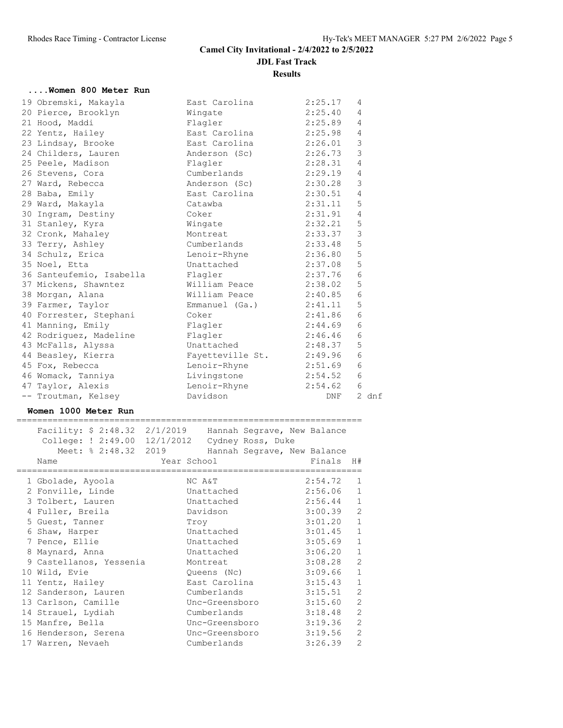**Results**

#### **....Women 800 Meter Run**

|  | 19 Obremski, Makayla             | East Carolina            | 2:25.17 | 4              |            |
|--|----------------------------------|--------------------------|---------|----------------|------------|
|  | 20 Pierce, Brooklyn              | Wingate                  | 2:25.40 | 4              |            |
|  | 21 Hood, Maddi                   | Flagler                  | 2:25.89 | 4              |            |
|  | 22 Yentz, Hailey                 | East Carolina            | 2:25.98 | $\overline{4}$ |            |
|  | 23 Lindsay, Brooke               | East Carolina            | 2:26.01 | $\mathsf 3$    |            |
|  | 24 Childers, Lauren              | Anderson (Sc) 2:26.73    |         | 3              |            |
|  | 25 Peele, Madison                | Flagler                  | 2:28.31 | 4              |            |
|  | 26 Stevens, Cora                 | Cumberlands              | 2:29.19 | 4              |            |
|  | 27 Ward, Rebecca                 | Anderson (Sc)            | 2:30.28 | $\mathsf 3$    |            |
|  | 28 Baba, Emily                   | East Carolina 2:30.51    |         | $\overline{4}$ |            |
|  | 29 Ward, Makayla                 | Catawba                  | 2:31.11 | 5              |            |
|  | 30 Ingram, Destiny               | Coker                    | 2:31.91 | $\overline{4}$ |            |
|  | 31 Stanley, Kyra                 | Wingate                  | 2:32.21 | 5              |            |
|  | 32 Cronk, Mahaley                | Montreat                 | 2:33.37 | $\mathfrak{Z}$ |            |
|  | 33 Terry, Ashley                 | Cumberlands              | 2:33.48 | 5              |            |
|  | 34 Schulz, Erica                 | Lenoir-Rhyne             | 2:36.80 | 5              |            |
|  | 35 Noel, Etta                    | Unattached               | 2:37.08 | 5              |            |
|  | 36 Santeufemio, Isabella Flagler |                          | 2:37.76 | $\epsilon$     |            |
|  | 37 Mickens, Shawntez             | William Peace            | 2:38.02 | 5              |            |
|  | 38 Morgan, Alana                 | William Peace 2:40.85    |         | $\sqrt{6}$     |            |
|  | 39 Farmer, Taylor                | Emmanuel (Ga.) 2:41.11   |         | $\mathbf 5$    |            |
|  | 40 Forrester, Stephani           | Coker                    | 2:41.86 | $\sqrt{6}$     |            |
|  | 41 Manning, Emily                | Flagler                  | 2:44.69 | $\epsilon$     |            |
|  | 42 Rodriguez, Madeline           | Flagler                  | 2:46.46 | $\epsilon$     |            |
|  | 43 McFalls, Alyssa               | Unattached               | 2:48.37 | $\mathsf S$    |            |
|  | 44 Beasley, Kierra               | Fayetteville St. 2:49.96 |         | $\epsilon$     |            |
|  | 45 Fox, Rebecca                  | Lenoir-Rhyne             | 2:51.69 | $\epsilon$     |            |
|  | 46 Womack, Tanniya               | Livingstone              | 2:54.52 | $\epsilon$     |            |
|  | 47 Taylor, Alexis                | Lenoir-Rhyne             | 2:54.62 | 6              |            |
|  | -- Troutman, Kelsey              | Davidson                 | DNF     |                | $2 \, dnf$ |

## **Women 1000 Meter Run**

=================================================================== Facility: \$ 2:48.32 2/1/2019 Hannah Segrave, New Balance

| $r_{\text{d}}$ and $r_{\text{d}}$ , $r_{\text{d}}$ , $r_{\text{d}}$ , $r_{\text{d}}$ , $r_{\text{d}}$ , $r_{\text{d}}$ , $r_{\text{d}}$ , $r_{\text{d}}$ , $r_{\text{d}}$ , $r_{\text{d}}$ , $r_{\text{d}}$ , $r_{\text{d}}$ , $r_{\text{d}}$ , $r_{\text{d}}$ , $r_{\text{d}}$ , $r_{\text{d}}$ , $r_{\text{d}}$ , $r_{\text{d}}$ , $r_{\text{d}}$<br>College: $! 2:49.00 12/1/2012$ Cydney Ross, Duke |             |                |                                 |             |                |
|---------------------------------------------------------------------------------------------------------------------------------------------------------------------------------------------------------------------------------------------------------------------------------------------------------------------------------------------------------------------------------------------------------|-------------|----------------|---------------------------------|-------------|----------------|
| Meet: % 2:48.32 2019                                                                                                                                                                                                                                                                                                                                                                                    |             |                | Hannah Segrave, New Balance     |             |                |
| Name<br>=================================                                                                                                                                                                                                                                                                                                                                                               | Year School |                | =============================== | Finals      | H#             |
| 1 Gbolade, Ayoola                                                                                                                                                                                                                                                                                                                                                                                       |             | NC A&T         |                                 | 2:54.72     | 1              |
| 2 Fonville, Linde                                                                                                                                                                                                                                                                                                                                                                                       |             | Unattached     |                                 | $2:56.06$ 1 |                |
| 3 Tolbert, Lauren                                                                                                                                                                                                                                                                                                                                                                                       |             | Unattached     |                                 | $2:56.44$ 1 |                |
| 4 Fuller, Breila                                                                                                                                                                                                                                                                                                                                                                                        |             | Davidson       |                                 | 3:00.39     | $\overline{c}$ |
| 5 Guest, Tanner                                                                                                                                                                                                                                                                                                                                                                                         |             | Troy           |                                 | 3:01.20 1   |                |
| 6 Shaw, Harper                                                                                                                                                                                                                                                                                                                                                                                          |             | Unattached     |                                 | $3:01.45$ 1 |                |
| 7 Pence, Ellie                                                                                                                                                                                                                                                                                                                                                                                          |             | Unattached     |                                 | 3:05.69     | $1\,$          |
| 8 Maynard, Anna                                                                                                                                                                                                                                                                                                                                                                                         |             | Unattached     |                                 | 3:06.20 1   |                |
| 9 Castellanos, Yessenia                                                                                                                                                                                                                                                                                                                                                                                 |             | Montreat       |                                 | 3:08.28     | $\mathbf{2}$   |
| 10 Wild, Evie                                                                                                                                                                                                                                                                                                                                                                                           |             | Queens (Nc)    |                                 | $3:09.66$ 1 |                |
| 11 Yentz, Hailey                                                                                                                                                                                                                                                                                                                                                                                        |             | East Carolina  |                                 | 3:15.43     | $\,1\,$        |
| 12 Sanderson, Lauren                                                                                                                                                                                                                                                                                                                                                                                    |             | Cumberlands    |                                 | 3:15.51     | $\sqrt{2}$     |
| 13 Carlson, Camille                                                                                                                                                                                                                                                                                                                                                                                     |             | Unc-Greensboro |                                 | 3:15.60     | $\mathbf{2}$   |
| 14 Strauel, Lydiah                                                                                                                                                                                                                                                                                                                                                                                      |             | Cumberlands    |                                 | 3:18.48     | $\mathbf{2}$   |
| 15 Manfre, Bella                                                                                                                                                                                                                                                                                                                                                                                        |             | Unc-Greensboro |                                 | 3:19.36     | $\sqrt{2}$     |
| 16 Henderson, Serena                                                                                                                                                                                                                                                                                                                                                                                    |             | Unc-Greensboro |                                 | 3:19.56     | $\mathbf{2}$   |
| 17 Warren, Nevaeh                                                                                                                                                                                                                                                                                                                                                                                       |             | Cumberlands    |                                 | 3:26.39     | $\mathbf{2}$   |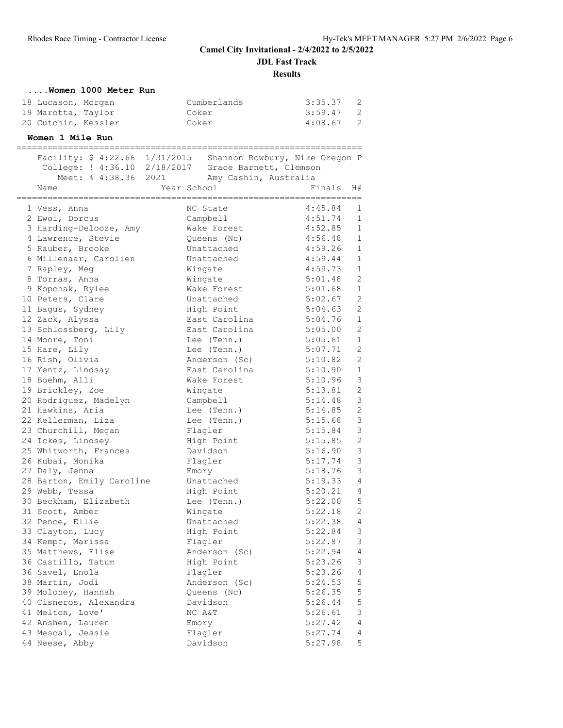**Results**

| Women 1000 Meter Run           |                                                               |                                      |
|--------------------------------|---------------------------------------------------------------|--------------------------------------|
| 18 Lucason, Morgan             | Cumberlands                                                   | 3:35.37<br>2                         |
| 19 Marotta, Taylor             | Coker                                                         | 3:59.47<br>$\mathbf{2}$              |
| 20 Cutchin, Kessler            | Coker                                                         | 4:08.67<br>2                         |
|                                |                                                               |                                      |
| Women 1 Mile Run               |                                                               |                                      |
|                                | Facility: \$ 4:22.66 1/31/2015 Shannon Rowbury, Nike Oregon P |                                      |
|                                | College: ! 4:36.10 2/18/2017 Grace Barnett, Clemson           |                                      |
| Meet: % 4:38.36 2021           | Amy Cashin, Australia                                         |                                      |
| Name                           | Year School                                                   | Finals<br>H#                         |
|                                | NC State                                                      | 4:45.84<br>1                         |
| 1 Vess, Anna<br>2 Ewoi, Dorcus | Campbell                                                      | 4:51.74<br>1                         |
| 3 Harding-Delooze, Amy         | Wake Forest                                                   | 4:52.85<br>1                         |
| 4 Lawrence, Stevie             | Queens (Nc)                                                   | 4:56.48<br>1                         |
| 5 Rauber, Brooke               | Unattached                                                    | 4:59.26<br>1                         |
| 6 Millenaar, Carolien          | Unattached                                                    | $\mathbf{1}$<br>4:59.44              |
| 7 Rapley, Meg                  | Wingate                                                       | 4:59.73<br>$\mathbf{1}$              |
| 8 Torras, Anna                 | Wingate                                                       | 5:01.48<br>2                         |
| 9 Kopchak, Rylee               | Wake Forest                                                   | 5:01.68<br>1                         |
| 10 Peters, Clare               | Unattached                                                    | 5:02.67<br>2                         |
| 11 Bagus, Sydney               | High Point                                                    | 2<br>5:04.63                         |
| 12 Zack, Alyssa                | East Carolina                                                 | 1<br>5:04.76                         |
| 13 Schlossberg, Lily           | East Carolina                                                 | 2<br>5:05.00                         |
|                                | Lee (Tenn.)                                                   | 5:05.61<br>1                         |
| 14 Moore, Toni                 |                                                               | $\overline{c}$<br>5:07.71            |
| 15 Hare, Lily                  | Lee (Tenn.)                                                   | $\mathbf{2}$<br>5:10.82              |
| 16 Rish, Olivia                | Anderson (Sc)                                                 |                                      |
| 17 Yentz, Lindsay              | East Carolina                                                 | 1<br>5:10.90                         |
| 18 Boehm, Alli                 | Wake Forest                                                   | $\mathsf 3$<br>5:10.96               |
| 19 Brickley, Zoe               | Wingate                                                       | $\mathbf{2}$<br>5:13.81              |
| 20 Rodriguez, Madelyn          | Campbell                                                      | 3<br>5:14.48                         |
| 21 Hawkins, Aria               | Lee (Tenn.)                                                   | $\mathbf{2}$<br>5:14.85              |
| 22 Kellerman, Liza             | Lee (Tenn.)                                                   | 3<br>5:15.68                         |
| 23 Churchill, Megan            | Flagler                                                       | 3<br>5:15.84                         |
| 24 Ickes, Lindsey              | High Point                                                    | $\mathbf{2}$<br>5:15.85              |
| 25 Whitworth, Frances          | Davidson                                                      | $\mathsf 3$<br>5:16.90               |
| 26 Kubai, Monika               | Flagler                                                       | $\mathsf 3$<br>5:17.74               |
| 27 Daly, Jenna                 | Emory                                                         | $\mathsf 3$<br>5:18.76               |
| 28 Barton, Emily Caroline      | Unattached                                                    | 4<br>5:19.33                         |
| 29 Webb, Tessa                 | High Point                                                    | 5:20.21<br>$\overline{4}$            |
| 30 Beckham, Elizabeth          | Lee (Tenn.)                                                   | 5:22.00<br>5                         |
| 31 Scott, Amber                | Wingate                                                       | 2<br>5:22.18                         |
| 32 Pence, Ellie                | Unattached                                                    | 5:22.38<br>$\sqrt{4}$                |
| 33 Clayton, Lucy               | High Point                                                    | $\ensuremath{\mathsf{3}}$<br>5:22.84 |
| 34 Kempf, Marissa              | Flagler                                                       | $\ensuremath{\mathsf{3}}$<br>5:22.87 |
| 35 Matthews, Elise             | Anderson (Sc)                                                 | $\sqrt{4}$<br>5:22.94                |
| 36 Castillo, Tatum             | High Point                                                    | 3<br>5:23.26                         |
| 36 Savel, Enola                | Flagler                                                       | $\sqrt{4}$<br>5:23.26                |
| 38 Martin, Jodi                | Anderson (Sc)                                                 | 5<br>5:24.53                         |
| 39 Moloney, Hannah             | Queens (Nc)                                                   | 5<br>5:26.35                         |
| 40 Cisneros, Alexandra         | Davidson                                                      | $\mathsf S$<br>5:26.44               |
| 41 Melton, Love'               | NC A&T                                                        | 3<br>5:26.61                         |
| 42 Anshen, Lauren              | Emory                                                         | $\overline{4}$<br>5:27.42            |
| 43 Mescal, Jessie              | Flagler                                                       | $\sqrt{4}$<br>5:27.74                |
| 44 Neese, Abby                 | Davidson                                                      | 5<br>5:27.98                         |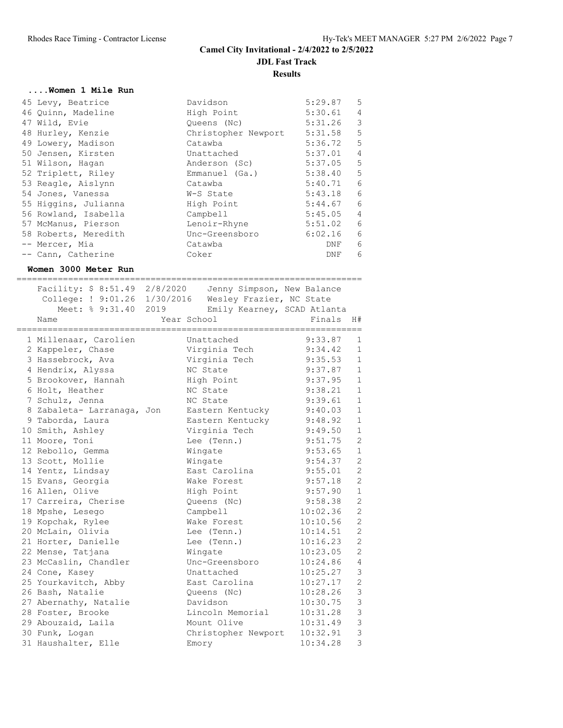## **....Women 1 Mile Run**

| 45 Levy, Beatrice    | Davidson            | 5:29.87 | 5               |
|----------------------|---------------------|---------|-----------------|
| 46 Quinn, Madeline   | High Point          | 5:30.61 | $\overline{4}$  |
| 47 Wild, Evie        | Queens (Nc)         | 5:31.26 | 3               |
| 48 Hurley, Kenzie    | Christopher Newport | 5:31.58 | 5               |
| 49 Lowery, Madison   | Catawba             | 5:36.72 | 5               |
| 50 Jensen, Kirsten   | Unattached          | 5:37.01 | $\overline{4}$  |
| 51 Wilson, Hagan     | Anderson (Sc)       | 5:37.05 | $5\overline{)}$ |
| 52 Triplett, Riley   | Emmanuel (Ga.)      | 5:38.40 | $5^{\circ}$     |
| 53 Reagle, Aislynn   | Catawba             | 5:40.71 | 6               |
| 54 Jones, Vanessa    | W-S State           | 5:43.18 | 6               |
| 55 Higgins, Julianna | High Point          | 5:44.67 | 6               |
| 56 Rowland, Isabella | Campbell            | 5:45.05 | $\overline{4}$  |
| 57 McManus, Pierson  | Lenoir-Rhyne        | 5:51.02 | 6               |
| 58 Roberts, Meredith | Unc-Greensboro      | 6:02.16 | 6               |
| -- Mercer, Mia       | Catawba             | DNF     | 6               |
| -- Cann, Catherine   | Coker               | DNF     | 6               |
|                      |                     |         |                 |

#### **Women 3000 Meter Run**

===================================================================

|  | Facility: \$ 8:51.49 2/8/2020<br>College: ! 9:01.26 1/30/2016<br>Meet: % 9:31.40<br>Name<br>===================== | 2019 | Jenny Simpson, New Balance<br>Wesley Frazier, NC State<br>Emily Kearney, SCAD Atlanta<br>Year School<br>;=========================== | Finals<br>================== | H#             |
|--|-------------------------------------------------------------------------------------------------------------------|------|--------------------------------------------------------------------------------------------------------------------------------------|------------------------------|----------------|
|  | 1 Millenaar, Carolien                                                                                             |      | Unattached                                                                                                                           | 9:33.87                      | $\mathbf{1}$   |
|  | 2 Kappeler, Chase                                                                                                 |      | Virginia Tech                                                                                                                        | 9:34.42                      | $\mathbf{1}$   |
|  | 3 Hassebrock, Ava                                                                                                 |      | Virginia Tech                                                                                                                        | 9:35.53                      | $\mathbf{1}$   |
|  | 4 Hendrix, Alyssa                                                                                                 |      | NC State                                                                                                                             | 9:37.87                      | $\mathbf{1}$   |
|  | 5 Brookover, Hannah                                                                                               |      | High Point                                                                                                                           | 9:37.95                      | $\mathbf{1}$   |
|  | 6 Holt, Heather                                                                                                   |      | NC State                                                                                                                             | 9:38.21                      | $\mathbf{1}$   |
|  | 7 Schulz, Jenna                                                                                                   |      | NC State                                                                                                                             | 9:39.61                      | $\mathbf{1}$   |
|  | 8 Zabaleta- Larranaga, Jon                                                                                        |      | Eastern Kentucky                                                                                                                     | 9:40.03                      | $\mathbf{1}$   |
|  | 9 Taborda, Laura                                                                                                  |      | Eastern Kentucky                                                                                                                     | 9:48.92                      | $\mathbf{1}$   |
|  | 10 Smith, Ashley                                                                                                  |      | Virginia Tech                                                                                                                        | 9:49.50                      | $\mathbf{1}$   |
|  | 11 Moore, Toni                                                                                                    |      | Lee (Tenn.)                                                                                                                          | 9:51.75                      | $\mathbf{2}$   |
|  | 12 Rebollo, Gemma                                                                                                 |      | Wingate                                                                                                                              | 9:53.65                      | $\mathbf{1}$   |
|  | 13 Scott, Mollie                                                                                                  |      | Wingate                                                                                                                              | 9:54.37                      | $\overline{c}$ |
|  | 14 Yentz, Lindsay                                                                                                 |      | East Carolina                                                                                                                        | 9:55.01                      | $\overline{c}$ |
|  | 15 Evans, Georgia                                                                                                 |      | Wake Forest                                                                                                                          | 9:57.18                      | $\overline{c}$ |
|  | 16 Allen, Olive                                                                                                   |      | High Point                                                                                                                           | 9:57.90                      | $\mathbf{1}$   |
|  | 17 Carreira, Cherise                                                                                              |      | Queens (Nc)                                                                                                                          | 9:58.38                      | $\overline{c}$ |
|  | 18 Mpshe, Lesego                                                                                                  |      | Campbell                                                                                                                             | 10:02.36                     | $\overline{c}$ |
|  | 19 Kopchak, Rylee                                                                                                 |      | Wake Forest                                                                                                                          | 10:10.56                     | $\overline{c}$ |
|  | 20 McLain, Olivia                                                                                                 |      | Lee (Tenn.)                                                                                                                          | 10:14.51                     | $\overline{c}$ |
|  | 21 Horter, Danielle                                                                                               |      | Lee (Tenn.)                                                                                                                          | 10:16.23                     | $\overline{c}$ |
|  | 22 Mense, Tatjana                                                                                                 |      | Wingate                                                                                                                              | 10:23.05                     | $\overline{c}$ |
|  | 23 McCaslin, Chandler                                                                                             |      | Unc-Greensboro                                                                                                                       | 10:24.86                     | $\overline{4}$ |
|  | 24 Cone, Kasey                                                                                                    |      | Unattached                                                                                                                           | 10:25.27                     | $\mathfrak{Z}$ |
|  | 25 Yourkavitch, Abby                                                                                              |      | East Carolina                                                                                                                        | 10:27.17                     | $\overline{c}$ |
|  | 26 Bash, Natalie                                                                                                  |      | Queens (Nc)                                                                                                                          | 10:28.26                     | $\mathfrak{Z}$ |
|  | 27 Abernathy, Natalie                                                                                             |      | Davidson                                                                                                                             | 10:30.75                     | $\mathfrak{Z}$ |
|  | 28 Foster, Brooke                                                                                                 |      | Lincoln Memorial                                                                                                                     | 10:31.28                     | $\mathbf{3}$   |
|  | 29 Abouzaid, Laila                                                                                                |      | Mount Olive                                                                                                                          | 10:31.49                     | 3              |
|  | 30 Funk, Logan                                                                                                    |      | Christopher Newport                                                                                                                  | 10:32.91                     | 3              |
|  | 31 Haushalter, Elle                                                                                               |      | Emory                                                                                                                                | 10:34.28                     | 3              |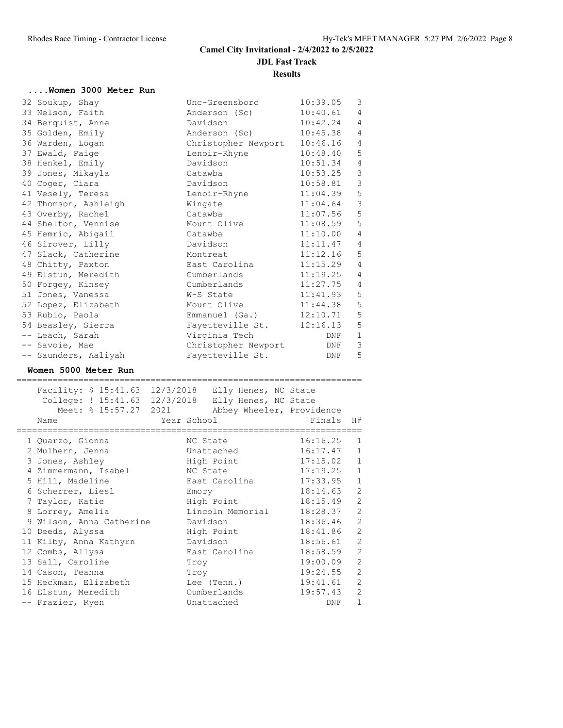| Women 3000 Meter Run |                           |          |                |
|----------------------|---------------------------|----------|----------------|
| 32 Soukup, Shay      | Unc-Greensboro            | 10:39.05 | 3              |
| 33 Nelson, Faith     | Anderson (Sc)             | 10:40.61 | $\overline{4}$ |
| 34 Berquist, Anne    | Davidson                  | 10:42.24 | $\overline{4}$ |
| 35 Golden, Emily     | Anderson (Sc) 10:45.38    |          | $\overline{4}$ |
| 36 Warden, Logan     | Christopher Newport       | 10:46.16 | $\overline{4}$ |
| 37 Ewald, Paige      | Lenoir-Rhyne              | 10:48.40 | 5              |
| 38 Henkel, Emily     | Davidson                  | 10:51.34 | $\overline{4}$ |
| 39 Jones, Mikayla    | Catawba                   | 10:53.25 | 3              |
| 40 Coger, Ciara      | Davidson                  | 10:58.81 | 3              |
| 41 Vesely, Teresa    | Lenoir-Rhyne              | 11:04.39 | 5              |
| 42 Thomson, Ashleigh | Wingate                   | 11:04.64 | 3              |
| 43 Overby, Rachel    | Catawba                   | 11:07.56 | 5              |
| 44 Shelton, Vennise  | Mount Olive               | 11:08.59 | 5              |
| 45 Hemric, Abigail   | Catawba                   | 11:10.00 | $\overline{4}$ |
| 46 Sirover, Lilly    | Davidson                  | 11:11.47 | $\overline{4}$ |
| 47 Slack, Catherine  | Montreat                  | 11:12.16 | 5              |
| 48 Chitty, Paxton    | East Carolina             | 11:15.29 | $\overline{4}$ |
| 49 Elstun, Meredith  | Cumberlands               | 11:19.25 | $\overline{4}$ |
| 50 Forgey, Kinsey    | Cumberlands               | 11:27.75 | $\overline{4}$ |
| 51 Jones, Vanessa    | W-S State                 | 11:41.93 | 5              |
| 52 Lopez, Elizabeth  | Mount Olive               | 11:44.38 | 5              |
| 53 Rubio, Paola      | Emmanuel (Ga.) 12:10.71   |          | 5              |
| 54 Beasley, Sierra   | Fayetteville St. 12:16.13 |          | 5              |
| -- Leach, Sarah      | Virginia Tech             | DNF      | $\mathbf 1$    |
| -- Savoie, Mae       | Christopher Newport       | DNF      | 3              |
| -- Saunders, Aaliyah | Fayetteville St.          | DNF      | 5              |

# **Women 5000 Meter Run**

=================================================================== Facility: \$ 15:41.63 12/3/2018 Elly Henes, NC State

| racility: 9 19:41.05 12/3/2010 Elly Henes, NC State |             |                           |              |                |
|-----------------------------------------------------|-------------|---------------------------|--------------|----------------|
| College: ! 15:41.63 12/3/2018 Elly Henes, NC State  |             |                           |              |                |
| Meet: % 15:57.27 2021                               |             | Abbey Wheeler, Providence |              |                |
| Name                                                | Year School |                           | Finals H#    |                |
| 1 Quarzo, Gionna                                    |             | NC State                  | $16:16.25$ 1 |                |
| 2 Mulhern, Jenna                                    |             | Unattached                | 16:17.47 1   |                |
| 3 Jones, Ashley                                     |             | High Point                | 17:15.02 1   |                |
| 4 Zimmermann, Isabel                                |             | NC State                  | $17:19.25$ 1 |                |
| 5 Hill, Madeline                                    |             | East Carolina             | $17:33.95$ 1 |                |
| 6 Scherrer, Liesl                                   |             | Emory                     | $18:14.63$ 2 |                |
| 7 Taylor, Katie                                     |             | High Point                | $18:15.49$ 2 |                |
| 8 Lorrey, Amelia                                    |             | Lincoln Memorial          | 18:28.37 2   |                |
| 9 Wilson, Anna Catherine                            |             | Davidson                  | 18:36.46 2   |                |
| 10 Deeds, Alyssa                                    |             | High Point                | 18:41.86 2   |                |
| 11 Kilby, Anna Kathyrn                              |             | Davidson                  | $18:56.61$ 2 |                |
| 12 Combs, Allysa                                    |             | East Carolina             | 18:58.59 2   |                |
| 13 Sall, Caroline                                   |             | Troy                      | 19:00.09     | $\overline{2}$ |
| 14 Cason, Teanna                                    |             | Troy                      | 19:24.55 2   |                |
| 15 Heckman, Elizabeth                               |             | Lee (Tenn.)               | 19:41.61 2   |                |
| 16 Elstun, Meredith                                 |             | Cumberlands               | $19:57.43$ 2 |                |
| -- Frazier, Ryen                                    |             | Unattached                | DNF          | $\mathbf{1}$   |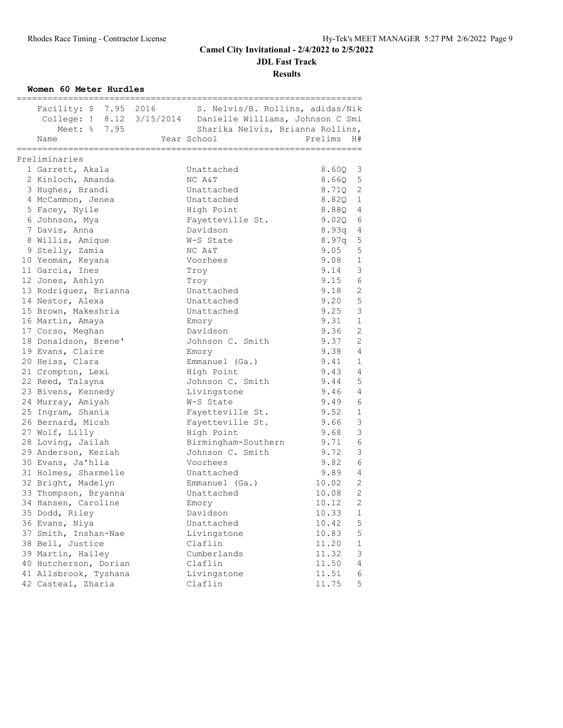**Results**

#### **Women 60 Meter Hurdles**

|                       | Facility: \$ 7.95 2016 S. Nelvis/B. Rollins, adidas/Nik    |                                     |                |
|-----------------------|------------------------------------------------------------|-------------------------------------|----------------|
|                       | College: ! 8.12 3/15/2014 Danielle Williams, Johnson C Smi |                                     |                |
| Meet: % 7.95          | Sharika Nelvis, Brianna Rollins,                           |                                     |                |
| Name                  | Year School                                                | Prelims<br>H#                       |                |
| ===============       |                                                            | ============                        |                |
| Preliminaries         |                                                            |                                     |                |
| 1 Garrett, Akala      | Unattached                                                 | 8.60Q<br>$\overline{\phantom{a}}$   |                |
| 2 Kinloch, Amanda     | NC A&T                                                     | 8.66Q<br>$5^{\circ}$                |                |
| 3 Hughes, Brandi      | Unattached                                                 | $\overline{\phantom{0}}^2$<br>8.710 |                |
| 4 McCammon, Jenea     | Unattached                                                 | 8.82Q                               | $\mathbf{1}$   |
| 5 Facey, Nyile        | High Point                                                 | 8.88Q 4                             |                |
| 6 Johnson, Mya        | Fayetteville St.                                           | 9.02Q                               | 6              |
| 7 Davis, Anna         | Davidson                                                   | 8.93q 4                             |                |
| 8 Willis, Amique      | W-S State                                                  | 8.97q 5                             |                |
|                       |                                                            | 9.05                                | 5              |
| 9 Stelly, Zamia       | NC A&T                                                     | 9.08                                | $\mathbf{1}$   |
| 10 Yeoman, Keyana     | Voorhees                                                   |                                     |                |
| 11 Garcia, Ines       | Troy                                                       | 9.14                                | 3              |
| 12 Jones, Ashlyn      | Troy                                                       | 9.15<br>- 6                         |                |
| 13 Rodriguez, Brianna | Unattached                                                 | 9.18                                | 2              |
| 14 Nestor, Alexa      | Unattached                                                 | 9.20                                | $\overline{5}$ |
| 15 Brown, Makeshria   | Unattached                                                 | 9.25                                | $\mathcal{E}$  |
| 16 Martin, Amaya      | Emory                                                      | 9.31                                | $\mathbf{1}$   |
| 17 Corso, Meghan      | Davidson                                                   | 9.36                                | 2              |
| 18 Donaldson, Brene'  | Johnson C. Smith                                           | 9.37                                | 2              |
| 19 Evans, Claire      | Emory                                                      | 9.38                                | $\overline{4}$ |
| 20 Heiss, Clara       | Emmanuel (Ga.)                                             | 9.41                                | 1              |
| 21 Crompton, Lexi     | High Point                                                 | 9.43                                | $\overline{4}$ |
| 22 Reed, Talayna      | Johnson C. Smith                                           | 9.44                                | 5              |
| 23 Bivens, Kennedy    | Livingstone                                                | 9.46                                | $\overline{4}$ |
| 24 Murray, Amiyah     | W-S State                                                  | 9.49                                | 6              |
| 25 Ingram, Shania     | Fayetteville St.                                           | 9.52                                | $\mathbf{1}$   |
| 26 Bernard, Micah     | Fayetteville St.                                           | 9.66                                | $\mathcal{S}$  |
| 27 Wolf, Lilly        | High Point                                                 | 9.68                                | $\mathcal{E}$  |
| 28 Loving, Jailah     | Birmingham-Southern                                        | 9.71                                | 6              |
| 29 Anderson, Keziah   | Johnson C. Smith                                           | 9.72                                | $\mathcal{S}$  |
| 30 Evans, Ja'hlia     | Voorhees                                                   | 9.82                                | 6              |
| 31 Holmes, Sharmelle  | Unattached                                                 | 9.89                                | 4              |
| 32 Bright, Madelyn    | Emmanuel (Ga.)                                             | 10.02                               | 2              |
| 33 Thompson, Bryanna  | Unattached                                                 | 10.08                               | $\overline{2}$ |
| 34 Hansen, Caroline   | Emory                                                      | 10.12                               | 2              |
| 35 Dodd, Riley        | Davidson                                                   | 10.33                               | 1              |
| 36 Evans, Niya        | Unattached                                                 | 10.42                               | 5              |
| 37 Smith, Inshan-Nae  | Livingstone                                                | 10.83                               | 5              |
| 38 Bell, Justice      | Claflin                                                    | 11.20                               | 1              |
| 39 Martin, Hailey     | Cumberlands                                                | 11.32                               | 3              |
| 40 Hutcherson, Dorian | Claflin                                                    | 11.50                               | $\overline{4}$ |
| 41 Allsbrook, Tyshana | Livingstone                                                | 11.51                               | 6              |
| 42 Casteal, Zharia    | Claflin                                                    | 11.75                               | 5              |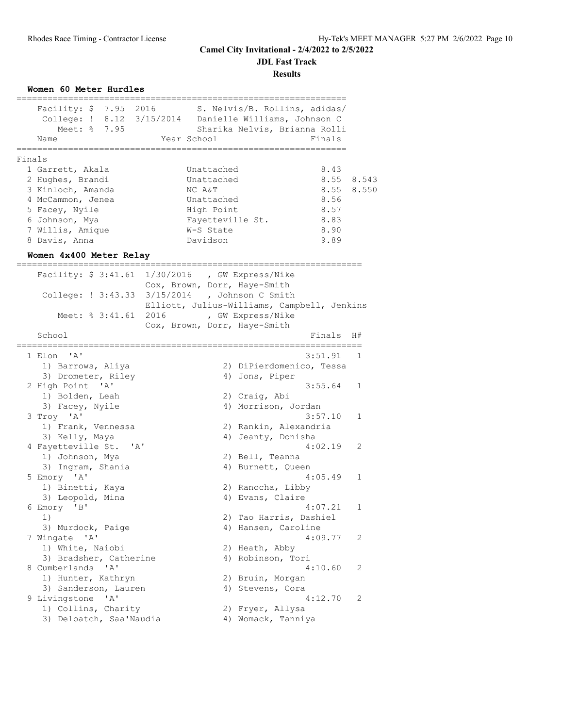**JDL Fast Track**

**Results**

**Women 60 Meter Hurdles**

|        | Facility: \$ 7.95 2016<br>College: ! 8.12 3/15/2014 Danielle Williams, Johnson C<br>Meet: % 7.95<br>Name<br>========================= | Year School                                                                 |                       | S. Nelvis/B. Rollins, adidas/<br>Sharika Nelvis, Brianna Rolli<br>Finals |              |
|--------|---------------------------------------------------------------------------------------------------------------------------------------|-----------------------------------------------------------------------------|-----------------------|--------------------------------------------------------------------------|--------------|
| Finals |                                                                                                                                       |                                                                             |                       |                                                                          |              |
|        | 1 Garrett, Akala                                                                                                                      | Unattached                                                                  |                       | 8.43                                                                     |              |
|        | 2 Hughes, Brandi                                                                                                                      | Unattached                                                                  |                       | 8.55                                                                     | 8.543        |
|        | 3 Kinloch, Amanda                                                                                                                     | NC A&T                                                                      |                       | 8.55                                                                     | 8.550        |
|        | 4 McCammon, Jenea                                                                                                                     | Unattached                                                                  |                       | 8.56                                                                     |              |
|        | 5 Facey, Nyile                                                                                                                        | High Point                                                                  |                       | 8.57                                                                     |              |
|        | 6 Johnson, Mya                                                                                                                        | Fayetteville St.                                                            |                       | 8.83                                                                     |              |
|        | 7 Willis, Amique                                                                                                                      | W-S State                                                                   |                       | 8.90                                                                     |              |
|        | 8 Davis, Anna                                                                                                                         | Davidson                                                                    |                       | 9.89                                                                     |              |
|        | Women 4x400 Meter Relay                                                                                                               |                                                                             |                       |                                                                          |              |
|        | Facility: \$ 3:41.61 1/30/2016 , GW Express/Nike<br>College: ! 3:43.33 3/15/2014 , Johnson C Smith                                    | Cox, Brown, Dorr, Haye-Smith<br>Elliott, Julius-Williams, Campbell, Jenkins |                       |                                                                          |              |
|        | Meet: % 3:41.61 2016                                                                                                                  |                                                                             | , GW Express/Nike     |                                                                          |              |
|        | School                                                                                                                                | Cox, Brown, Dorr, Haye-Smith                                                |                       | Finals                                                                   | H#           |
|        | 1 Elon 'A'                                                                                                                            |                                                                             |                       | 3:51.91                                                                  | $\mathbf{1}$ |
|        | 1) Barrows, Aliya                                                                                                                     |                                                                             |                       | 2) DiPierdomenico, Tessa                                                 |              |
|        | 3) Drometer, Riley                                                                                                                    |                                                                             | 4) Jons, Piper        |                                                                          |              |
|        | 2 High Point 'A'                                                                                                                      |                                                                             |                       | 3:55.64                                                                  | $\mathbf{1}$ |
|        | 1) Bolden, Leah                                                                                                                       |                                                                             | 2) Craig, Abi         |                                                                          |              |
|        | 3) Facey, Nyile                                                                                                                       |                                                                             | 4) Morrison, Jordan   |                                                                          |              |
|        | 3 Troy 'A'                                                                                                                            |                                                                             |                       | 3:57.10                                                                  | $\mathbf{1}$ |
|        | 1) Frank, Vennessa                                                                                                                    |                                                                             | 2) Rankin, Alexandria |                                                                          |              |
|        | 3) Kelly, Maya                                                                                                                        | 4)                                                                          | Jeanty, Donisha       |                                                                          |              |
|        | 4 Fayetteville St. 'A'                                                                                                                |                                                                             |                       | 4:02.19                                                                  | 2            |

| 3) Keily, Maya          | 4) Jeanty, Donisna     |                            |
|-------------------------|------------------------|----------------------------|
| 4 Fayetteville St. 'A'  | $4:02.19$ 2            |                            |
| 1) Johnson, Mya         | 2) Bell, Teanna        |                            |
| 3) Ingram, Shania       | 4) Burnett, Queen      |                            |
| 5 Emory 'A'             | 4:05.49                | $\mathbf{1}$               |
| 1) Binetti, Kaya        | 2) Ranocha, Libby      |                            |
| 3) Leopold, Mina        | 4) Evans, Claire       |                            |
| 6 Emory 'B'             | 4:07.21                | 1                          |
| 1)                      | 2) Tao Harris, Dashiel |                            |
| 3) Murdock, Paige       | 4) Hansen, Caroline    |                            |
| 7 Wingate 'A'           | $4:09.77$ 2            |                            |
| 1) White, Naiobi        | 2) Heath, Abby         |                            |
| 3) Bradsher, Catherine  | 4) Robinson, Tori      |                            |
| 8 Cumberlands 'A'       | 4:10.60                | $\overline{\phantom{0}}^2$ |
| 1) Hunter, Kathryn      | 2) Bruin, Morgan       |                            |
| 3) Sanderson, Lauren    | 4) Stevens, Cora       |                            |
| 9 Livingstone 'A'       | $4:12.70$ 2            |                            |
| 1) Collins, Charity     | 2) Fryer, Allysa       |                            |
| 3) Deloatch, Saa'Naudia | 4) Womack, Tanniya     |                            |
|                         |                        |                            |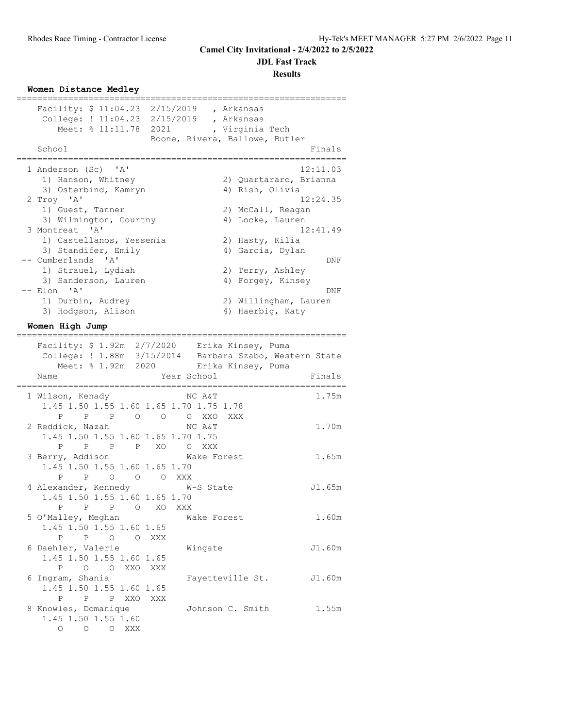**JDL Fast Track**

**Results**

#### **Women Distance Medley**

| Facility: \$ 11:04.23 2/15/2019 , Arkansas                                                                      |                                |                        |                     |
|-----------------------------------------------------------------------------------------------------------------|--------------------------------|------------------------|---------------------|
| College: ! 11:04.23 2/15/2019 , Arkansas                                                                        |                                |                        |                     |
| Meet: % 11:11.78 2021 , Virginia Tech                                                                           |                                |                        |                     |
|                                                                                                                 | Boone, Rivera, Ballowe, Butler |                        |                     |
| School                                                                                                          |                                |                        | Finals              |
|                                                                                                                 |                                |                        |                     |
| 1 Anderson (Sc) 'A'                                                                                             |                                |                        | 12:11.03            |
| 1) Hanson, Whitney                                                                                              |                                | 2) Quartararo, Brianna |                     |
| 3) Osterbind, Kamryn                                                                                            |                                | 4) Rish, Olivia        |                     |
| 2 Troy 'A'                                                                                                      |                                |                        | 12:24.35            |
| 1) Guest, Tanner                                                                                                |                                | 2) McCall, Reagan      |                     |
| 3) Wilmington, Courtny                                                                                          |                                | 4) Locke, Lauren       |                     |
| 3 Montreat 'A'                                                                                                  |                                |                        | 12:41.49            |
| 1) Castellanos, Yessenia                                                                                        |                                | 2) Hasty, Kilia        |                     |
| 3) Standifer, Emily                                                                                             |                                | 4) Garcia, Dylan       |                     |
| -- Cumberlands 'A'                                                                                              |                                |                        | DNF                 |
| 1) Strauel, Lydiah                                                                                              |                                | 2) Terry, Ashley       |                     |
| 3) Sanderson, Lauren                                                                                            |                                | 4) Forgey, Kinsey      |                     |
| -- Elon 'A'                                                                                                     |                                |                        | DNF                 |
| 1) Durbin, Audrey                                                                                               |                                | 2) Willingham, Lauren  |                     |
| 3) Hodgson, Alison                                                                                              |                                | 4) Haerbig, Katy       |                     |
| Women High Jump                                                                                                 |                                |                        |                     |
|                                                                                                                 |                                |                        |                     |
| Facility: \$ 1.92m  2/7/2020   Erika Kinsey, Puma<br>College: ! 1.88m  3/15/2014   Barbara Szabo, Western State |                                |                        |                     |
| Meet: % 1.92m 2020 Erika Kinsey, Puma                                                                           |                                |                        |                     |
|                                                                                                                 |                                |                        |                     |
| Name<br>------------------------------------                                                                    | Year School                    |                        | Finals<br>. ------- |
| 1 Wilson, Kenady                                                                                                | NC A&T                         |                        | 1.75m               |
| 1.45 1.50 1.55 1.60 1.65 1.70 1.75 1.78                                                                         |                                |                        |                     |
| P P O O O XXO XXX<br>P                                                                                          |                                |                        |                     |
| 2 Reddick, Nazah                                                                                                | NC A&T                         |                        | 1.70m               |
| 1.45 1.50 1.55 1.60 1.65 1.70 1.75                                                                              |                                |                        |                     |
| P P P XO O XXX<br>P                                                                                             |                                |                        |                     |
| 3 Berry, Addison                                                                                                | Wake Forest                    |                        | 1.65m               |
| 1.45 1.50 1.55 1.60 1.65 1.70                                                                                   |                                |                        |                     |
| P O O O XXX<br>$\mathbf{P}$                                                                                     |                                |                        |                     |
| 4 Alexander, Kennedy W-S State                                                                                  |                                |                        | J1.65m              |
| 1.45 1.50 1.55 1.60 1.65 1.70                                                                                   |                                |                        |                     |
| P P O                                                                                                           | XO<br>XXX                      |                        |                     |
|                                                                                                                 |                                |                        |                     |
| 5 O'Malley, Meghan                                                                                              |                                | Wake Forest            | 1.60m               |
| 1.45 1.50 1.55 1.60 1.65                                                                                        |                                |                        |                     |
| P P O O                                                                                                         | XXX                            |                        |                     |
| 6 Daehler, Valerie                                                                                              | Wingate                        |                        | J1.60m              |
| 1.45 1.50 1.55 1.60 1.65                                                                                        |                                |                        |                     |
| P<br>O O XXO                                                                                                    | XXX                            |                        |                     |
| 6 Ingram, Shania                                                                                                |                                | Fayetteville St.       | J1.60m              |
| 1.45 1.50 1.55 1.60 1.65                                                                                        |                                |                        |                     |
| P<br>P P XXO                                                                                                    | XXX                            |                        |                     |
| 8 Knowles, Domanique                                                                                            |                                | Johnson C. Smith       | 1.55m               |
| 1.45 1.50 1.55 1.60<br>O O O XXX                                                                                |                                |                        |                     |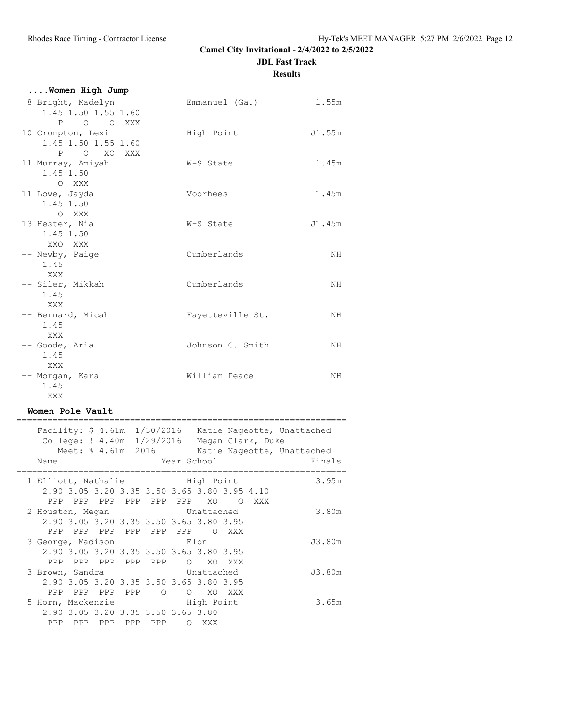**JDL Fast Track**

**Results**

| Women High Jump                                        |                  |        |
|--------------------------------------------------------|------------------|--------|
| 8 Bright, Madelyn<br>1.45 1.50 1.55 1.60<br>P O O XXX  | Emmanuel (Ga.)   | 1.55m  |
| 10 Crompton, Lexi<br>1.45 1.50 1.55 1.60<br>P O XO XXX | High Point       | J1.55m |
| 11 Murray, Amiyah<br>1.45 1.50<br>O XXX                | W-S State        | 1.45m  |
| 11 Lowe, Jayda<br>1.45 1.50<br>O XXX                   | Voorhees         | 1.45m  |
| 13 Hester, Nia<br>1.45 1.50<br>XXO XXX                 | W-S State        | J1.45m |
| -- Newby, Paige<br>1.45<br><b>XXX</b>                  | Cumberlands      | NH.    |
| -- Siler, Mikkah<br>1.45<br>XXX                        | Cumberlands      | NH.    |
| -- Bernard, Micah<br>1.45<br>XXX                       | Fayetteville St. | NH.    |
| -- Goode, Aria<br>1.45<br>XXX                          | Johnson C. Smith | NH.    |
| -- Morgan, Kara<br>1.45<br>XXX                         | William Peace    | NH.    |

#### **Women Pole Vault**

|                                           |                                    |                 |  |       |                                              |        | College: ! 4.40m 1/29/2016 Megan Clark, Duke                                                         | Facility: \$ 4.61m 1/30/2016 Katie Nageotte, Unattached |
|-------------------------------------------|------------------------------------|-----------------|--|-------|----------------------------------------------|--------|------------------------------------------------------------------------------------------------------|---------------------------------------------------------|
|                                           |                                    |                 |  |       |                                              |        |                                                                                                      | Meet: % 4.61m 2016 Katie Nageotte, Unattached           |
|                                           |                                    |                 |  |       |                                              |        |                                                                                                      |                                                         |
| Name                                      |                                    |                 |  |       |                                              |        | Year School in the School and the School and the School and the School and the School and the School | Finals                                                  |
| 1 Elliott, Nathalie Migh Point            |                                    |                 |  |       |                                              |        |                                                                                                      | 3.95m                                                   |
|                                           |                                    |                 |  |       | 2.90 3.05 3.20 3.35 3.50 3.65 3.80 3.95 4.10 |        |                                                                                                      |                                                         |
|                                           |                                    |                 |  |       | PPP PPP PPP PPP PPP PPP XO OXXX              |        |                                                                                                      |                                                         |
|                                           |                                    |                 |  |       |                                              |        |                                                                                                      |                                                         |
| 2 Houston, Megan Constructured Unattached |                                    |                 |  |       |                                              |        |                                                                                                      | 3.80m                                                   |
|                                           |                                    |                 |  |       | 2.90 3.05 3.20 3.35 3.50 3.65 3.80 3.95      |        |                                                                                                      |                                                         |
|                                           |                                    |                 |  |       | PPP PPP PPP PPP PPP PPP O XXX                |        |                                                                                                      |                                                         |
| 3 George, Madison Elon                    |                                    |                 |  |       |                                              |        |                                                                                                      | J3.80m                                                  |
|                                           |                                    |                 |  |       | 2.90 3.05 3.20 3.35 3.50 3.65 3.80 3.95      |        |                                                                                                      |                                                         |
|                                           | PPP PPP PPP PPP PPP                |                 |  |       | O XO XXX                                     |        |                                                                                                      |                                                         |
| 3 Brown, Sandra Contract Unattached       |                                    |                 |  |       |                                              |        |                                                                                                      | J3.80m                                                  |
|                                           |                                    |                 |  |       | 2.90 3.05 3.20 3.35 3.50 3.65 3.80 3.95      |        |                                                                                                      |                                                         |
|                                           | PPP PPP PPP PPP 0                  |                 |  |       | $\circ$                                      | XO XXX |                                                                                                      |                                                         |
| 5 Horn, Mackenzie by High Point           |                                    |                 |  |       |                                              |        |                                                                                                      | 3.65m                                                   |
|                                           |                                    |                 |  |       |                                              |        |                                                                                                      |                                                         |
|                                           | 2.90 3.05 3.20 3.35 3.50 3.65 3.80 |                 |  |       |                                              |        |                                                                                                      |                                                         |
| PPP                                       |                                    | PPP PPP PPP PPP |  | O XXX |                                              |        |                                                                                                      |                                                         |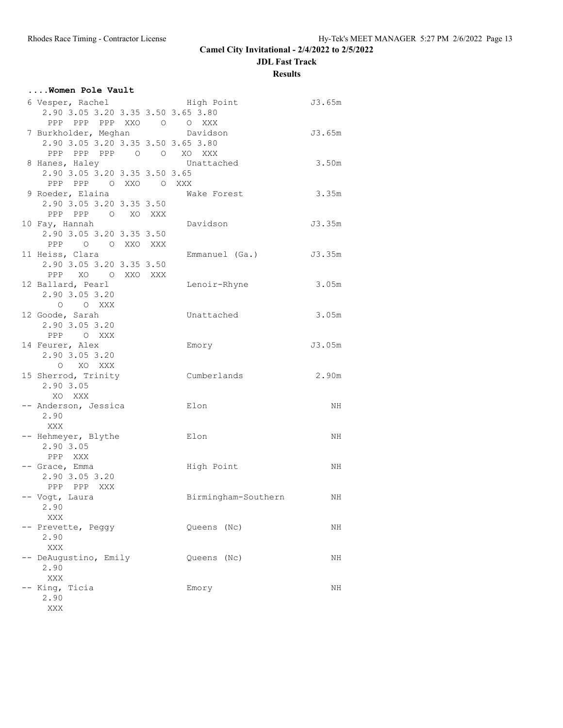**JDL Fast Track**

**Results**

| Women Pole Vault                           |                       |        |
|--------------------------------------------|-----------------------|--------|
| 6 Vesper, Rachel                           | High Point            | J3.65m |
| 2.90 3.05 3.20 3.35 3.50 3.65 3.80         |                       |        |
| PPP PPP PPP XXO O O XXX                    |                       |        |
| 7 Burkholder, Meghan bavidson              |                       | J3.65m |
| 2.90 3.05 3.20 3.35 3.50 3.65 3.80         |                       |        |
| PPP PPP PPP 0 0 XO XXX                     |                       |        |
| 8 Hanes, Haley Chattached                  |                       | 3.50m  |
| 2.90 3.05 3.20 3.35 3.50 3.65              |                       |        |
| PPP PPP OXXO OXXX                          |                       |        |
| 9 Roeder, Elaina                           | Wake Forest           | 3.35m  |
| 2.90 3.05 3.20 3.35 3.50                   |                       |        |
| PPP PPP 0 XO XXX                           |                       | J3.35m |
| 10 Fay, Hannah<br>2.90 3.05 3.20 3.35 3.50 | Davidson              |        |
| PPP 0 0 XXO XXX                            |                       |        |
| 11 Heiss, Clara                            | Emmanuel (Ga.) J3.35m |        |
| 2.90 3.05 3.20 3.35 3.50                   |                       |        |
| PPP XO O XXO XXX                           |                       |        |
| 12 Ballard, Pearl                          | Lenoir-Rhyne          | 3.05m  |
| 2.90 3.05 3.20                             |                       |        |
| O O XXX                                    |                       |        |
| 12 Goode, Sarah                            | Unattached            | 3.05m  |
| 2.90 3.05 3.20                             |                       |        |
| PPP OXXX                                   |                       |        |
| 14 Feurer, Alex                            | Emory                 | J3.05m |
| 2.90 3.05 3.20                             |                       |        |
| O XO XXX                                   |                       |        |
| 15 Sherrod, Trinity                        | Cumberlands           | 2.90m  |
| 2.90 3.05                                  |                       |        |
| XO XXX                                     |                       |        |
| -- Anderson, Jessica                       | Elon                  | NH     |
| 2.90                                       |                       |        |
| XXX                                        |                       |        |
| -- Hehmeyer, Blythe                        | Elon                  | NH     |
| 2.90 3.05<br>PPP XXX                       |                       |        |
| -- Grace, Emma                             |                       | NH     |
| 2.90 3.05 3.20                             | High Point            |        |
| PPP PPP XXX                                |                       |        |
| -- Vogt, Laura                             | Birmingham-Southern   | ΝH     |
| 2.90                                       |                       |        |
| $\mathbf{XXX}$                             |                       |        |
| -- Prevette, Peggy                         | Queens (Nc)           | NH     |
| 2.90                                       |                       |        |
| XXX                                        |                       |        |
| -- DeAugustino, Emily                      | Queens (Nc)           | NH     |
| 2.90                                       |                       |        |
| XXX                                        |                       |        |
| -- King, Ticia                             | Emory                 | NH     |
| 2.90                                       |                       |        |
| XXX                                        |                       |        |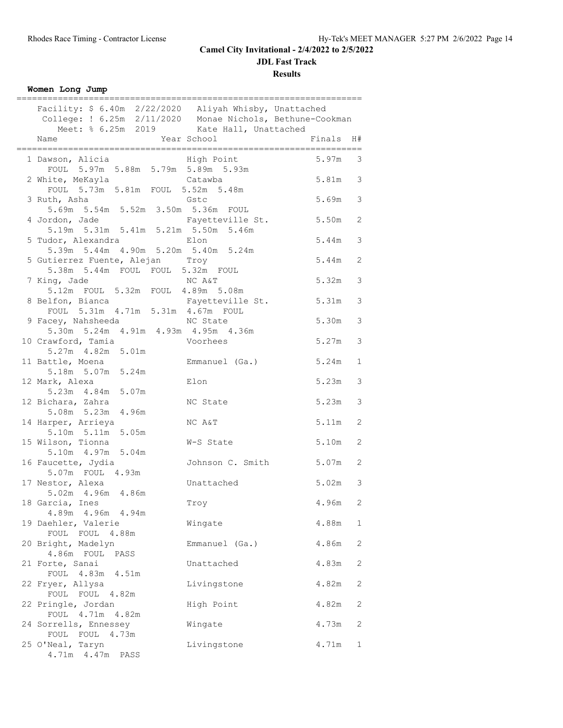**JDL Fast Track**

**Results**

| Women Long Jump |  |
|-----------------|--|

| Facility: \$ 6.40m  2/22/2020  Aliyah Whisby, Unattached<br>College: ! 6.25m  2/11/2020  Monae Nichols, Bethune-Cookman<br>Meet: \$ 6.25m  2019  Kate Hall, Unattached |                  |           |                         |
|------------------------------------------------------------------------------------------------------------------------------------------------------------------------|------------------|-----------|-------------------------|
| Name                                                                                                                                                                   | Year School      | Finals H# |                         |
| 1 Dawson, Alicia 11 High Point<br>FOUL 5.97m 5.88m 5.79m 5.89m 5.93m                                                                                                   |                  | $5.97m$ 3 |                         |
| 2 White, MeKayla<br>FOUL 5.73m 5.81m FOUL 5.52m 5.48m                                                                                                                  | Catawba          | 5.81m 3   |                         |
| 3 Ruth, Asha<br>5.69m 5.54m 5.52m 3.50m 5.36m FOUL                                                                                                                     | Gstc             | 5.69m 3   |                         |
| 4 Jordon, Jade<br>$5.19m$ $5.31m$ $5.41m$ $5.21m$ $5.50m$ $5.46m$                                                                                                      | Fayetteville St. | $5.50m$ 2 |                         |
| 5 Tudor, Alexandra<br>5.39m 5.44m 4.90m 5.20m 5.40m 5.24m                                                                                                              | Elon             | 5.44m     | $\overline{\mathbf{3}}$ |
| 5 Gutierrez Fuente, Alejan Troy<br>5.38m 5.44m FOUL FOUL 5.32m FOUL                                                                                                    |                  | 5.44m     | 2                       |
| 7 King, Jade<br>ng, Jade<br>5.12m FOUL 5.32m FOUL 4.89m 5.08m                                                                                                          | NC A&T           | 5.32m     | 3                       |
| 8 Belfon, Bianca<br>Elion, Bianca<br>FOUL 5.31m 4.71m 5.31m 4.67m FOUL                                                                                                 | Fayetteville St. | 5.31m     | 3                       |
| 9 Facey, Nahsheeda<br>5.30m 5.24m 4.91m 4.93m 4.95m 4.36m                                                                                                              | NC State         | 5.30m     | 3                       |
| 10 Crawford, Tamia<br>5.27m  4.82m  5.01m                                                                                                                              | Voorhees         | 5.27m 3   |                         |
| 11 Battle, Moena<br>5.18m 5.07m 5.24m                                                                                                                                  | Emmanuel (Ga.)   | 5.24m     | $\mathbf{1}$            |
| 12 Mark, Alexa<br>5.23m  4.84m  5.07m                                                                                                                                  | Elon             | 5.23m     | 3                       |
| 12 Bichara, Zahra<br>5.08m 5.23m 4.96m                                                                                                                                 | NC State         | 5.23m     | 3                       |
| 14 Harper, Arrieya<br>5.10m 5.11m 5.05m                                                                                                                                | NC A&T           | 5.11m     | 2                       |
| 15 Wilson, Tionna<br>5.10m  4.97m  5.04m                                                                                                                               | W-S State        | 5.10m     | 2                       |
| 16 Faucette, Jydia<br>5.07m FOUL 4.93m                                                                                                                                 | Johnson C. Smith | $5.07m$ 2 |                         |
| 17 Nestor, Alexa<br>5.02m  4.96m  4.86m                                                                                                                                | Unattached       | $5.02m$ 3 |                         |
| 18 Garcia, Ines<br>4.89m  4.96m  4.94m                                                                                                                                 | Troy             | 4.96m     | 2                       |
| 19 Daehler, Valerie<br>FOUL FOUL 4.88m                                                                                                                                 | Wingate          | 4.88m     | $\mathbf{1}$            |
| 20 Bright, Madelyn<br>4.86m FOUL PASS                                                                                                                                  | Emmanuel (Ga.)   | 4.86m     | 2                       |
| 21 Forte, Sanai<br>FOUL 4.83m 4.51m                                                                                                                                    | Unattached       | 4.83m     | 2                       |
| 22 Fryer, Allysa<br>FOUL FOUL 4.82m                                                                                                                                    | Livingstone      | 4.82m     | 2                       |
| 22 Pringle, Jordan<br>FOUL 4.71m 4.82m                                                                                                                                 | High Point       | 4.82m     | 2                       |
| 24 Sorrells, Ennessey<br>FOUL FOUL 4.73m                                                                                                                               | Wingate          | 4.73m     | 2                       |
| 25 O'Neal, Taryn<br>4.71m  4.47m  PASS                                                                                                                                 | Livingstone      | 4.71m     | 1                       |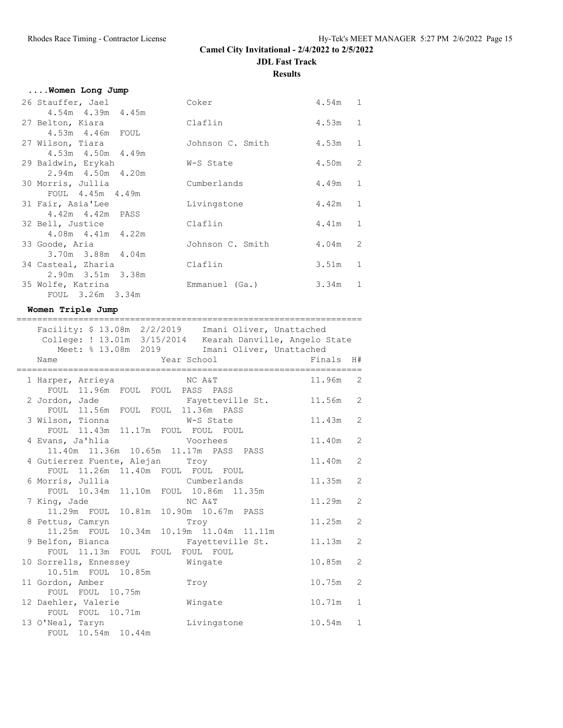| Women Long Jump                              |                  |           |                |
|----------------------------------------------|------------------|-----------|----------------|
| 26 Stauffer, Jael                            | Coker            | $4.54m$ 1 |                |
| $4.54m$ $4.39m$ $4.45m$                      |                  |           |                |
| 27 Belton, Kiara                             | Claflin          | 4.53m     | $\mathbf{1}$   |
| 4.53m  4.46m  FOUL                           |                  |           |                |
| 27 Wilson, Tiara                             | Johnson C. Smith | 4.53m     | $\mathbf{1}$   |
| 4.53m  4.50m  4.49m                          |                  |           |                |
| 29 Baldwin, Erykah                           | W-S State        | 4.50m     | $\overline{c}$ |
| $2.94m + 4.50m + 4.20m$<br>30 Morris, Jullia | Cumberlands      | 4.49m     | $\mathbf{1}$   |
| FOUL 4.45m 4.49m                             |                  |           |                |
| 31 Fair, Asia'Lee                            | Livingstone      | 4.42m     | $\mathbf{1}$   |
| 4.42m  4.42m  PASS                           |                  |           |                |
| 32 Bell, Justice                             | Claflin          | 4.41m     | $\mathbf{1}$   |
| 4.08m  4.41m  4.22m                          |                  |           |                |
| 33 Goode, Aria                               | Johnson C. Smith | 4.04m     | 2              |
| 3.70m 3.88m 4.04m                            |                  |           |                |
| 34 Casteal, Zharia                           | Claflin          | 3.51m     | $\mathbf{1}$   |
| 2.90m 3.51m 3.38m                            |                  |           |                |
| 35 Wolfe, Katrina                            | Emmanuel (Ga.)   | 3.34m     | $\mathbf{1}$   |
| FOUL 3.26m 3.34m                             |                  |           |                |

#### **Women Triple Jump**

| =============================                                                                                        |        |                |
|----------------------------------------------------------------------------------------------------------------------|--------|----------------|
| Facility: \$ 13.08m  2/2/2019  Imani Oliver, Unattached<br>College: ! 13.01m 3/15/2014 Kearah Danville, Angelo State |        |                |
| Meet: % 13.08m 2019 Imani Oliver, Unattached                                                                         |        |                |
| Year School<br>Name                                                                                                  | Finals | H#             |
| 1 Harper, Arrieya<br>NC A&T                                                                                          | 11.96m | 2              |
| FOUL 11.96m FOUL FOUL PASS PASS                                                                                      |        |                |
| 2 Jordon, Jade Kayetteville St.                                                                                      | 11.56m | $\mathcal{L}$  |
| FOUL 11.56m FOUL FOUL 11.36m PASS                                                                                    |        |                |
| 3 Wilson, Tionna M-S State                                                                                           | 11.43m | $\overline{2}$ |
| FOUL 11.43m 11.17m FOUL FOUL FOUL                                                                                    |        |                |
| 4 Evans, Ja'hlia<br>Voorhees                                                                                         | 11.40m | 2              |
| 11.40m  11.36m  10.65m  11.17m  PASS  PASS                                                                           |        |                |
| 4 Gutierrez Fuente, Alejan Troy<br>FOUL 11.26m 11.40m FOUL FOUL FOUL                                                 | 11.40m | $\overline{2}$ |
| 6 Morris, Jullia Cumberlands                                                                                         | 11.35m | $\overline{2}$ |
| FOUL 10.34m 11.10m FOUL 10.86m 11.35m                                                                                |        |                |
| 7 King, Jade<br>NC A&T                                                                                               | 11.29m | $\mathcal{L}$  |
| 11.29m FOUL 10.81m 10.90m 10.67m PASS                                                                                |        |                |
| 8 Pettus, Camryn<br>Troy                                                                                             | 11.25m | $\overline{2}$ |
| 11.25m FOUL 10.34m 10.19m 11.04m 11.11m                                                                              |        |                |
| 9 Belfon, Bianca<br>Fayetteville St.                                                                                 | 11.13m | $\mathcal{L}$  |
| FOUL 11.13m FOUL FOUL FOUL FOUL                                                                                      |        |                |
| 10 Sorrells, Ennessey Mingate                                                                                        | 10.85m | $\overline{2}$ |
| 10.51m FOUL 10.85m                                                                                                   |        |                |
| 11 Gordon, Amber<br>Troy                                                                                             | 10.75m | 2              |
| FOUL FOUL 10.75m                                                                                                     |        |                |
| 12 Daehler, Valerie<br>Wingate                                                                                       | 10.71m | $\mathbf{1}$   |
| FOUL FOUL 10.71m                                                                                                     |        |                |
| 13 O'Neal, Taryn<br>Livingstone                                                                                      | 10.54m | $\mathbf{1}$   |
| FOUL 10.54m 10.44m                                                                                                   |        |                |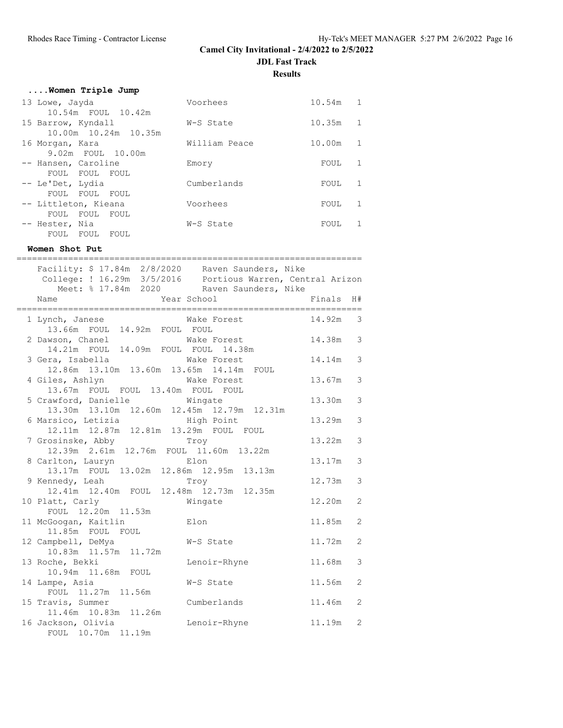**Results**

| Women Triple Jump           |               |        |   |
|-----------------------------|---------------|--------|---|
| 13 Lowe, Jayda              | Voorhees      | 10.54m | 1 |
| 10.54m FOUL 10.42m          |               |        |   |
| 15 Barrow, Kyndall          | W-S State     | 10.35m | 1 |
| 10.00m 10.24m 10.35m        |               |        |   |
| 16 Morgan, Kara             | William Peace | 10.00m | 1 |
| 9.02m FOUL 10.00m           |               |        |   |
| -- Hansen, Caroline         | Emory         | FOUL   | 1 |
| FOUL FOUL FOUL              |               |        |   |
| -- Le'Det, Lydia            | Cumberlands   | FOUL   | 1 |
| FOUL<br>FOUL<br>FOUL        |               |        |   |
| -- Littleton, Kieana        | Voorhees      | FOUL   | 1 |
| FOUL<br><b>FOUL</b><br>FOUL |               |        |   |
| -- Hester, Nia              | W-S State     | FOUL   | 1 |
| FOUL<br><b>FOUL</b><br>FOUL |               |        |   |

# **Women Shot Put**

| Facility: \$ 17.84m 2/8/2020 Raven Saunders, Nike                                                       | ================ |                |
|---------------------------------------------------------------------------------------------------------|------------------|----------------|
| College: ! 16.29m 3/5/2016  Portious Warren, Central Arizon<br>Meet: % 17.84m 2020 Raven Saunders, Nike |                  |                |
| Name                                                                                                    | Finals           | H#<br>seeeee   |
| Wake Forest<br>1 Lynch, Janese<br>13.66m FOUL 14.92m FOUL FOUL                                          | 14.92m           | 3              |
| 2 Dawson, Chanel Make Forest<br>14.21m FOUL 14.09m FOUL FOUL 14.38m                                     | 14.38m           | 3              |
| 3 Gera, Isabella Make Forest<br>12.86m  13.10m  13.60m  13.65m  14.14m  FOUL                            | 14.14m           | 3              |
| 4 Giles, Ashlyn Make Forest<br>13.67m FOUL FOUL 13.40m FOUL FOUL                                        | 13.67m           | 3              |
| 5 Crawford, Danielle Mingate<br>13.30m  13.10m  12.60m  12.45m  12.79m  12.31m                          | 13.30m           | 3              |
| 6 Marsico, Letizia and High Point<br>12.11m  12.87m  12.81m  13.29m  FOUL  FOUL                         | 13.29m           | 3              |
| 7 Grosinske, Abby Troy<br>12.39m  2.61m  12.76m  FOUL  11.60m  13.22m                                   | 13.22m           | 3              |
| 8 Carlton, Lauryn Elon<br>13.17m FOUL 13.02m 12.86m 12.95m 13.13m                                       | 13.17m           | 3              |
| 9 Kennedy, Leah<br>Troy                                                                                 | 12.73m           | 3              |
| 12.41m  12.40m  FOUL  12.48m  12.73m  12.35m<br>10 Platt, Carly<br>Wingate<br>FOUL 12.20m 11.53m        | 12.20m           | 2              |
| 11 McGoogan, Kaitlin<br>Elon<br>11.85m FOUL FOUL                                                        | 11.85m           | 2              |
| 12 Campbell, DeMya<br>W-S State<br>10.83m  11.57m  11.72m                                               | 11.72m           | 2              |
| 13 Roche, Bekki<br>Lenoir-Rhyne<br>10.94m 11.68m FOUL                                                   | 11.68m           | 3              |
| 14 Lampe, Asia<br>W-S State<br>FOUL 11.27m 11.56m                                                       | 11.56m           | 2              |
| 15 Travis, Summer<br>Cumberlands                                                                        | 11.46m           | $\overline{2}$ |
| 11.46m  10.83m  11.26m<br>16 Jackson, Olivia<br>Lenoir-Rhyne<br>FOUL 10.70m 11.19m                      | 11.19m           | $\overline{2}$ |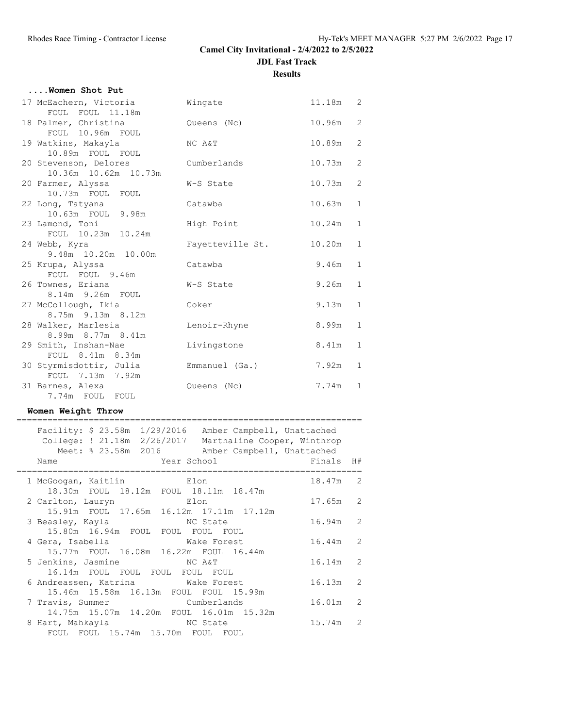## **....Women Shot Put**

| 17 McEachern, Victoria                                       | Wingate          | 11.18m | 2            |
|--------------------------------------------------------------|------------------|--------|--------------|
| FOUL FOUL 11.18m<br>18 Palmer, Christina<br>FOUL 10.96m FOUL | Queens (Nc)      | 10.96m | 2            |
| 19 Watkins, Makayla<br>10.89m FOUL FOUL                      | NC A&T           | 10.89m | 2            |
| 20 Stevenson, Delores<br>10.36m  10.62m  10.73m              | Cumberlands      | 10.73m | 2            |
| 20 Farmer, Alyssa<br>10.73m FOUL FOUL                        | W-S State        | 10.73m | 2            |
| 22 Long, Tatyana<br>10.63m FOUL 9.98m                        | Catawba          | 10.63m | $\mathbf{1}$ |
| 23 Lamond, Toni<br>FOUL 10.23m 10.24m                        | High Point       | 10.24m | $\mathbf{1}$ |
| 24 Webb, Kyra<br>9.48m 10.20m 10.00m                         | Fayetteville St. | 10.20m | $\mathbf{1}$ |
| 25 Krupa, Alyssa<br>FOUL FOUL 9.46m                          | Catawba          | 9.46m  | $\mathbf{1}$ |
| 26 Townes, Eriana<br>8.14m 9.26m FOUL                        | W-S State        | 9.26m  | $\mathbf{1}$ |
| 27 McCollough, Ikia<br>8.75m 9.13m 8.12m                     | Coker            | 9.13m  | $\mathbf{1}$ |
| 28 Walker, Marlesia<br>8.99m 8.77m 8.41m                     | Lenoir-Rhyne     | 8.99m  | 1            |
| 29 Smith, Inshan-Nae<br>FOUL 8.41m 8.34m                     | Livingstone      | 8.41m  | $\mathbf{1}$ |
| 30 Styrmisdottir, Julia<br>FOUL 7.13m 7.92m                  | Emmanuel (Ga.)   | 7.92m  | 1            |
| 31 Barnes, Alexa<br>7.74m FOUL FOUL                          | Queens (Nc)      | 7.74m  | 1            |
|                                                              |                  |        |              |

#### **Women Weight Throw**

| Facility: \$23.58m 1/29/2016 Amber Campbell, Unattached<br>College: ! 21.18m 2/26/2017 Marthaline Cooper, Winthrop<br>Meet: % 23.58m 2016 Amber Campbell, Unattached |            |                |
|----------------------------------------------------------------------------------------------------------------------------------------------------------------------|------------|----------------|
| Year School and the Material<br>Name                                                                                                                                 | Finals H#  |                |
| <b>Elon</b><br>1 McGoogan, Kaitlin<br>18.30m FOUL 18.12m FOUL 18.11m 18.47m                                                                                          | 18.47m 2   |                |
| Elon<br>2 Carlton, Lauryn<br>15.91m FOUL 17.65m 16.12m 17.11m 17.12m                                                                                                 | 17.65m 2   |                |
| 3 Beasley, Kayla NC State<br>15.80m 16.94m FOUL FOUL FOUL FOUL                                                                                                       | $16.94m$ 2 |                |
| 4 Gera, Isabella Make Forest<br>15.77m FOUL 16.08m 16.22m FOUL 16.44m                                                                                                | 16.44m     | 2              |
| 5 Jenkins, Jasmine NC A&T<br>16.14m FOUL FOUL FOUL FOUL FOUL                                                                                                         | $16.14m$ 2 |                |
| 6 Andreassen, Katrina Make Forest<br>15.46m 15.58m 16.13m FOUL FOUL 15.99m                                                                                           | 16.13m     | $\overline{2}$ |
| Cumberlands<br>7 Travis, Summer<br>14.75m 15.07m 14.20m FOUL 16.01m 15.32m                                                                                           | 16.01m 2   |                |
| 8 Hart, Mahkayla NC State<br>FOUL FOUL 15.74m 15.70m FOUL FOUL                                                                                                       | 15.74m 2   |                |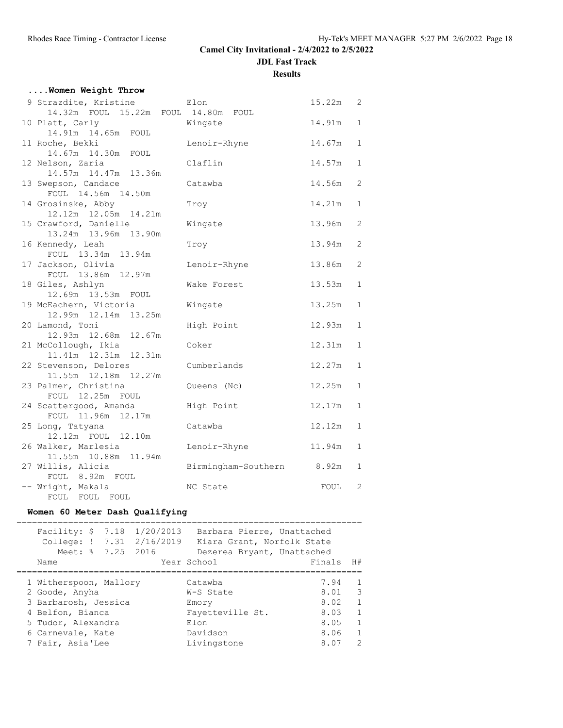**Results**

## **....Women Weight Throw**

| 9 Strazdite, Kristine                      | Elon                | 15.22m | 2            |
|--------------------------------------------|---------------------|--------|--------------|
| 14.32m FOUL 15.22m FOUL 14.80m FOUL        |                     |        |              |
| 10 Platt, Carly                            | Wingate             | 14.91m | $\mathbf{1}$ |
| 14.91m  14.65m  FOUL                       |                     |        |              |
| 11 Roche, Bekki                            | Lenoir-Rhyne        | 14.67m | $\mathbf{1}$ |
| 14.67m  14.30m  FOUL                       |                     |        |              |
| 12 Nelson, Zaria                           | Claflin             | 14.57m | $\mathbf{1}$ |
| 14.57m  14.47m  13.36m                     |                     |        |              |
| 13 Swepson, Candace<br>FOUL 14.56m 14.50m  | Catawba             | 14.56m | 2            |
| 14 Grosinske, Abby                         |                     | 14.21m | $\mathbf{1}$ |
| 12.12m  12.05m  14.21m                     | Troy                |        |              |
| 15 Crawford, Danielle                      | Wingate             | 13.96m | $\mathbf{2}$ |
| 13.24m 13.96m 13.90m                       |                     |        |              |
| 16 Kennedy, Leah                           | Troy                | 13.94m | 2            |
| FOUL 13.34m 13.94m                         |                     |        |              |
| 17 Jackson, Olivia                         | Lenoir-Rhyne        | 13.86m | 2            |
| FOUL 13.86m 12.97m                         |                     |        |              |
| 18 Giles, Ashlyn                           | Wake Forest         | 13.53m | $\mathbf{1}$ |
| 12.69m  13.53m  FOUL                       |                     |        |              |
| 19 McEachern, Victoria                     | Wingate             | 13.25m | $\mathbf{1}$ |
| 12.99m  12.14m  13.25m                     |                     |        |              |
| 20 Lamond, Toni                            | High Point          | 12.93m | $\mathbf{1}$ |
| 12.93m  12.68m  12.67m                     |                     |        |              |
| 21 McCollough, Ikia                        | Coker               | 12.31m | $\mathbf{1}$ |
| 11.41m  12.31m  12.31m                     |                     |        |              |
| 22 Stevenson, Delores                      | Cumberlands         | 12.27m | $\mathbf{1}$ |
| 11.55m  12.18m  12.27m                     |                     |        |              |
| 23 Palmer, Christina                       | Queens (Nc)         | 12.25m | $\mathbf{1}$ |
| FOUL 12.25m FOUL<br>24 Scattergood, Amanda | High Point          | 12.17m | $\mathbf{1}$ |
| FOUL 11.96m<br>12.17m                      |                     |        |              |
| 25 Long, Tatyana                           | Catawba             | 12.12m | $\mathbf{1}$ |
| 12.12m FOUL 12.10m                         |                     |        |              |
| 26 Walker, Marlesia                        | Lenoir-Rhyne        | 11.94m | $\mathbf{1}$ |
| 11.55m 10.88m 11.94m                       |                     |        |              |
| 27 Willis, Alicia                          | Birmingham-Southern | 8.92m  | $\mathbf{1}$ |
| FOUL 8.92m FOUL                            |                     |        |              |
| -- Wright, Makala                          | NC State            | FOUL   | 2            |
| FOUL FOUL FOUL                             |                     |        |              |

## **Women 60 Meter Dash Qualifying**

| Name | Facility: \$<br>College: !<br>Meet: % 7.25 2016                                                                                                     | 7.18 1/20/2013<br>7.31 2/16/2019 | Barbara Pierre, Unattached<br>Kiara Grant, Norfolk State<br>Dezerea Bryant, Unattached<br>Year School | Finals                                               | H#                                                           |
|------|-----------------------------------------------------------------------------------------------------------------------------------------------------|----------------------------------|-------------------------------------------------------------------------------------------------------|------------------------------------------------------|--------------------------------------------------------------|
|      | 1 Witherspoon, Mallory<br>2 Goode, Anyha<br>3 Barbarosh, Jessica<br>4 Belfon, Bianca<br>5 Tudor, Alexandra<br>6 Carnevale, Kate<br>7 Fair, Asia'Lee |                                  | Catawba<br>W-S State<br>Emory<br>Fayetteville St.<br>Elon<br>Davidson<br>Livingstone                  | 7.94<br>8.01<br>8.02<br>8.03<br>8.05<br>8.06<br>8.07 | 3<br>1<br>1<br>$\mathbf{1}$<br>$\mathbf{1}$<br>$\mathcal{L}$ |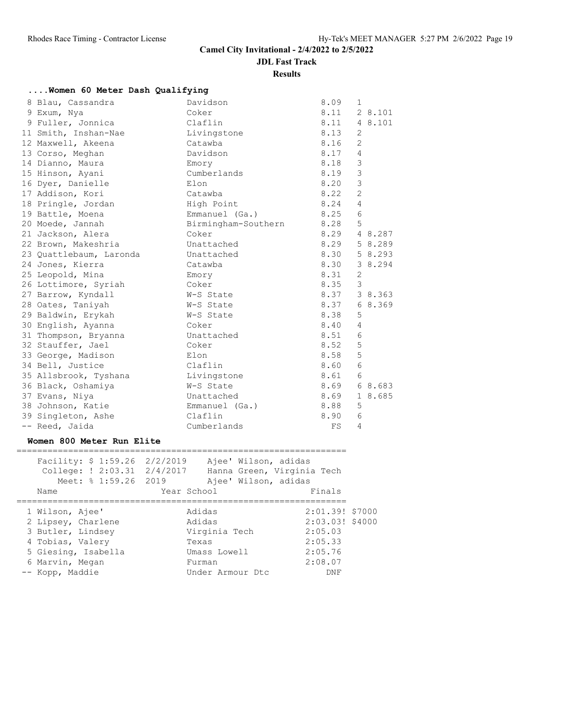**JDL Fast Track**

**Results**

| women oo meter basn guarriying |                          |      |                |         |
|--------------------------------|--------------------------|------|----------------|---------|
| 8 Blau, Cassandra              | Davidson                 | 8.09 | 1              |         |
| 9 Exum, Nya                    | Coker                    | 8.11 |                | 2 8.101 |
| 9 Fuller, Jonnica              | Claflin                  | 8.11 |                | 4 8.101 |
| 11 Smith, Inshan-Nae           | Livingstone              | 8.13 | 2              |         |
| 12 Maxwell, Akeena             | Catawba                  | 8.16 | $\overline{2}$ |         |
| 13 Corso, Meghan               | Davidson                 | 8.17 | 4              |         |
| 14 Dianno, Maura               | Emory                    | 8.18 | 3              |         |
| 15 Hinson, Ayani               | Cumberlands              | 8.19 | $\overline{3}$ |         |
| 16 Dyer, Danielle              | Elon                     | 8.20 | 3              |         |
| 17 Addison, Kori               | Catawba                  | 8.22 | $\overline{2}$ |         |
| 18 Pringle, Jordan             | High Point               | 8.24 | 4              |         |
| 19 Battle, Moena               | Emmanuel (Ga.)           | 8.25 | 6              |         |
| 20 Moede, Jannah               | Birmingham-Southern 8.28 |      | 5              |         |
| 21 Jackson, Alera              | Coker                    | 8.29 |                | 4 8.287 |
| 22 Brown, Makeshria            | Unattached               | 8.29 |                | 5 8.289 |
| 23 Quattlebaum, Laronda        | Unattached               | 8.30 |                | 5 8.293 |
| 24 Jones, Kierra               | Catawba                  | 8.30 |                | 3 8.294 |
| 25 Leopold, Mina               | Emory                    | 8.31 | 2              |         |
| 26 Lottimore, Syriah           | Coker                    | 8.35 | 3              |         |
| 27 Barrow, Kyndall             | W-S State                | 8.37 |                | 3 8.363 |
| 28 Oates, Taniyah              | W-S State                | 8.37 |                | 68.369  |
| 29 Baldwin, Erykah             | W-S State                | 8.38 | 5              |         |
| 30 English, Ayanna             | Coker                    | 8.40 | $\overline{4}$ |         |
| 31 Thompson, Bryanna           | Unattached               | 8.51 | 6              |         |
| 32 Stauffer, Jael              | Coker                    | 8.52 | 5              |         |
| 33 George, Madison             | Elon                     | 8.58 | 5              |         |
| 34 Bell, Justice               | Claflin                  | 8.60 | 6              |         |
| 35 Allsbrook, Tyshana          | Livingstone              | 8.61 | 6              |         |
| 36 Black, Oshamiya             | W-S State                | 8.69 |                | 68.683  |
| 37 Evans, Niya                 | Unattached               | 8.69 |                | 1 8.685 |
| 38 Johnson, Katie              | Emmanuel (Ga.)           | 8.88 | 5              |         |
| 39 Singleton, Ashe             | Claflin                  | 8.90 | 6              |         |
| -- Reed, Jaida                 | Cumberlands              | FS   | 4              |         |

#### **Women 800 Meter Run Elite**

| Facility: $$1:59.26$ 2/2/2019<br>College: ! 2:03.31 2/4/2017<br>Meet: % 1:59.26 2019 | Ajee' Wilson, adidas<br>Hanna Green, Virginia Tech<br>Ajee' Wilson, adidas |                 |
|--------------------------------------------------------------------------------------|----------------------------------------------------------------------------|-----------------|
| Name                                                                                 | Year School                                                                | Finals          |
|                                                                                      |                                                                            |                 |
| 1 Wilson, Ajee'                                                                      | Adidas                                                                     | 2:01.39! \$7000 |
| 2 Lipsey, Charlene                                                                   | Adidas                                                                     | 2:03.03! \$4000 |
| 3 Butler, Lindsey                                                                    | Virginia Tech                                                              | 2:05.03         |
| 4 Tobias, Valery                                                                     | Texas                                                                      | 2:05.33         |
| 5 Giesing, Isabella                                                                  | Umass Lowell                                                               | 2:05.76         |
| 6 Marvin, Megan                                                                      | Furman                                                                     | 2:08.07         |
| -- Kopp, Maddie                                                                      | Under Armour Dt.c                                                          | DNF             |
|                                                                                      |                                                                            |                 |

# **....Women 60 Meter Dash Qualifying**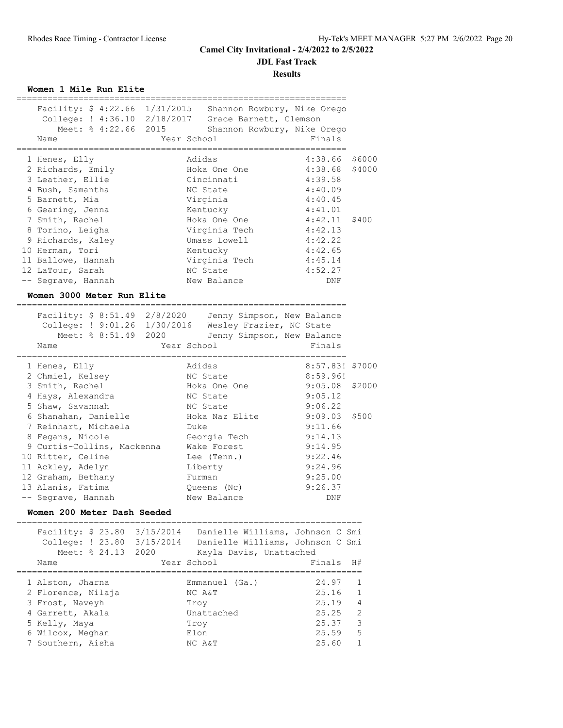**JDL Fast Track**

**Results**

**Women 1 Mile Run Elite**

|                            | Facility: \$ 4:22.66 1/31/2015 Shannon Rowbury, Nike Orego |             |                             |                 |        |
|----------------------------|------------------------------------------------------------|-------------|-----------------------------|-----------------|--------|
|                            | College: ! 4:36.10 2/18/2017 Grace Barnett, Clemson        |             |                             |                 |        |
|                            | Meet: % 4:22.66 2015                                       |             | Shannon Rowbury, Nike Orego |                 |        |
|                            | Name                                                       | Year School |                             | Finals          |        |
|                            |                                                            |             |                             |                 |        |
|                            | 1 Henes, Elly                                              | Adidas      |                             | 4:38.66 \$6000  |        |
|                            | 2 Richards, Emily                                          |             | Hoka One One                | 4:38.68         | \$4000 |
|                            | 3 Leather, Ellie                                           |             | Cincinnati                  | 4:39.58         |        |
|                            | 4 Bush, Samantha                                           |             | NC State                    | 4:40.09         |        |
|                            | 5 Barnett, Mia                                             |             | Virginia                    | 4:40.45         |        |
|                            | 6 Gearing, Jenna                                           |             | Kentucky                    | 4:41.01         |        |
|                            | 7 Smith, Rachel                                            |             | Hoka One One                | $4:42.11$ \$400 |        |
|                            | 8 Torino, Leigha                                           |             | Virginia Tech               | 4:42.13         |        |
|                            | 9 Richards, Kaley                                          |             | Umass Lowell                | 4:42.22         |        |
|                            | 10 Herman, Tori                                            |             | Kentucky                    | 4:42.65         |        |
|                            | 11 Ballowe, Hannah                                         |             | Virginia Tech               | 4:45.14         |        |
|                            | 12 LaTour, Sarah                                           |             | NC State                    | 4:52.27         |        |
|                            | -- Segrave, Hannah                                         |             | New Balance                 | DNF             |        |
| Women 3000 Meter Run Elite |                                                            |             |                             |                 |        |
|                            |                                                            |             |                             |                 |        |
|                            | Facility: \$ 8:51.49 2/8/2020                              |             | Jenny Simpson, New Balance  |                 |        |

| College: ! 9:01.26 1/30/2016 Wesley Frazier, NC State |                            |                  |  |
|-------------------------------------------------------|----------------------------|------------------|--|
| Meet: % 8:51.49 2020                                  | Jenny Simpson, New Balance |                  |  |
| Name                                                  | Year School                | Finals           |  |
|                                                       |                            |                  |  |
| 1 Henes, Elly                                         | Adidas                     | 8:57.83! \$7000  |  |
| 2 Chmiel, Kelsey                                      | NC State                   | 8:59.96!         |  |
| 3 Smith, Rachel                                       | Hoka One One               | $9:05.08$ \$2000 |  |
| 4 Hays, Alexandra                                     | NC State                   | 9:05.12          |  |
| 5 Shaw, Savannah                                      | NC State                   | 9:06.22          |  |
| 6 Shanahan, Danielle                                  | Hoka Naz Elite             | $9:09.03$ \$500  |  |
| 7 Reinhart, Michaela                                  | Duke                       | 9:11.66          |  |
| 8 Fegans, Nicole                                      | Georgia Tech               | 9:14.13          |  |
| 9 Curtis-Collins, Mackenna                            | Wake Forest                | 9:14.95          |  |
| 10 Ritter, Celine                                     | Lee (Tenn.)                | 9:22.46          |  |
| 11 Ackley, Adelyn                                     | Liberty                    | 9:24.96          |  |
| 12 Graham, Bethany                                    | Furman                     | 9:25.00          |  |
| 13 Alanis, Fatima                                     | Queens (Nc)                | 9:26.37          |  |
| -- Segrave, Hannah                                    | New Balance                | DNF              |  |

#### **Women 200 Meter Dash Seeded**

| Facility: $$23.80$ $3/15/2014$<br>Meet: % 24.13 2020                          | Danielle Williams, Johnson C Smi<br>College: ! 23.80 3/15/2014 Danielle Williams, Johnson C Smi<br>Kayla Davis, Unattached |                                  |                                                     |
|-------------------------------------------------------------------------------|----------------------------------------------------------------------------------------------------------------------------|----------------------------------|-----------------------------------------------------|
| Name                                                                          | Year School                                                                                                                | Finals H#                        |                                                     |
| 1 Alston, Jharna<br>2 Florence, Nilaja<br>3 Frost, Naveyh<br>4 Garrett, Akala | $Emmanuel$ $(Ga.)$<br>NC A&T<br>Trov<br>Unattached                                                                         | 24.97<br>25.16<br>25.19<br>25.25 | $\overline{1}$<br>$\sqrt{1}$<br>$\overline{4}$<br>2 |
| 5 Kelly, Maya                                                                 | Trov                                                                                                                       | 25.37                            | 3                                                   |
| 6 Wilcox, Meghan                                                              | Elon                                                                                                                       | 25.59                            | .5                                                  |
| 7 Southern, Aisha                                                             | NC A&T                                                                                                                     | 25.60                            |                                                     |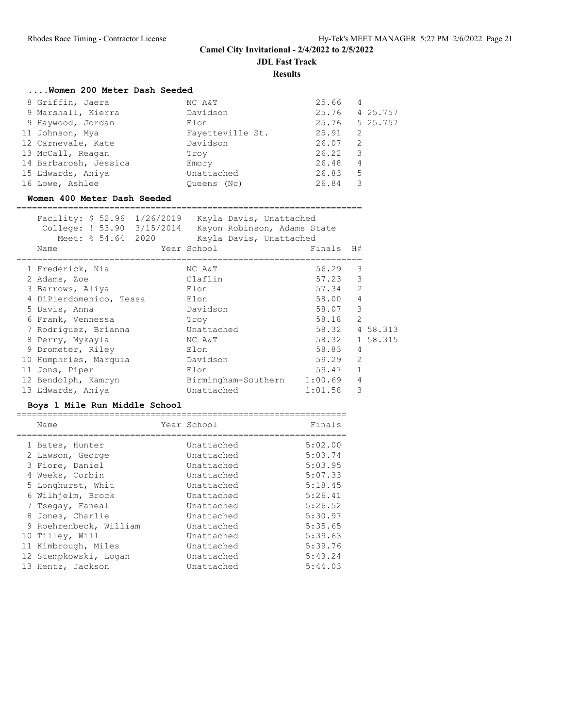**JDL Fast Track**

**Results**

## **....Women 200 Meter Dash Seeded**

| 8 Griffin, Jaera      | NC A&T           | 25.66 | 4        |
|-----------------------|------------------|-------|----------|
| 9 Marshall, Kierra    | Davidson         | 25.76 | 4 25.757 |
| 9 Haywood, Jordan     | Elon             | 25.76 | 5 25.757 |
| 11 Johnson, Mya       | Fayetteville St. | 25.91 | 2        |
| 12 Carnevale, Kate    | Davidson         | 26.07 | 2        |
| 13 McCall, Reagan     | Trov             | 26.22 | 3        |
| 14 Barbarosh, Jessica | Emory            | 26.48 | 4        |
| 15 Edwards, Aniya     | Unattached       | 26.83 | 5        |
| 16 Lowe, Ashlee       | Oueens (Nc)      | 26.84 | 3        |

#### **Women 400 Meter Dash Seeded**

| Facility: \$ 52.96 1/26/2019 Kayla Davis, Unattached<br>College: ! 53.90 3/15/2014 Kayon Robinson, Adams State<br>Meet: % 54.64 2020<br>Name | Kayla Davis, Unattached<br>Year School | Finals H# |               |          |
|----------------------------------------------------------------------------------------------------------------------------------------------|----------------------------------------|-----------|---------------|----------|
|                                                                                                                                              |                                        |           |               |          |
| 1 Frederick, Nia                                                                                                                             | NC A&T                                 | 56.29     | 3             |          |
| 2 Adams, Zoe                                                                                                                                 | Claflin                                | 57.23     | 3             |          |
| 3 Barrows, Aliya                                                                                                                             | Elon                                   | 57.34     | $\mathcal{P}$ |          |
| 4 DiPierdomenico, Tessa                                                                                                                      | Elon                                   | 58.00     | 4             |          |
| 5 Davis, Anna                                                                                                                                | Davidson                               | 58.07     | 3             |          |
| 6 Frank, Vennessa                                                                                                                            | Troy                                   | 58.18     | $\mathcal{P}$ |          |
| 7 Rodriguez, Brianna                                                                                                                         | Unattached                             | 58.32     |               | 4 58.313 |
| 8 Perry, Mykayla                                                                                                                             | NC A&T                                 | 58.32     |               | 1 58.315 |
| 9 Drometer, Riley                                                                                                                            | Elon                                   | 58.83     | 4             |          |
| 10 Humphries, Marquia                                                                                                                        | Davidson                               | 59.29     | $\mathcal{L}$ |          |
| 11 Jons, Piper                                                                                                                               | Elon                                   | 59.47     |               |          |
| 12 Bendolph, Kamryn                                                                                                                          | Birmingham-Southern                    | 1:00.69   | 4             |          |
| 13 Edwards, Aniya                                                                                                                            | Unattached                             | 1:01.58   | 3             |          |

#### **Boys 1 Mile Run Middle School**

| Name                   | Year School | Finals  |
|------------------------|-------------|---------|
| 1 Bates, Hunter        | Unattached  | 5:02.00 |
| 2 Lawson, George       | Unattached  | 5:03.74 |
| 3 Fiore, Daniel        | Unattached  | 5:03.95 |
| 4 Weeks, Corbin        | Unattached  | 5:07.33 |
| 5 Longhurst, Whit      | Unattached  | 5:18.45 |
| 6 Wilhjelm, Brock      | Unattached  | 5:26.41 |
| 7 Tsegay, Faneal       | Unattached  | 5:26.52 |
| 8 Jones, Charlie       | Unattached  | 5:30.97 |
| 9 Roehrenbeck, William | Unattached  | 5:35.65 |
| 10 Tilley, Will        | Unattached  | 5:39.63 |
| 11 Kimbrough, Miles    | Unattached  | 5:39.76 |
| 12 Stempkowski, Logan  | Unattached  | 5:43.24 |
| 13 Hentz, Jackson      | Unattached  | 5:44.03 |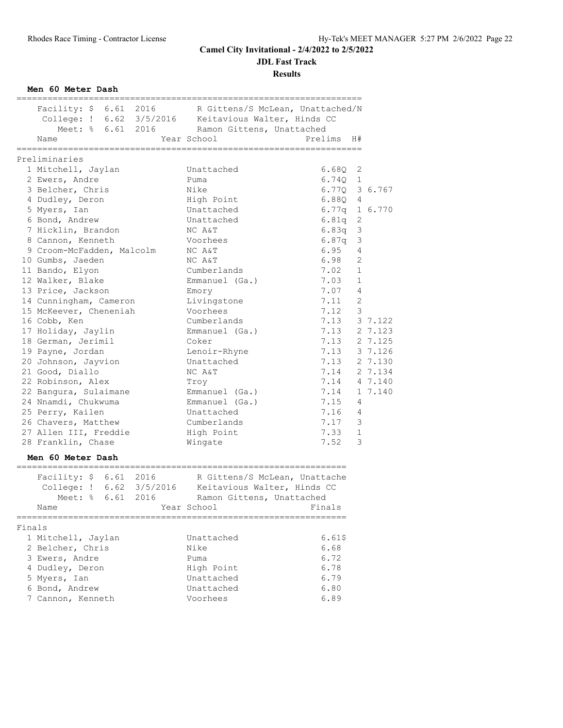**JDL Fast Track**

**Results**

**Men 60 Meter Dash**

|        | Facility: \$ 6.61 2016 R Gittens/S McLean, Unattached/N      |                                                                  |               |              |  |
|--------|--------------------------------------------------------------|------------------------------------------------------------------|---------------|--------------|--|
|        | College: ! 6.62 3/5/2016  Keitavious Walter, Hinds CC        |                                                                  |               |              |  |
|        | Meet: % 6.61 2016 Ramon Gittens, Unattached                  |                                                                  |               |              |  |
|        | Name                                                         | Year School                                                      | Prelims H#    |              |  |
|        |                                                              |                                                                  |               |              |  |
|        | Preliminaries<br>1 Mitchell, Jaylan                          | Unattached                                                       | 6.68Q         | 2            |  |
|        | 2 Ewers, Andre                                               | Puma                                                             | $6.74Q$ 1     |              |  |
|        |                                                              | Nike                                                             | 6.770 3 6.767 |              |  |
|        | 3 Belcher, Chris                                             |                                                                  |               |              |  |
|        | 4 Dudley, Deron                                              | High Point                                                       | $6.88Q$ 4     |              |  |
|        | 5 Myers, Ian                                                 | Unattached                                                       | 6.77q 1 6.770 |              |  |
|        | 6 Bond, Andrew                                               | Unattached                                                       | 6.81q         | 2            |  |
|        | 7 Hicklin, Brandon                                           | NC A&T                                                           | 6.83q         | 3            |  |
|        | 8 Cannon, Kenneth                                            | Voorhees                                                         | 6.87q         | 3            |  |
|        | 9 Croom-McFadden, Malcolm                                    | NC A&T                                                           | 6.95          | 4            |  |
|        | 10 Gumbs, Jaeden                                             | NC A&T                                                           | 6.98          | 2            |  |
|        | 11 Bando, Elyon                                              | Cumberlands                                                      | 7.02          | $\mathbf{1}$ |  |
|        | 12 Walker, Blake                                             | Emmanuel (Ga.)                                                   | 7.03          | $\mathbf{1}$ |  |
|        | 13 Price, Jackson                                            | Emory                                                            | 7.07          | 4            |  |
|        | 14 Cunningham, Cameron                                       | Livingstone                                                      | 7.11          | 2            |  |
|        | 15 McKeever, Cheneniah                                       | Voorhees                                                         | 7.12          | 3            |  |
|        | 16 Cobb, Ken                                                 | Cumberlands                                                      | 7.13          | 3 7.122      |  |
|        | 17 Holiday, Jaylin                                           | Emmanuel (Ga.)                                                   | 7.13          | 2 7.123      |  |
|        | 18 German, Jerimil                                           | Coker                                                            | 7.13          | 2 7.125      |  |
|        | 19 Payne, Jordan                                             | Lenoir-Rhyne                                                     | 7.13 3 7.126  |              |  |
|        | 20 Johnson, Jayvion                                          | Unattached                                                       | 7.13 2 7.130  |              |  |
|        | 21 Good, Diallo                                              | NC A&T                                                           | 7.14          | 2 7.134      |  |
|        | 22 Robinson, Alex                                            | Troy                                                             | 7.14 4 7.140  |              |  |
|        | 22 Bangura, Sulaimane                                        | Emmanuel (Ga.)                                                   | 7.14          | 1 7.140      |  |
|        | 24 Nnamdi, Chukwuma                                          | Emmanuel (Ga.)                                                   | 7.15          | 4            |  |
|        | 25 Perry, Kailen                                             | Unattached                                                       | 7.16          | 4            |  |
|        | 26 Chavers, Matthew                                          | Cumberlands                                                      | 7.17          | 3            |  |
|        | 27 Allen III, Freddie                                        | High Point                                                       | 7.33          | $\mathbf{1}$ |  |
|        | 28 Franklin, Chase                                           | Wingate                                                          | 7.52          | 3            |  |
|        | Men 60 Meter Dash                                            |                                                                  |               |              |  |
|        | ._________________________________<br>Facility: \$ 6.61 2016 | _______________________________<br>R Gittens/S McLean, Unattache |               |              |  |
|        |                                                              |                                                                  |               |              |  |
|        | Meet: % 6.61 2016                                            | Ramon Gittens, Unattached                                        |               |              |  |
|        |                                                              |                                                                  |               |              |  |
|        | Name                                                         | Year School Finals                                               |               |              |  |
| Finals |                                                              |                                                                  |               |              |  |
|        | 1 Mitchell, Jaylan                                           | Unattached                                                       | 6.61\$        |              |  |
|        | 2 Belcher, Chris                                             | Nike                                                             | 6.68          |              |  |
|        | 3 Ewers, Andre                                               | Puma                                                             | 6.72          |              |  |
|        | 4 Dudley, Deron                                              | High Point                                                       | 6.78          |              |  |
|        | 5 Myers, Ian                                                 | Unattached                                                       | 6.79          |              |  |
|        | 6 Bond, Andrew                                               | Unattached                                                       | 6.80          |              |  |
|        | 7 Cannon, Kenneth                                            | Voorhees                                                         | 6.89          |              |  |
|        |                                                              |                                                                  |               |              |  |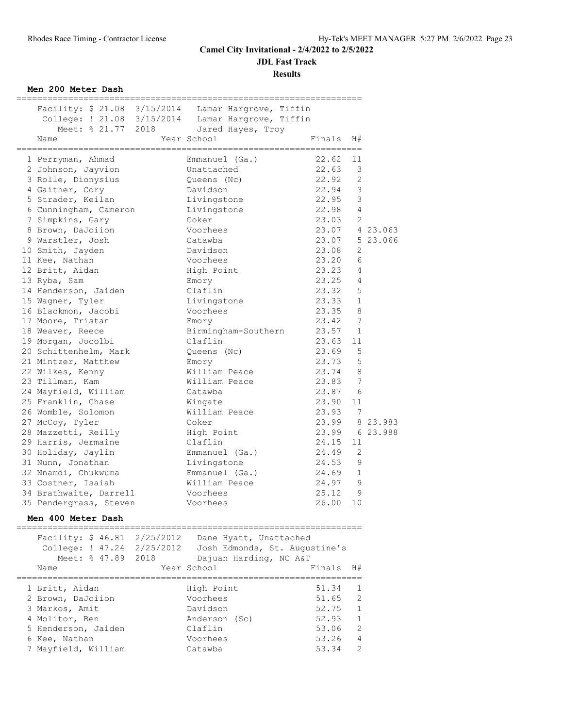**JDL Fast Track**

**Results**

**Men 200 Meter Dash**

| Facility: \$ 21.08 3/15/2014 Lamar Hargrove, Tiffin |                               |                  |                         |                |
|-----------------------------------------------------|-------------------------------|------------------|-------------------------|----------------|
| College: ! 21.08 3/15/2014 Lamar Hargrove, Tiffin   |                               |                  |                         |                |
| Meet: % 21.77 2018                                  | Jared Hayes, Troy             |                  |                         |                |
| Name                                                | Year School                   | Finals           | H#                      |                |
| 1 Perryman, Ahmad                                   | Emmanuel (Ga.)                | 22.62            | 11                      |                |
| 2 Johnson, Jayvion                                  | Unattached                    | 22.63            | 3                       |                |
| 3 Rolle, Dionysius                                  | Queens (Nc)                   | 22.92            | 2                       |                |
| 4 Gaither, Cory                                     | Davidson                      | 22.94            | $\overline{\mathbf{3}}$ |                |
| 5 Strader, Keilan                                   | Livingstone                   | 22.95            | $\mathcal{E}$           |                |
| 6 Cunningham, Cameron                               | Livingstone                   | 22.98 4          |                         |                |
| 7 Simpkins, Gary                                    | Coker                         | 23.03 2          |                         |                |
| 8 Brown, DaJoiion                                   | Voorhees                      | 23.07 4 23.063   |                         |                |
| 9 Warstler, Josh                                    | Catawba                       |                  |                         | 23.07 5 23.066 |
| 10 Smith, Jayden                                    | Davidson                      | 23.08            | 2                       |                |
| 11 Kee, Nathan                                      | Voorhees                      | 23.20            | 6                       |                |
| 12 Britt, Aidan                                     | High Point                    | 23.23            | $\overline{4}$          |                |
| 13 Ryba, Sam                                        | Emory                         | 23.25            | 4                       |                |
| 14 Henderson, Jaiden                                | Claflin                       | 23.32            | 5                       |                |
| 15 Wagner, Tyler                                    | Livingstone                   | 23.33            | 1                       |                |
| 16 Blackmon, Jacobi                                 | Voorhees                      | 23.35            | 8                       |                |
| 17 Moore, Tristan                                   |                               | 23.42            | 7                       |                |
| 18 Weaver, Reece                                    | Emory<br>Birmingham-Southern  | 23.57            | $\mathbf{1}$            |                |
| 19 Morgan, Jocolbi                                  | Claflin                       | 23.63            | 11                      |                |
| 20 Schittenhelm, Mark                               | Queens (Nc)                   | 23.69            | 5                       |                |
| 21 Mintzer, Matthew                                 | Emory                         | 23.73            | 5                       |                |
|                                                     | William Peace                 | 23.74 8          |                         |                |
| 22 Wilkes, Kenny                                    |                               |                  | 7                       |                |
| 23 Tillman, Kam                                     | William Peace                 | 23.83<br>23.87 6 |                         |                |
| 24 Mayfield, William                                | Catawba                       |                  |                         |                |
| 25 Franklin, Chase                                  | Wingate                       | 23.90            | 11                      |                |
| 26 Womble, Solomon                                  | William Peace                 | 23.93 7          |                         |                |
| 27 McCoy, Tyler                                     | Coker                         |                  |                         | 23.99 8 23.983 |
| 28 Mazzetti, Reilly                                 | High Point                    | 23.99 6 23.988   |                         |                |
| 29 Harris, Jermaine                                 | Claflin                       | 24.15            | 11                      |                |
| 30 Holiday, Jaylin                                  | Emmanuel (Ga.)                | 24.49            | 2                       |                |
| 31 Nunn, Jonathan                                   | Livingstone                   | 24.53            | 9                       |                |
| 32 Nnamdi, Chukwuma                                 | Emmanuel (Ga.)                | 24.69            | $\mathbf{1}$            |                |
| 33 Costner, Isaiah                                  | William Peace                 | 24.97            | 9                       |                |
| 34 Brathwaite, Darrell                              | Voorhees                      | 25.12            | 9                       |                |
| 35 Pendergrass, Steven                              | Voorhees                      | 26.00            | 10                      |                |
| Men 400 Meter Dash                                  |                               |                  |                         |                |
| Facility: \$ 46.81 2/25/2012                        | Dane Hyatt, Unattached        |                  |                         |                |
| College: ! 47.24 2/25/2012                          | Josh Edmonds, St. Augustine's |                  |                         |                |
| 2018<br>Meet: % 47.89                               | Dajuan Harding, NC A&T        |                  |                         |                |
| Name                                                | Year School                   | Finals           | H#                      |                |
|                                                     |                               |                  |                         |                |
| 1 Britt, Aidan                                      | High Point                    | 51.34            | 1                       |                |
| 2 Brown, DaJoiion                                   | Voorhees                      | 51.65            | 2                       |                |

 3 Markos, Amit Davidson 52.75 1 4 Molitor, Ben Anderson (Sc) 52.93 1 5 Henderson, Jaiden Claflin 53.06 2 6 Kee, Nathan Voorhees 53.26 4 7 Mayfield, William Catawba 53.34 2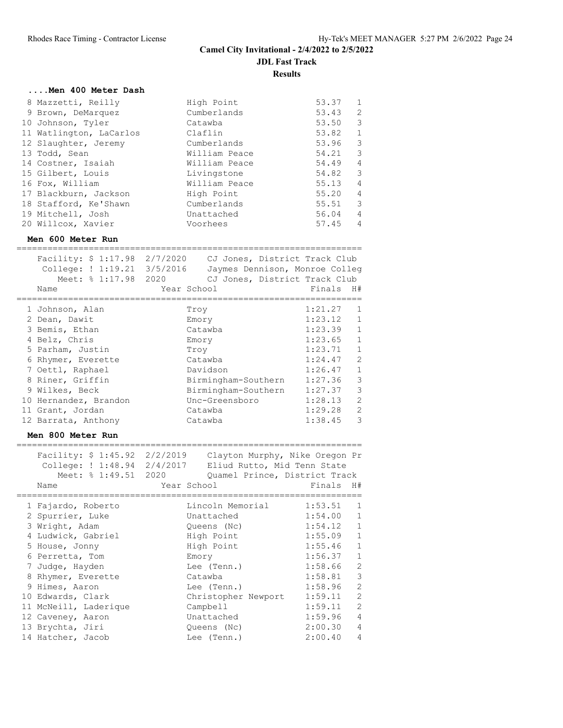| Men 400 Meter Dash      |               |       |                          |
|-------------------------|---------------|-------|--------------------------|
| 8 Mazzetti, Reilly      | High Point    | 53.37 | 1                        |
| 9 Brown, DeMarquez      | Cumberlands   | 53.43 | $\overline{c}$           |
| 10 Johnson, Tyler       | Catawba       | 53.50 | $\mathcal{S}$            |
| 11 Watlington, LaCarlos | Claflin       | 53.82 | $\mathbf{1}$             |
| 12 Slaughter, Jeremy    | Cumberlands   | 53.96 | $\overline{\phantom{a}}$ |
| 13 Todd, Sean           | William Peace | 54.21 | $\overline{\phantom{a}}$ |
| 14 Costner, Isaiah      | William Peace | 54.49 | $\overline{4}$           |
| 15 Gilbert, Louis       | Livingstone   | 54.82 | $\overline{\phantom{a}}$ |
| 16 Fox, William         | William Peace | 55.13 | $\overline{4}$           |
| 17 Blackburn, Jackson   | High Point    | 55.20 | $\overline{4}$           |
| 18 Stafford, Ke'Shawn   | Cumberlands   | 55.51 | $\overline{\phantom{a}}$ |
| 19 Mitchell, Josh       | Unattached    | 56.04 | $\overline{4}$           |
| 20 Willcox, Xavier      | Voorhees      | 57.45 | $\overline{4}$           |

#### **Men 600 Meter Run**

| Facility: \$ 1:17.98<br>College: ! 1:19.21<br>Meet: % 1:17.98<br>Name | 2/7/2020<br>3/5/2016<br>2020<br>Year School | CJ Jones, District Track Club<br>Jaymes Dennison, Monroe Colleg<br>CJ Jones, District Track Club | Finals  | H#             |
|-----------------------------------------------------------------------|---------------------------------------------|--------------------------------------------------------------------------------------------------|---------|----------------|
| 1 Johnson, Alan                                                       | Troy                                        |                                                                                                  | 1:21.27 | 1              |
| 2 Dean, Dawit                                                         |                                             | Emory                                                                                            | 1:23.12 | $\mathbf{1}$   |
| 3 Bemis, Ethan                                                        |                                             | Catawba                                                                                          | 1:23.39 | $\mathbf{1}$   |
| 4 Belz, Chris                                                         |                                             | Emory                                                                                            | 1:23.65 | $\mathbf{1}$   |
| 5 Parham, Justin                                                      | Troy                                        |                                                                                                  | 1:23.71 | $\mathbf{1}$   |
| 6 Rhymer, Everette                                                    |                                             | Catawba                                                                                          | 1:24.47 | 2              |
| 7 Oettl, Raphael                                                      |                                             | Davidson                                                                                         | 1:26.47 | $\mathbf{1}$   |
| 8 Riner, Griffin                                                      |                                             | Birmingham-Southern                                                                              | 1:27.36 | 3              |
| 9 Wilkes, Beck                                                        |                                             | Birmingham-Southern                                                                              | 1:27.37 | 3              |
| 10 Hernandez, Brandon                                                 |                                             | Unc-Greensboro                                                                                   | 1:28.13 | $\overline{2}$ |
| 11 Grant, Jordan                                                      |                                             | Catawba                                                                                          | 1:29.28 | 2              |
| 12 Barrata, Anthony                                                   |                                             | Catawba                                                                                          | 1:38.45 | 3              |

#### **Men 800 Meter Run**

| Facility: \$ 1:45.92<br>College: !1:48.94<br>Meet: % 1:49.51 2020<br>Name | 2/2/2019<br>2/4/2017<br>Year School | Clayton Murphy, Nike Oregon Pr<br>Eliud Rutto, Mid Tenn State<br>Ouamel Prince, District Track | Finals H# |                |
|---------------------------------------------------------------------------|-------------------------------------|------------------------------------------------------------------------------------------------|-----------|----------------|
| 1 Fajardo, Roberto                                                        |                                     | Lincoln Memorial                                                                               | 1:53.51   | 1              |
| 2 Spurrier, Luke                                                          |                                     | Unattached                                                                                     | 1:54.00   | $\mathbf{1}$   |
| 3 Wright, Adam                                                            |                                     | Queens (Nc)                                                                                    | 1:54.12   | $\mathbf{1}$   |
| 4 Ludwick, Gabriel                                                        |                                     | High Point                                                                                     | 1:55.09   | $\mathbf{1}$   |
| 5 House, Jonny                                                            |                                     | High Point                                                                                     | 1:55.46   | $\mathbf{1}$   |
| 6 Perretta, Tom                                                           |                                     | Emory                                                                                          | 1:56.37   | $\mathbf{1}$   |
| 7 Judge, Hayden                                                           |                                     | Lee (Tenn.)                                                                                    | 1:58.66   | $\overline{2}$ |
| 8 Rhymer, Everette                                                        |                                     | Catawba                                                                                        | 1:58.81   | 3              |
| 9 Himes, Aaron                                                            |                                     | Lee (Tenn.)                                                                                    | 1:58.96   | $\overline{2}$ |
| 10 Edwards, Clark                                                         |                                     | Christopher Newport                                                                            | 1:59.11   | $\overline{2}$ |
| 11 McNeill, Laderique                                                     |                                     | Campbell                                                                                       | 1:59.11   | $\mathfrak{D}$ |
| 12 Caveney, Aaron                                                         |                                     | Unattached                                                                                     | 1:59.96   | $\overline{4}$ |
| 13 Brychta, Jiri                                                          |                                     | Queens (Nc)                                                                                    | 2:00.30   | $\overline{4}$ |
| 14 Hatcher, Jacob                                                         |                                     | Lee (Tenn.)                                                                                    | 2:00.40   | $\overline{4}$ |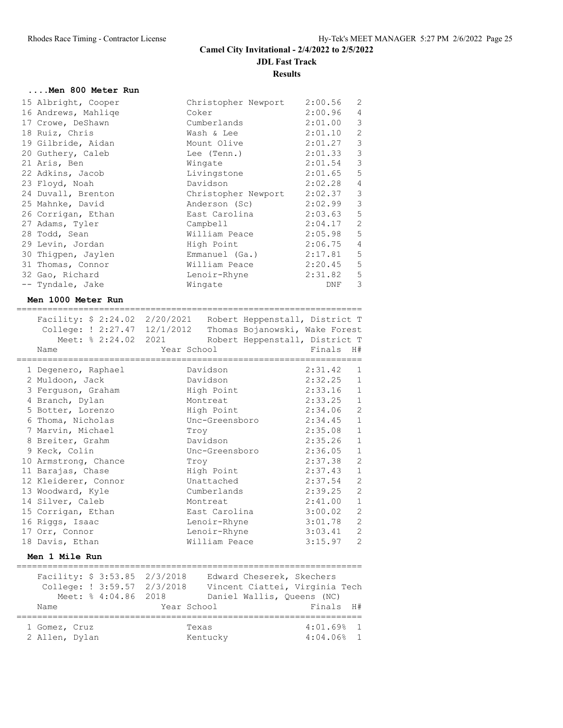## **....Men 800 Meter Run**

| 15 Albright, Cooper | Christopher Newport | 2:00.56     | 2                        |
|---------------------|---------------------|-------------|--------------------------|
| 16 Andrews, Mahlige | Coker               | 2:00.96     | $\overline{4}$           |
| 17 Crowe, DeShawn   | Cumberlands         | 2:01.00     | $\overline{\phantom{a}}$ |
| 18 Ruiz, Chris      | Wash & Lee          | 2:01.10     | $\mathbf{2}$             |
| 19 Gilbride, Aidan  | Mount Olive         | 2:01.27 3   |                          |
| 20 Guthery, Caleb   | Lee (Tenn.)         | 2:01.33 3   |                          |
| 21 Aris, Ben        | Wingate             | 2:01.54 3   |                          |
| 22 Adkins, Jacob    | Livingstone         | 2:01.65 5   |                          |
| 23 Floyd, Noah      | Davidson            | 2:02.28     | $\sqrt{4}$               |
| 24 Duvall, Brenton  | Christopher Newport | 2:02.37 3   |                          |
| 25 Mahnke, David    | Anderson (Sc)       | $2:02.99$ 3 |                          |
| 26 Corrigan, Ethan  | East Carolina       | 2:03.63 5   |                          |
| 27 Adams, Tyler     | Campbell            | 2:04.17     | $\mathbf{2}$             |
| 28 Todd, Sean       | William Peace       | $2:05.98$ 5 |                          |
| 29 Levin, Jordan    | High Point          | 2:06.75     | $\overline{4}$           |
| 30 Thigpen, Jaylen  | Emmanuel (Ga.)      | 2:17.81     | 5                        |
| 31 Thomas, Connor   | William Peace       | 2:20.45     | $\mathsf S$              |
| 32 Gao, Richard     | Lenoir-Rhyne        | 2:31.82     | $\mathsf S$              |
| -- Tyndale, Jake    | Wingate             | DNF         | 3                        |

===================================================================

#### **Men 1000 Meter Run**

| Facility: \$ 2:24.02 2/20/2021<br>College: ! 2:27.47 12/1/2012<br>Meet: % 2:24.02 2021<br>Name | Year School |                | Robert Heppenstall, District T<br>Thomas Bojanowski, Wake Forest<br>Robert Heppenstall, District T<br>Finals H# |                |
|------------------------------------------------------------------------------------------------|-------------|----------------|-----------------------------------------------------------------------------------------------------------------|----------------|
| 1 Degenero, Raphael                                                                            |             | Davidson       | 2:31.42                                                                                                         | $\mathbf{1}$   |
| 2 Muldoon, Jack                                                                                |             | Davidson       | 2:32.25                                                                                                         | $\mathbf{1}$   |
| 3 Ferguson, Graham                                                                             |             | High Point     | 2:33.16                                                                                                         | $\mathbf{1}$   |
| 4 Branch, Dylan                                                                                |             | Montreat       | 2:33.25                                                                                                         | $\,$ 1         |
| 5 Botter, Lorenzo                                                                              |             | High Point     | 2:34.06                                                                                                         | $\overline{c}$ |
| 6 Thoma, Nicholas                                                                              |             | Unc-Greensboro | 2:34.45                                                                                                         | $1\,$          |
| 7 Marvin, Michael                                                                              | Troy        |                | 2:35.08                                                                                                         | $\mathbf{1}$   |
| 8 Breiter, Grahm                                                                               |             | Davidson       | 2:35.26                                                                                                         | $\mathbf 1$    |
| 9 Keck, Colin                                                                                  |             | Unc-Greensboro | 2:36.05                                                                                                         | $\mathbf 1$    |
| 10 Armstrong, Chance                                                                           | Troy        |                | 2:37.38                                                                                                         | $\overline{c}$ |
| 11 Barajas, Chase                                                                              |             | High Point     | 2:37.43                                                                                                         | $\mathbf{1}$   |
| 12 Kleiderer, Connor                                                                           |             | Unattached     | 2:37.54                                                                                                         | $\mathbf{2}$   |
| 13 Woodward, Kyle                                                                              |             | Cumberlands    | 2:39.25                                                                                                         | $\mathbf{2}$   |
| 14 Silver, Caleb                                                                               |             | Montreat       | 2:41.00                                                                                                         | $\mathbf{1}$   |
| 15 Corrigan, Ethan                                                                             |             | East Carolina  | 3:00.02                                                                                                         | $\mathbf{2}$   |
| 16 Riggs, Isaac                                                                                |             | Lenoir-Rhyne   | 3:01.78                                                                                                         | $\mathbf{2}$   |
| 17 Orr, Connor                                                                                 |             | Lenoir-Rhyne   | 3:03.41                                                                                                         | $\mathbf{2}$   |
| 18 Davis, Ethan                                                                                |             | William Peace  | 3:15.97                                                                                                         | 2              |
|                                                                                                |             |                |                                                                                                                 |                |

# **Men 1 Mile Run**

|                |  |                      | Facility: \$ 3:53.85 2/3/2018 | Edward Cheserek, Skechers      |                          |  |  |
|----------------|--|----------------------|-------------------------------|--------------------------------|--------------------------|--|--|
|                |  |                      | College: ! 3:59.57 2/3/2018   | Vincent Ciattei, Virginia Tech |                          |  |  |
|                |  | Meet: % 4:04.86 2018 |                               | Daniel Wallis, Queens (NC)     |                          |  |  |
| Name           |  |                      | Year School                   |                                | Finals H#                |  |  |
|                |  |                      |                               |                                |                          |  |  |
| 1 Gomez, Cruz  |  |                      |                               | Texas                          | $4:01.69$ <sup>8</sup> 1 |  |  |
| 2 Allen, Dylan |  |                      |                               | Kentucky                       | $4:04.06%$ 1             |  |  |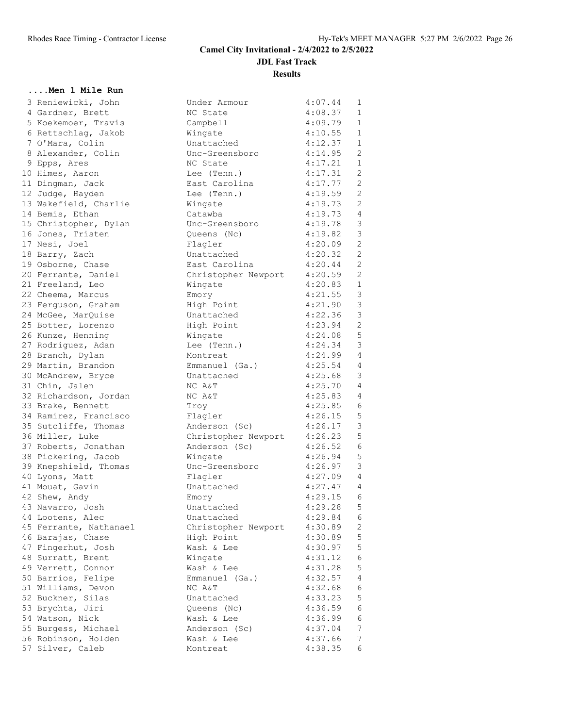#### **....Men 1 Mile Run**

| 3               | Reniewicki, John                       |
|-----------------|----------------------------------------|
| $\overline{4}$  | Gardner, Brett                         |
| 5               |                                        |
| $6\phantom{.}6$ | Koekemoer, Travis<br>Rettschlag, Jakob |
| $\overline{7}$  | O'Mara, Colin                          |
| - 8             | Alexander, Colin                       |
| 9               | Epps, Ares                             |
| 10              | Himes, Aaron                           |
| 11              | Dingman, Jack                          |
| 12              | Judge, Hayden                          |
| 13              | Wakefield, Charlie                     |
| 14              | Bemis, Ethan                           |
| 15              | Christopher, Dylan                     |
| 16              | Jones, Tristen                         |
| 17              | Nesi, Joel                             |
| 18              | Barry, Zach                            |
| 19              | Osborne, Chase                         |
| 20              | Ferrante, Daniel                       |
| 21              | Freeland, Leo                          |
| 22              | Cheema, Marcus                         |
| 23              |                                        |
| 24              | Ferguson, Graham<br>McGee, MarQuise    |
| 25              | Botter, Lorenzo                        |
|                 |                                        |
| 26<br>27        | Kunze, Henning                         |
|                 | Rodriguez, Adan                        |
| 28              | Branch, Dylan                          |
| 29              | Martin, Brandon                        |
| 30              | McAndrew, Bryce                        |
| 31              | Chin, Jalen                            |
| 32              | Richardson, Jordan                     |
| 33              | Brake, Bennett                         |
| 34              | Ramirez, Francisco                     |
| 35              | Sutcliffe, Thomas                      |
| 36              | Miller, Luke                           |
| 37              | Roberts, Jonathan                      |
| 38              | Pickering, Jacob                       |
| 39              | Knepshield, Thomas                     |
| 40              | Lyons, Matt                            |
| 41              | Mouat, Gavin                           |
| 42              | Shew, Andy                             |
| 43              | Navarro, Josh                          |
| 44              | Lootens, Alec                          |
| 45              | Ferrante, Nathanael                    |
| 46              | Barajas,<br>Chase                      |
| 47              | Fingerhut, Josh                        |
| 48              | Surratt, Brent                         |
| 49              | Verrett, Connor                        |
| 50              | Barrios,<br>Felipe                     |
| 51              | Williams,<br>Devon                     |
| 52              | Buckner,<br>Silas                      |
| 53              | Brychta,<br>Jiri                       |
| 54              | Watson, Nick                           |
| 55              | Burgess, Michael                       |
| 56              | Robinson, Holden                       |
| 57              | Silver, Caleb                          |
|                 |                                        |

| 3 Reniewicki, John     | Under Armour                | 4:07.44     | $\mathbf{1}$    |
|------------------------|-----------------------------|-------------|-----------------|
| 4 Gardner, Brett       | NC State                    | 4:08.37     | $\mathbf{1}$    |
| 5 Koekemoer, Travis    |                             | 4:09.79     | $\mathbf{1}$    |
|                        | Campbell                    |             | $\mathbf{1}$    |
| 6 Rettschlag, Jakob    | Wingate                     | 4:10.55     |                 |
| 7 O'Mara, Colin        | Unattached                  | 4:12.37     | $\mathbf{1}$    |
| 8 Alexander, Colin     | Unc-Greensboro              | 4:14.95     | 2               |
| 9 Epps, Ares           | NC State                    | 4:17.21     | $\mathbf{1}$    |
| 10 Himes, Aaron        | Lee (Tenn.)                 | 4:17.31     | 2               |
| 11 Dingman, Jack       | East Carolina               | 4:17.77     | 2               |
| 12 Judge, Hayden       | Lee (Tenn.)                 | 4:19.59     | 2               |
| 13 Wakefield, Charlie  | Wingate                     | 4:19.73     | 2               |
| 14 Bemis, Ethan        | Catawba                     | 4:19.73     | $\overline{4}$  |
| 15 Christopher, Dylan  | Unc-Greensboro              | 4:19.78     | 3               |
| 16 Jones, Tristen      | Queens (Nc)                 | 4:19.82     | $\mathcal{E}$   |
| 17 Nesi, Joel          | Flagler                     | 4:20.09     | 2               |
| 18 Barry, Zach         | Unattached                  | 4:20.32     | 2               |
| 19 Osborne, Chase      | East Carolina               | 4:20.44     | 2               |
| 20 Ferrante, Daniel    | Christopher Newport         | 4:20.59     | 2               |
| 21 Freeland, Leo       | Wingate                     | 4:20.83 1   |                 |
|                        |                             | 4:21.55     |                 |
| 22 Cheema, Marcus      | Emory                       |             | $\mathcal{S}$   |
| 23 Ferguson, Graham    | High Point                  | 4:21.90     | $\mathcal{E}$   |
| 24 McGee, MarQuise     | Unattached                  | 4:22.36     | $\mathcal{E}$   |
| 25 Botter, Lorenzo     | High Point                  | 4:23.94     | $\overline{2}$  |
| 26 Kunze, Henning      | Wingate                     | 4:24.08     | $5\phantom{.0}$ |
| 27 Rodriguez, Adan     | Lee (Tenn.)                 | 4:24.34     | 3               |
| 28 Branch, Dylan       | Montreat                    | 4:24.99     | $\overline{4}$  |
| 29 Martin, Brandon     | Emmanuel (Ga.)              | 4:25.54     | $\overline{4}$  |
| 30 McAndrew, Bryce     | Unattached                  | 4:25.68     | 3               |
| 31 Chin, Jalen         | NC A&T                      | 4:25.70     | $\overline{4}$  |
| 32 Richardson, Jordan  | NC A&T                      | 4:25.83     | 4               |
| 33 Brake, Bennett      | Troy                        | 4:25.85 6   |                 |
| 34 Ramirez, Francisco  | Flagler                     | 4:26.15     | 5               |
| 35 Sutcliffe, Thomas   | Anderson (Sc)               | 4:26.17     | $\mathcal{S}$   |
| 36 Miller, Luke        | Christopher Newport 4:26.23 |             | $\mathsf S$     |
| 37 Roberts, Jonathan   | Anderson (Sc)               | 4:26.52     | 6               |
| 38 Pickering, Jacob    | Wingate                     | 4:26.94     | 5               |
|                        |                             | 4:26.97     | 3               |
| 39 Knepshield, Thomas  | Unc-Greensboro              |             |                 |
| 40 Lyons, Matt         | Flagler                     | $4:27.09$ 4 |                 |
| 41 Mouat, Gavin        | Unattached                  | 4:27.47     | $\overline{4}$  |
| 42 Shew, Andy          | Emory                       | 4:29.15     | - 6             |
| 43 Navarro, Josh       | Unattached                  | 4:29.28     | 5               |
| 44 Lootens, Alec       | Unattached                  | 4:29.84     | 6               |
| 45 Ferrante, Nathanael | Christopher Newport         | 4:30.89     | 2               |
| 46 Barajas, Chase      | High Point                  | 4:30.89     | 5               |
| 47 Fingerhut, Josh     | Wash & Lee                  | 4:30.97     | 5               |
| 48 Surratt, Brent      | Wingate                     | 4:31.12     | 6               |
| 49 Verrett, Connor     | Wash & Lee                  | 4:31.28     | 5               |
| 50 Barrios, Felipe     | Emmanuel (Ga.)              | 4:32.57     | 4               |
| 51 Williams, Devon     | NC A&T                      | 4:32.68     | 6               |
| 52 Buckner, Silas      | Unattached                  | 4:33.23     | $\mathsf S$     |
| 53 Brychta, Jiri       | Queens (Nc)                 | 4:36.59     | 6               |
| 54 Watson, Nick        | Wash & Lee                  | 4:36.99     | 6               |
| 55 Burgess, Michael    | Anderson (Sc)               | 4:37.04     | 7               |
| 56 Robinson, Holden    | Wash & Lee                  | 4:37.66     | 7               |
| 57 Silver, Caleb       | Montreat                    | 4:38.35     | 6               |
|                        |                             |             |                 |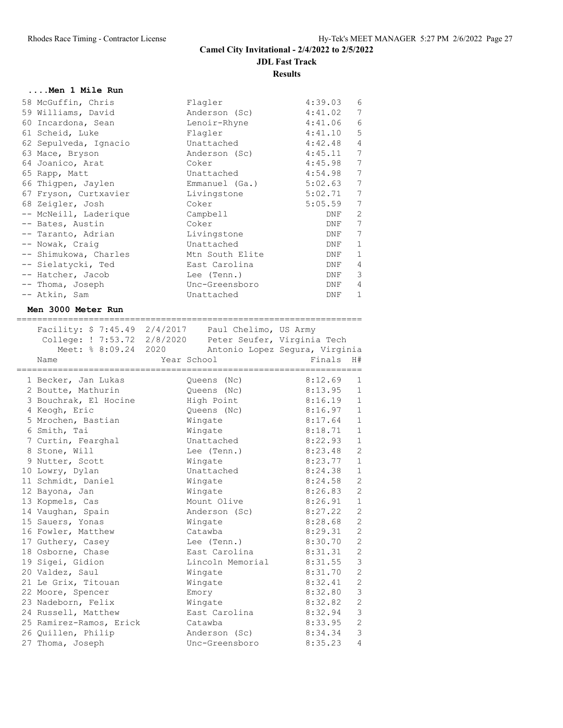## **....Men 1 Mile Run**

| 58 McGuffin, Chris    | Flagler         | 4:39.03 | 6              |
|-----------------------|-----------------|---------|----------------|
| 59 Williams, David    | Anderson (Sc)   | 4:41.02 | $\overline{7}$ |
| 60 Incardona, Sean    | Lenoir-Rhyne    | 4:41.06 | $\epsilon$     |
| 61 Scheid, Luke       | Flagler         | 4:41.10 | $\mathsf S$    |
| 62 Sepulveda, Ignacio | Unattached      | 4:42.48 | 4              |
| 63 Mace, Bryson       | Anderson (Sc)   | 4:45.11 | 7              |
| 64 Joanico, Arat      | Coker           | 4:45.98 | 7              |
| 65 Rapp, Matt         | Unattached      | 4:54.98 | 7              |
| 66 Thigpen, Jaylen    | Emmanuel (Ga.)  | 5:02.63 | 7              |
| 67 Fryson, Curtxavier | Livingstone     | 5:02.71 | 7              |
| 68 Zeigler, Josh      | Coker           | 5:05.59 | 7              |
| -- McNeill, Laderique | Campbell        | DNF     | 2              |
| -- Bates, Austin      | Coker           | DNF     | 7              |
| -- Taranto, Adrian    | Livingstone     | DNF     | 7              |
| -- Nowak, Craiq       | Unattached      | DNF     | 1              |
| -- Shimukowa, Charles | Mtn South Elite | DNF     | 1              |
| -- Sielatycki, Ted    | East Carolina   | DNF     | 4              |
| -- Hatcher, Jacob     | Lee (Tenn.)     | DNF     | 3              |
| -- Thoma, Joseph      | Unc-Greensboro  | DNF     | 4              |
| -- Atkin, Sam         | Unattached      | DNF     | $\mathbf{1}$   |
|                       |                 |         |                |

===================================================================

#### **Men 3000 Meter Run**

| Facility: \$ 7:45.49 2/4/2017 Paul Chelimo, US Army<br>College: ! 7:53.72 2/8/2020 Peter Seufer, Virginia Tech<br>Meet: % 8:09.24 2020<br>Name | Year School<br>----------------- |                  | Antonio Lopez Segura, Virginia<br>Finals<br>--------------- | H#             |
|------------------------------------------------------------------------------------------------------------------------------------------------|----------------------------------|------------------|-------------------------------------------------------------|----------------|
| 1 Becker, Jan Lukas                                                                                                                            |                                  | Oueens (Nc)      | 8:12.69                                                     | $\mathbf{1}$   |
| 2 Boutte, Mathurin                                                                                                                             |                                  | Queens (Nc)      | 8:13.95                                                     | 1              |
| 3 Bouchrak, El Hocine                                                                                                                          |                                  | High Point       | 8:16.19                                                     | $\mathbf{1}$   |
| 4 Keogh, Eric                                                                                                                                  |                                  | Queens (Nc)      | 8:16.97                                                     | $\mathbf{1}$   |
| 5 Mrochen, Bastian                                                                                                                             |                                  | Wingate          | 8:17.64                                                     | $\mathbf{1}$   |
| 6 Smith, Tai                                                                                                                                   |                                  | Wingate          | 8:18.71                                                     | $\mathbf{1}$   |
| 7 Curtin, Fearghal                                                                                                                             |                                  | Unattached       | 8:22.93                                                     | $\mathbf{1}$   |
| 8 Stone, Will                                                                                                                                  |                                  | Lee (Tenn.)      | 8:23.48                                                     | 2              |
| 9 Nutter, Scott                                                                                                                                |                                  | Wingate          | 8:23.77                                                     | $\mathbf{1}$   |
| 10 Lowry, Dylan                                                                                                                                |                                  | Unattached       | 8:24.38                                                     | $\mathbf{1}$   |
| 11 Schmidt, Daniel                                                                                                                             |                                  | Wingate          | 8:24.58                                                     | 2              |
| 12 Bayona, Jan                                                                                                                                 |                                  | Wingate          | 8:26.83                                                     | $\overline{2}$ |
| 13 Kopmels, Cas                                                                                                                                |                                  | Mount Olive      | 8:26.91                                                     | $\mathbf{1}$   |
| 14 Vaughan, Spain                                                                                                                              |                                  | Anderson (Sc)    | 8:27.22                                                     | 2              |
| 15 Sauers, Yonas                                                                                                                               |                                  | Wingate          | 8:28.68                                                     | $\overline{2}$ |
| 16 Fowler, Matthew                                                                                                                             |                                  | Catawba          | 8:29.31                                                     | $\overline{2}$ |
| 17 Guthery, Casey                                                                                                                              |                                  | Lee (Tenn.)      | 8:30.70                                                     | $\overline{c}$ |
| 18 Osborne, Chase                                                                                                                              |                                  | East Carolina    | 8:31.31                                                     | $\overline{2}$ |
| 19 Sigei, Gidion                                                                                                                               |                                  | Lincoln Memorial | 8:31.55                                                     | $\mathfrak{Z}$ |
| 20 Valdez, Saul                                                                                                                                |                                  | Wingate          | 8:31.70                                                     | $\overline{c}$ |
| 21 Le Grix, Titouan                                                                                                                            |                                  | Wingate          | 8:32.41                                                     | $\overline{c}$ |
| 22 Moore, Spencer                                                                                                                              |                                  | Emory            | 8:32.80                                                     | 3              |
| 23 Nadeborn, Felix                                                                                                                             |                                  | Wingate          | 8:32.82                                                     | $\overline{c}$ |
| 24 Russell, Matthew                                                                                                                            |                                  | East Carolina    | 8:32.94                                                     | 3              |
| 25 Ramirez-Ramos, Erick                                                                                                                        |                                  | Catawba          | 8:33.95                                                     | $\overline{c}$ |
| 26 Quillen, Philip                                                                                                                             |                                  | Anderson (Sc)    | 8:34.34                                                     | 3              |
| 27 Thoma, Joseph                                                                                                                               |                                  | Unc-Greensboro   | 8:35.23                                                     | $\overline{4}$ |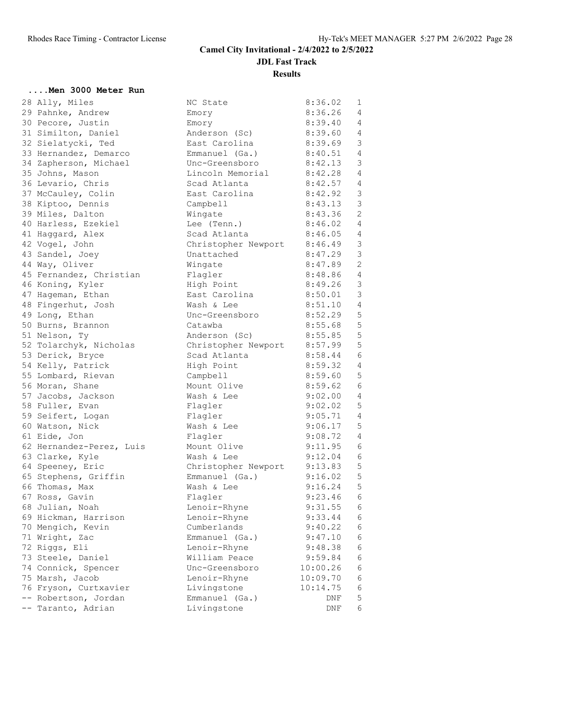## **....Men 3000 Meter Run**

| 28 Ally, Miles           | NC State                    | 8:36.02     | 1              |
|--------------------------|-----------------------------|-------------|----------------|
| 29 Pahnke, Andrew        | Emory                       | 8:36.26     | 4              |
| 30 Pecore, Justin        | Emory                       | 8:39.40     | 4              |
| 31 Similton, Daniel      | Anderson (Sc)               | 8:39.60     | 4              |
| 32 Sielatycki, Ted       | East Carolina               | 8:39.69     | $\mathcal{S}$  |
| 33 Hernandez, Demarco    | Emmanuel (Ga.)              | 8:40.51     | $\overline{4}$ |
| 34 Zapherson, Michael    | Unc-Greensboro              | 8:42.13     | 3              |
| 35 Johns, Mason          | Lincoln Memorial 8:42.28    |             | $\overline{4}$ |
| 36 Levario, Chris        | Scad Atlanta                | 8:42.57     | 4              |
| 37 McCauley, Colin       | East Carolina               | 8:42.92     | 3              |
| 38 Kiptoo, Dennis        | Campbell                    | 8:43.13     | $\mathcal{E}$  |
| 39 Miles, Dalton         | Wingate                     | 8:43.36     | 2              |
| 40 Harless, Ezekiel      | Lee (Tenn.)                 | 8:46.02     | $\overline{4}$ |
| 41 Haggard, Alex         | Scad Atlanta                | $8:46.05$ 4 |                |
| 42 Vogel, John           | Christopher Newport 8:46.49 |             | $\mathcal{E}$  |
| 43 Sandel, Joey          | Unattached                  | 8:47.29     | $\mathcal{S}$  |
| 44 Way, Oliver           | Wingate                     | 8:47.89     | 2              |
| 45 Fernandez, Christian  | Flagler                     | 8:48.86     | $\overline{4}$ |
| 46 Koning, Kyler         | High Point                  | 8:49.26     | $\overline{3}$ |
| 47 Hageman, Ethan        | East Carolina               | 8:50.01     | $\mathcal{E}$  |
| 48 Fingerhut, Josh       | Wash & Lee                  | 8:51.10     | $\overline{4}$ |
| 49 Long, Ethan           | Unc-Greensboro              | 8:52.29     | 5              |
| 50 Burns, Brannon        | Catawba                     | 8:55.68     | 5              |
| 51 Nelson, Ty            | Anderson (Sc)               | 8:55.85     | 5              |
| 52 Tolarchyk, Nicholas   | Christopher Newport 8:57.99 |             | 5              |
| 53 Derick, Bryce         | Scad Atlanta                | 8:58.44     | 6              |
| 54 Kelly, Patrick        | High Point                  | 8:59.32     | $\overline{4}$ |
| 55 Lombard, Rievan       | Campbell                    | 8:59.60     | 5              |
| 56 Moran, Shane          | Mount Olive                 | 8:59.62     | 6              |
| 57 Jacobs, Jackson       | Wash & Lee                  | 9:02.00     | $\overline{4}$ |
| 58 Fuller, Evan          | Flagler                     | 9:02.02     | 5              |
| 59 Seifert, Logan        | Flaqler                     | 9:05.71 4   |                |
| 60 Watson, Nick          | Wash & Lee                  | 9:06.17     | 5              |
| 61 Eide, Jon             | Flagler                     | 9:08.72     | $\overline{4}$ |
| 62 Hernandez-Perez, Luis | Mount Olive                 | 9:11.95     | 6              |
| 63 Clarke, Kyle          | Wash & Lee                  | 9:12.04     | - 6            |
| 64 Speeney, Eric         | Christopher Newport         | 9:13.83     | $-5$           |
| 65 Stephens, Griffin     | Emmanuel (Ga.)              | 9:16.02 5   |                |
| 66 Thomas, Max           | Wash & Lee                  | 9:16.24     | 5              |
| 67 Ross, Gavin           | Flagler                     | $9:23.46$ 6 |                |
| 68 Julian, Noah          | Lenoir-Rhyne                | 9:31.55     | 6              |
| 69 Hickman, Harrison     | Lenoir-Rhyne                | 9:33.44     | 6              |
| 70 Mengich, Kevin        | Cumberlands                 | 9:40.22     | 6              |
| 71 Wright, Zac           | Emmanuel (Ga.)              | 9:47.10     | 6              |
| 72 Riggs, Eli            | Lenoir-Rhyne                | 9:48.38     | 6              |
| 73 Steele, Daniel        | William Peace               | 9:59.84     | 6              |
| 74 Connick, Spencer      | Unc-Greensboro              | 10:00.26    | 6              |
| 75 Marsh, Jacob          | Lenoir-Rhyne                | 10:09.70    | 6              |
| 76 Fryson, Curtxavier    | Livingstone                 | 10:14.75    | 6              |
| -- Robertson, Jordan     | Emmanuel (Ga.)              | DNF         | 5              |
| -- Taranto, Adrian       | Livingstone                 | DNF         | 6              |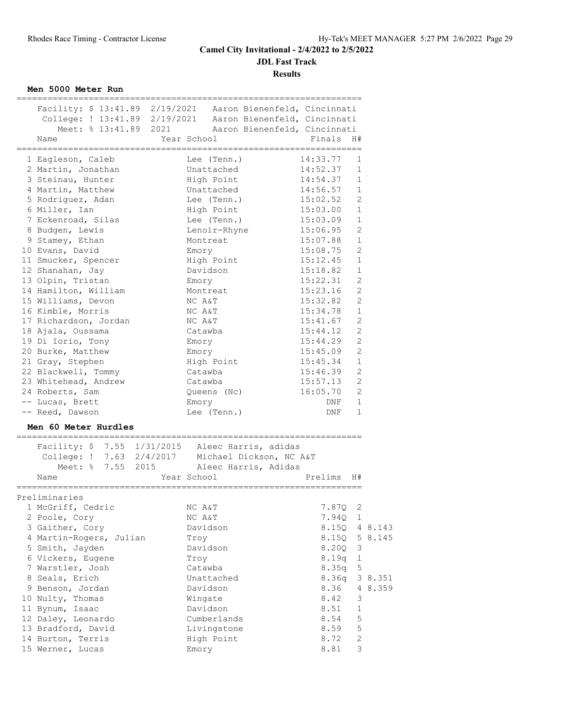**Results**

**Men 5000 Meter Run**

| Facility: \$ 13:41.89 2/19/2021 Aaron Bienenfeld, Cincinnati |              |                              |          |                |         |
|--------------------------------------------------------------|--------------|------------------------------|----------|----------------|---------|
| College: ! 13:41.89 2/19/2021 Aaron Bienenfeld, Cincinnati   |              |                              |          |                |         |
| Meet: % 13:41.89 2021                                        |              | Aaron Bienenfeld, Cincinnati |          |                |         |
| Name                                                         | Year School  |                              | Finals   | H#             |         |
|                                                              |              |                              |          |                |         |
| 1 Eagleson, Caleb                                            | Lee (Tenn.)  |                              | 14:33.77 | 1              |         |
| 2 Martin, Jonathan                                           | Unattached   |                              | 14:52.37 | 1              |         |
| 3 Steinau, Hunter                                            | High Point   |                              | 14:54.37 | 1              |         |
| 4 Martin, Matthew                                            | Unattached   |                              | 14:56.57 | 1              |         |
| 5 Rodriguez, Adan                                            | Lee (Tenn.)  |                              | 15:02.52 | 2              |         |
| 6 Miller, Ian                                                | High Point   |                              | 15:03.00 | $\mathbf{1}$   |         |
| 7 Eckenroad, Silas                                           | Lee (Tenn.)  |                              | 15:03.09 | 1              |         |
| 8 Budgen, Lewis                                              | Lenoir-Rhyne |                              | 15:06.95 | $\mathbf{2}$   |         |
| 9 Stamey, Ethan                                              | Montreat     |                              | 15:07.88 | $\mathbf 1$    |         |
| 10 Evans, David                                              | Emory        |                              | 15:08.75 | $\overline{2}$ |         |
| 11 Smucker, Spencer                                          | High Point   |                              | 15:12.45 | $\mathbf 1$    |         |
| 12 Shanahan, Jay                                             | Davidson     |                              | 15:18.82 | $\mathbf{1}$   |         |
| 13 Olpin, Tristan                                            | Emory        |                              | 15:22.31 | $\overline{c}$ |         |
| 14 Hamilton, William                                         | Montreat     |                              | 15:23.16 | $\mathbf{2}$   |         |
| 15 Williams, Devon                                           | NC A&T       |                              | 15:32.82 | 2              |         |
| 16 Kimble, Morris                                            |              |                              | 15:34.78 | $\mathbf 1$    |         |
|                                                              | NC A&T       |                              |          | $\overline{2}$ |         |
| 17 Richardson, Jordan                                        | NC A&T       |                              | 15:41.67 | $\overline{2}$ |         |
| 18 Ajala, Oussama                                            | Catawba      |                              | 15:44.12 |                |         |
| 19 Di Iorio, Tony                                            | Emory        |                              | 15:44.29 | $\mathbf{2}$   |         |
| 20 Burke, Matthew                                            | Emory        |                              | 15:45.09 | $\mathbf{2}$   |         |
| 21 Gray, Stephen                                             | High Point   |                              | 15:45.34 | $\mathbf 1$    |         |
| 22 Blackwell, Tommy                                          | Catawba      |                              | 15:46.39 | $\mathbf{2}$   |         |
| 23 Whitehead, Andrew                                         | Catawba      |                              | 15:57.13 | $\overline{2}$ |         |
| 24 Roberts, Sam                                              | Queens (Nc)  |                              | 16:05.70 | $\overline{c}$ |         |
| -- Lucas, Brett                                              | Emory        |                              | DNF      | $\mathbf 1$    |         |
| -- Reed, Dawson                                              | Lee (Tenn.)  |                              | DNF      | $\mathbf{1}$   |         |
| Men 60 Meter Hurdles                                         |              |                              |          |                |         |
| Facility: \$ 7.55 1/31/2015 Aleec Harris, adidas             |              |                              |          |                |         |
| College: ! 7.63 2/4/2017 Michael Dickson, NC A&T             |              |                              |          |                |         |
| Meet: % 7.55 2015 Aleec Harris, Adidas                       |              |                              |          |                |         |
| Name                                                         | Year School  |                              | Prelims  | H#             |         |
|                                                              |              |                              |          |                |         |
| Preliminaries                                                |              |                              |          |                |         |
| 1 McGriff, Cedric                                            | NC A&T       |                              | 7.87Q    | 2              |         |
| 2 Poole, Cory                                                | NC A&T       |                              | 7.94Q    | 1              |         |
| 3 Gaither, Cory                                              | Davidson     |                              | 8.15Q    |                | 4 8.143 |
| 4 Martin-Rogers, Julian                                      | Troy         |                              | 8.15Q    |                | 5 8.145 |
| 5 Smith, Jayden                                              | Davidson     |                              | 8.20Q    | 3              |         |
| 6 Vickers, Eugene                                            | Troy         |                              | 8.19q    | $\mathbf{1}$   |         |
| 7 Warstler, Josh                                             | Catawba      |                              | 8.35q    | $\mathsf S$    |         |
| 8 Seals, Erich                                               | Unattached   |                              | 8.36q    |                | 3 8.351 |
| 9 Benson, Jordan                                             | Davidson     |                              | 8.36     |                | 4 8.359 |
| 10 Nulty, Thomas                                             | Wingate      |                              | 8.42     | 3              |         |
| 11 Bynum, Isaac                                              | Davidson     |                              | 8.51     | $\mathbf 1$    |         |
|                                                              |              |                              |          |                |         |

 12 Daley, Leonardo Cumberlands 8.54 5 13 Bradford, David Livingstone 8.59 5 14 Burton, Terris and High Point 8.72 2 15 Werner, Lucas **Emory** Emory 8.81 3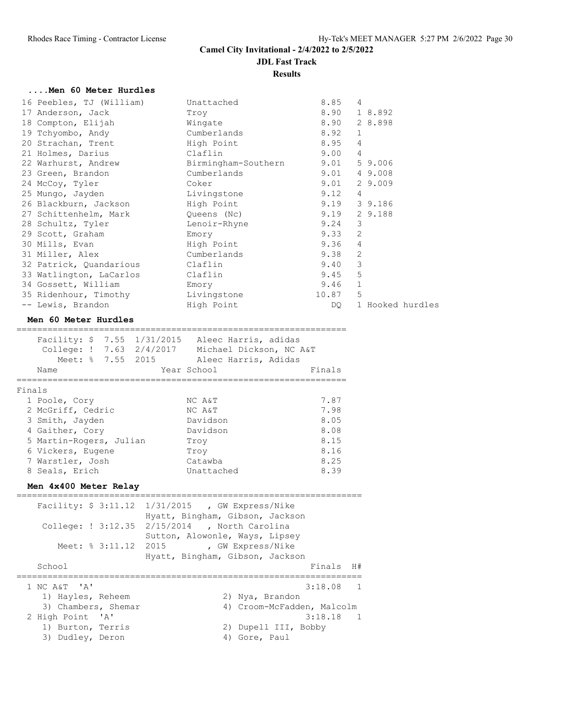#### **Results**

#### **....Men 60 Meter Hurdles**

| 16 Peebles, TJ (William)                     | Unattached       | 8.85  | 4                |
|----------------------------------------------|------------------|-------|------------------|
| 17 Anderson, Jack                            | Troy             | 8.90  | 1 8.892          |
| 18 Compton, Elijah Mingate                   |                  | 8.90  | 2 8.898          |
| 19 Tchyombo, Andy                            | Cumberlands      | 8.92  | $\mathbf 1$      |
| 20 Strachan, Trent                           | High Point       | 8.95  | $\overline{4}$   |
| 21 Holmes, Darius                            | Claflin          | 9.00  | 4                |
| 22 Warhurst, Andrew Birmingham-Southern 9.01 |                  |       | 59.006           |
| 23 Green, Brandon                            | Cumberlands 9.01 |       | 4 9.008          |
| 24 McCoy, Tyler                              | Coker            | 9.01  | 2 9.009          |
| 25 Mungo, Jayden                             | Livingstone      | 9.12  | $\overline{4}$   |
| 26 Blackburn, Jackson and High Point         |                  |       | $9.19$ 3 9.186   |
| 27 Schittenhelm, Mark Cueens (Nc)            |                  |       | $9.19$ 2 9.188   |
| 28 Schultz, Tyler Contr-Rhyne                |                  | 9.24  | 3                |
| 29 Scott, Graham                             | Emory            | 9.33  | $\overline{2}$   |
| 30 Mills, Evan                               | High Point       | 9.36  | $\overline{4}$   |
| 31 Miller, Alex                              | Cumberlands      | 9.38  | 2                |
| 32 Patrick, Quandarious Claflin              |                  | 9.40  | 3                |
| 33 Watlington, LaCarlos Claflin              |                  | 9.45  | 5                |
| 34 Gossett, William Emory                    |                  | 9.46  | $\mathbf{1}$     |
| 35 Ridenhour, Timothy Livingstone            |                  | 10.87 | 5                |
| -- Lewis, Brandon                            | High Point       | DQ —  | 1 Hooked hurdles |

#### **Men 60 Meter Hurdles**

|        | Name                    |  | Facility: $$7.55$ $1/31/2015$<br>College: ! 7.63 2/4/2017<br>Meet: % 7.55 2015 | Aleec Harris, adidas<br>Michael Dickson, NC A&T<br>Aleec Harris, Adidas<br>Year School | Finals |
|--------|-------------------------|--|--------------------------------------------------------------------------------|----------------------------------------------------------------------------------------|--------|
| Finals |                         |  |                                                                                |                                                                                        |        |
|        | 1 Poole, Cory           |  |                                                                                | NC A&T                                                                                 | 7.87   |
|        | 2 McGriff, Cedric       |  |                                                                                | NC A&T                                                                                 | 7.98   |
|        | 3 Smith, Jayden         |  |                                                                                | Davidson                                                                               | 8.05   |
|        | 4 Gaither, Cory         |  |                                                                                | Davidson                                                                               | 8.08   |
|        | 5 Martin-Rogers, Julian |  |                                                                                | Trov                                                                                   | 8.15   |
|        | 6 Vickers, Eugene       |  |                                                                                | Trov                                                                                   | 8.16   |
|        | 7 Warstler, Josh        |  |                                                                                | Catawba                                                                                | 8.25   |
|        | 8 Seals, Erich          |  |                                                                                | Unattached                                                                             | 8.39   |

#### **Men 4x400 Meter Relay**

| Meet: % 3:11.12 2015 | Facility: \$ 3:11.12 1/31/2015 , GW Express/Nike<br>Hyatt, Bingham, Gibson, Jackson<br>College: ! 3:12.35 2/15/2014 , North Carolina<br>Sutton, Alowonle, Ways, Lipsey<br>, GW Express/Nike<br>Hyatt, Bingham, Gibson, Jackson |
|----------------------|--------------------------------------------------------------------------------------------------------------------------------------------------------------------------------------------------------------------------------|
| School               | Finals<br>H#                                                                                                                                                                                                                   |
| 1 NC A&T 'A'         | $3:18.08$ 1                                                                                                                                                                                                                    |
| 1) Hayles, Reheem    | 2) Nya, Brandon                                                                                                                                                                                                                |
| 3) Chambers, Shemar  | 4) Croom-McFadden, Malcolm                                                                                                                                                                                                     |
| 2 High Point 'A'     | $3:18.18$ 1                                                                                                                                                                                                                    |
| 1) Burton, Terris    | 2) Dupell III, Bobby                                                                                                                                                                                                           |
| 3) Dudley, Deron     | Gore, Paul                                                                                                                                                                                                                     |

===================================================================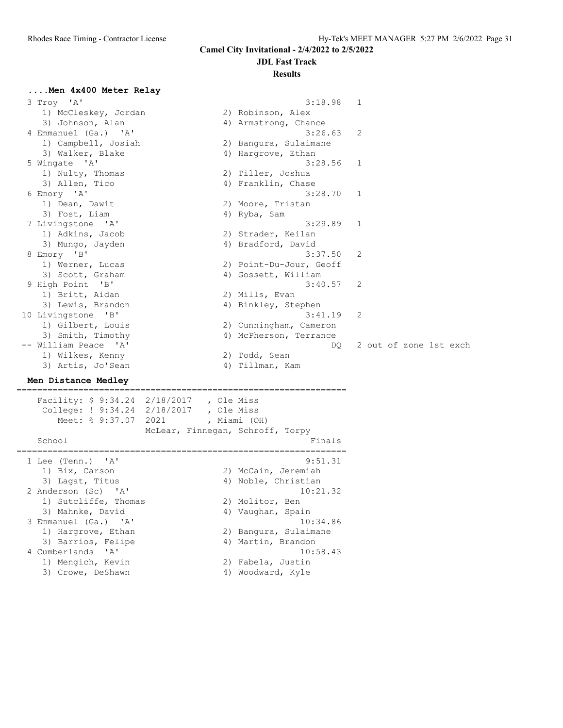#### **JDL Fast Track Results**

## **....Men 4x400 Meter Relay**

| 3 Troy 'A'                                   |                                  | 3:18.98                 | $\mathbf{1}$           |
|----------------------------------------------|----------------------------------|-------------------------|------------------------|
| 1) McCleskey, Jordan                         |                                  | 2) Robinson, Alex       |                        |
| 3) Johnson, Alan                             |                                  | 4) Armstrong, Chance    |                        |
| 4 Emmanuel (Ga.) 'A'                         |                                  | 3:26.63                 | 2                      |
| 1) Campbell, Josiah                          |                                  | 2) Bangura, Sulaimane   |                        |
| 3) Walker, Blake                             |                                  | 4) Hargrove, Ethan      |                        |
| 5 Wingate 'A'                                |                                  | 3:28.56                 | $\mathbf{1}$           |
| 1) Nulty, Thomas                             |                                  | 2) Tiller, Joshua       |                        |
| 3) Allen, Tico                               |                                  | 4) Franklin, Chase      |                        |
| 6 Emory 'A'                                  |                                  | 3:28.70                 | 1                      |
| 1) Dean, Dawit                               |                                  | 2) Moore, Tristan       |                        |
| 3) Fost, Liam                                |                                  | 4) Ryba, Sam            |                        |
| 7 Livingstone 'A'                            |                                  | 3:29.89                 | 1                      |
| 1) Adkins, Jacob                             |                                  | 2) Strader, Keilan      |                        |
| 3) Mungo, Jayden                             |                                  | 4) Bradford, David      |                        |
| 8 Emory 'B'                                  |                                  | 3:37.50                 | 2                      |
| 1) Werner, Lucas                             |                                  | 2) Point-Du-Jour, Geoff |                        |
| 3) Scott, Graham                             |                                  | 4) Gossett, William     |                        |
| 9 High Point 'B'                             |                                  | 3:40.57                 | 2                      |
| 1) Britt, Aidan                              |                                  | 2) Mills, Evan          |                        |
| 3) Lewis, Brandon                            |                                  | 4) Binkley, Stephen     |                        |
| 10 Livingstone 'B'                           |                                  | 3:41.19                 | 2                      |
| 1) Gilbert, Louis                            |                                  | 2) Cunningham, Cameron  |                        |
| 3) Smith, Timothy                            |                                  | 4) McPherson, Terrance  |                        |
| -- William Peace 'A'                         |                                  | DO.                     | 2 out of zone 1st exch |
| 1) Wilkes, Kenny                             |                                  | 2) Todd, Sean           |                        |
| 3) Artis, Jo'Sean                            |                                  | 4) Tillman, Kam         |                        |
| Men Distance Medley                          |                                  |                         |                        |
|                                              |                                  |                         |                        |
| Facility: $$9:34.24$ $2/18/2017$ , Ole Miss  |                                  |                         |                        |
| College: ! 9:34.24 2/18/2017                 | , Ole Miss                       |                         |                        |
| Meet: % 9:37.07 2021                         | , Miami (OH)                     |                         |                        |
|                                              | McLear, Finnegan, Schroff, Torpy |                         |                        |
| School                                       |                                  | Finals                  |                        |
|                                              |                                  |                         |                        |
| 1 Lee (Tenn.) 'A'                            |                                  | 9:51.31                 |                        |
| 1) Bix, Carson                               |                                  | 2) McCain, Jeremiah     |                        |
| 3) Lagat, Titus                              |                                  | 4) Noble, Christian     |                        |
| 2 Anderson (Sc)<br>$^{\prime}$ A $^{\prime}$ |                                  | 10:21.32                |                        |
| 1) Sutcliffe, Thomas                         |                                  | 2) Molitor, Ben         |                        |
| 3) Mahnke, David                             |                                  | 4) Vaughan, Spain       |                        |
| 3 Emmanuel (Ga.) 'A'                         |                                  | 10:34.86                |                        |
| 1) Hargrove, Ethan                           |                                  | 2) Bangura, Sulaimane   |                        |
| 3) Barrios, Felipe                           |                                  | 4) Martin, Brandon      |                        |

4 Cumberlands 'A' 10:58.43

1) Mengich, Kevin 2) Fabela, Justin 3) Crowe, DeShawn 1988 (4) Woodward, Kyle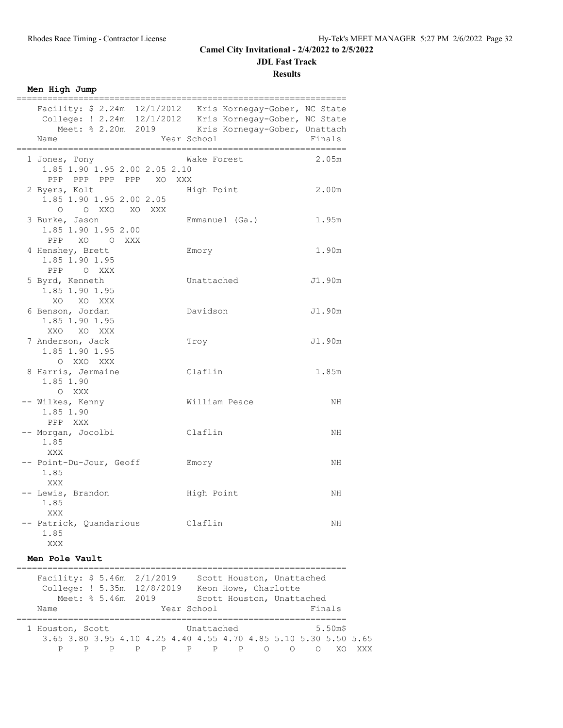**JDL Fast Track**

**Results**

**Men High Jump**

| =====================                                                                                                                                                                             | ============   |        |
|---------------------------------------------------------------------------------------------------------------------------------------------------------------------------------------------------|----------------|--------|
| Facility: \$ 2.24m 12/1/2012 Kris Kornegay-Gober, NC State<br>College: ! 2.24m 12/1/2012 Kris Kornegay-Gober, NC State<br>Meet: % 2.20m 2019 Kris Kornegay-Gober, Unattach<br>Year School<br>Name |                | Finals |
| 1 Jones, Tony<br>1.85 1.90 1.95 2.00 2.05 2.10<br>PPP PPP PPP PPP XO XXX                                                                                                                          | Wake Forest    | 2.05m  |
| 2 Byers, Kolt<br>1.85 1.90 1.95 2.00 2.05<br>O O XXO XO XXX                                                                                                                                       | High Point     | 2.00m  |
| 3 Burke, Jason<br>1.85 1.90 1.95 2.00<br>PPP XO OXXX                                                                                                                                              | Emmanuel (Ga.) | 1.95m  |
| 4 Henshey, Brett<br>1.85 1.90 1.95<br>PPP O XXX                                                                                                                                                   | Emory          | 1.90m  |
| 5 Byrd, Kenneth<br>1.85 1.90 1.95<br>XO XO XXX                                                                                                                                                    | Unattached     | J1.90m |
| 6 Benson, Jordan<br>1.85 1.90 1.95<br>XXO XO XXX                                                                                                                                                  | Davidson       | J1.90m |
| 7 Anderson, Jack<br>1.85 1.90 1.95<br>O XXO XXX                                                                                                                                                   | Troy           | J1.90m |
| 8 Harris, Jermaine<br>1.85 1.90<br>O XXX                                                                                                                                                          | Claflin        | 1.85m  |
| -- Wilkes, Kenny<br>1.85 1.90<br>PPP XXX                                                                                                                                                          | William Peace  | NH.    |
| -- Morgan, Jocolbi<br>1.85<br>XXX                                                                                                                                                                 | Claflin        | NH.    |
| -- Point-Du-Jour, Geoff<br>1.85<br>XXX                                                                                                                                                            | Emory          | NH     |
| -- Lewis, Brandon<br>1.85<br>XXX                                                                                                                                                                  | High Point     | NH     |
| -- Patrick, Quandarious<br>1.85<br>XXX                                                                                                                                                            | Claflin        | NH.    |

#### **Men Pole Vault**

|                                              | Facility: $$5.46m$ 2/1/2019<br>College: ! 5.35m 12/8/2019        |  |  |                    |              |                |     | Scott Houston, Unattached<br>Keon Howe, Charlotte |        |   |   |        |  |
|----------------------------------------------|------------------------------------------------------------------|--|--|--------------------|--------------|----------------|-----|---------------------------------------------------|--------|---|---|--------|--|
|                                              |                                                                  |  |  | Meet: % 5.46m 2019 |              |                |     | Scott Houston, Unattached                         |        |   |   |        |  |
|                                              | Name                                                             |  |  |                    |              | Year School    |     |                                                   |        |   |   | Finals |  |
| $5.50m$ \$<br>Unattached<br>1 Houston, Scott |                                                                  |  |  |                    |              |                |     |                                                   |        |   |   |        |  |
|                                              | 3.65 3.80 3.95 4.10 4.25 4.40 4.55 4.70 4.85 5.10 5.30 5.50 5.65 |  |  |                    |              |                |     |                                                   |        |   |   |        |  |
|                                              | P                                                                |  |  | P                  | $\mathsf{P}$ | $\overline{P}$ | P P |                                                   | $\cap$ | ∩ | ∩ |        |  |
|                                              |                                                                  |  |  |                    |              |                |     |                                                   |        |   |   |        |  |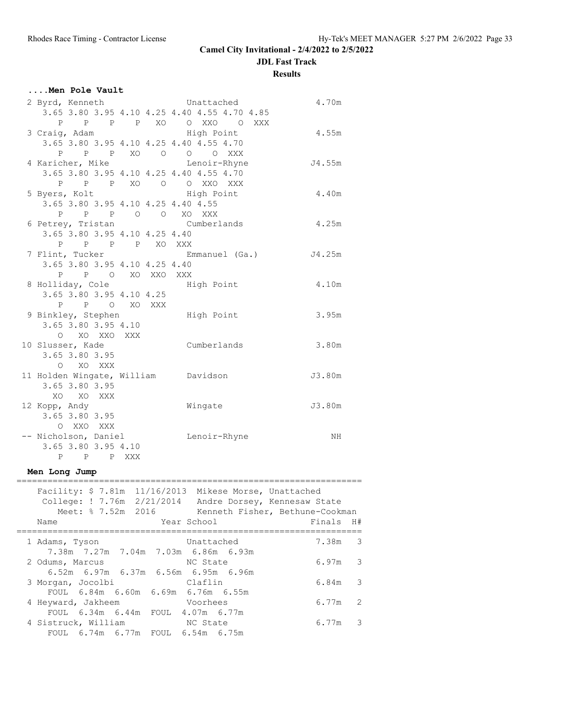**JDL Fast Track**

**Results**

## **....Men Pole Vault**

| 2 Byrd, Kenneth Chattached          |                                              | 4.70m  |
|-------------------------------------|----------------------------------------------|--------|
|                                     | 3.65 3.80 3.95 4.10 4.25 4.40 4.55 4.70 4.85 |        |
|                                     | P P P P XO O XXO O XXX                       |        |
| 3 Craig, Adam                       | High Point                                   | 4.55m  |
|                                     | 3.65 3.80 3.95 4.10 4.25 4.40 4.55 4.70      |        |
|                                     | P P P XO O O O XXX                           |        |
|                                     | 4 Karicher, Mike Lenoir-Rhyne                | J4.55m |
|                                     | 3.65 3.80 3.95 4.10 4.25 4.40 4.55 4.70      |        |
|                                     | P P P XO O O XXO XXX                         |        |
| 5 Byers, Kolt                       | High Point                                   | 4.40m  |
| 3.65 3.80 3.95 4.10 4.25 4.40 4.55  |                                              |        |
| P P P O O XO XXX                    |                                              |        |
|                                     | 6 Petrey, Tristan Cumberlands                | 4.25m  |
| 3.65 3.80 3.95 4.10 4.25 4.40       |                                              |        |
| P P P P XO XXX                      |                                              |        |
|                                     | 7 Flint, Tucker Commanuel (Ga.)              | J4.25m |
| 3.65 3.80 3.95 4.10 4.25 4.40       |                                              |        |
| P P O XO XXO XXX                    |                                              |        |
| 8 Holliday, Cole Migh Point         |                                              | 4.10m  |
| 3.65 3.80 3.95 4.10 4.25            |                                              |        |
| P P O XO XXX                        |                                              |        |
| 9 Binkley, Stephen High Point       |                                              | 3.95m  |
| 3.65 3.80 3.95 4.10                 |                                              |        |
| O XO XXO XXX                        |                                              |        |
| 10 Slusser, Kade                    | Cumberlands                                  | 3.80m  |
| 3.65 3.80 3.95                      |                                              |        |
| O XO XXX                            |                                              |        |
| 11 Holden Wingate, William Davidson |                                              | J3.80m |
| 3.65 3.80 3.95                      |                                              |        |
| XO XO XXX                           |                                              |        |
| 12 Kopp, Andy                       | Wingate                                      | J3.80m |
| 3.65 3.80 3.95                      |                                              |        |
| O XXO XXX                           |                                              |        |
| -- Nicholson, Daniel                | Lenoir-Rhyne                                 | NH     |
| 3.65 3.80 3.95 4.10                 |                                              |        |
| P P P XXX                           |                                              |        |

#### **Men Long Jump**

| Facility: $$7.81m 11/16/2013$<br>College: ! 7.76m 2/21/2014 Andre Dorsey, Kennesaw State<br>Meet: % 7.52m 2016<br>Name | Mikese Morse, Unattached<br>Kenneth Fisher, Bethune-Cookman<br>Year School | Finals H# |
|------------------------------------------------------------------------------------------------------------------------|----------------------------------------------------------------------------|-----------|
|                                                                                                                        |                                                                            |           |
| 1 Adams, Tyson                                                                                                         | Unattached                                                                 | 7.38m 3   |
| 7.38m 7.27m 7.04m 7.03m 6.86m 6.93m                                                                                    |                                                                            |           |
| 2 Odums, Marcus                                                                                                        | NC State                                                                   | $6.97m$ 3 |
| 6.52m 6.97m 6.37m 6.56m 6.95m 6.96m                                                                                    |                                                                            |           |
| 3 Morgan, Jocolbi                                                                                                      | Claflin                                                                    | $6.84m$ 3 |
| FOUL 6.84m 6.60m 6.69m 6.76m 6.55m                                                                                     |                                                                            |           |
| 4 Heyward, Jakheem                                                                                                     | Voorhees                                                                   | $6.77m$ 2 |
| FOUL 6.34m 6.44m FOUL 4.07m 6.77m                                                                                      |                                                                            |           |
| 4 Sistruck, William                                                                                                    | NC State                                                                   | 6.77m 3   |
| FOUL 6.74m 6.77m FOUL 6.54m 6.75m                                                                                      |                                                                            |           |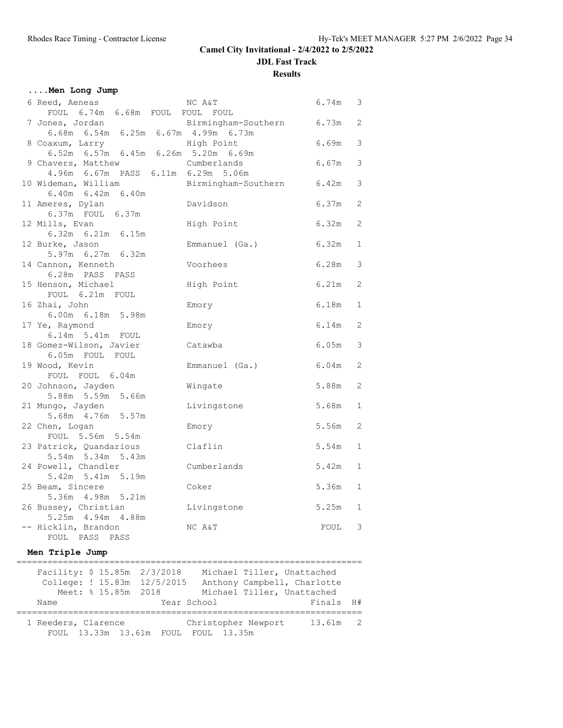**Results**

## **....Men Long Jump**

| 6 Reed, Aeneas                          | NC A&T              | 6.74m | 3            |
|-----------------------------------------|---------------------|-------|--------------|
| FOUL 6.74m 6.68m FOUL FOUL FOUL         |                     |       |              |
| 7 Jones, Jordan                         | Birmingham-Southern | 6.73m | 2            |
| 6.68m 6.54m 6.25m 6.67m 4.99m 6.73m     |                     |       |              |
| 8 Coaxum, Larry                         | High Point          | 6.69m | 3            |
| 6.52m 6.57m 6.45m 6.26m 5.20m 6.69m     |                     |       |              |
| 9 Chavers, Matthew                      | Cumberlands         | 6.67m | 3            |
| 4.96m 6.67m PASS 6.11m 6.29m 5.06m      |                     |       |              |
| 10 Wideman, William                     | Birmingham-Southern | 6.42m | 3            |
| 6.40m 6.42m 6.40m                       |                     |       |              |
| 11 Ameres, Dylan                        | Davidson            | 6.37m | 2            |
| 6.37m FOUL 6.37m<br>12 Mills, Evan      | High Point          | 6.32m | 2            |
| 6.32m 6.21m 6.15m                       |                     |       |              |
| 12 Burke, Jason                         | Emmanuel (Ga.)      | 6.32m | $\mathbf{1}$ |
| 5.97m 6.27m 6.32m                       |                     |       |              |
| 14 Cannon, Kenneth                      | Voorhees            | 6.28m | 3            |
| 6.28m PASS PASS                         |                     |       |              |
| 15 Henson, Michael                      | High Point          | 6.21m | 2            |
| FOUL 6.21m FOUL                         |                     |       |              |
| 16 Zhai, John                           | Emory               | 6.18m | $\mathbf{1}$ |
| 6.00m 6.18m 5.98m                       |                     |       |              |
| 17 Ye, Raymond                          | Emory               | 6.14m | 2            |
| 6.14m 5.41m FOUL                        |                     |       |              |
| 18 Gomez-Wilson, Javier                 | Catawba             | 6.05m | 3            |
| 6.05m FOUL FOUL                         |                     |       |              |
| 19 Wood, Kevin                          | Emmanuel (Ga.)      | 6.04m | 2            |
| FOUL FOUL 6.04m                         |                     | 5.88m | 2            |
| 20 Johnson, Jayden<br>5.88m 5.59m 5.66m | Wingate             |       |              |
| 21 Mungo, Jayden                        | Livingstone         | 5.68m | $\mathbf{1}$ |
| 5.68m  4.76m  5.57m                     |                     |       |              |
| 22 Chen, Logan                          | Emory               | 5.56m | 2            |
| FOUL 5.56m 5.54m                        |                     |       |              |
| 23 Patrick, Quandarious                 | Claflin             | 5.54m | $\mathbf{1}$ |
| 5.54m 5.34m 5.43m                       |                     |       |              |
| 24 Powell, Chandler                     | Cumberlands         | 5.42m | $\mathbf{1}$ |
| 5.42m 5.41m 5.19m                       |                     |       |              |
| 25 Beam, Sincere                        | Coker               | 5.36m | $\mathbf{1}$ |
| 5.36m  4.98m  5.21m                     |                     |       |              |
| 26 Bussey, Christian                    | Livingstone         | 5.25m | $\mathbf{1}$ |
| 5.25m 4.94m 4.88m                       |                     |       |              |
| -- Hicklin, Brandon                     | NC A&T              | FOUL  | 3            |
| FOUL PASS PASS                          |                     |       |              |

#### **Men Triple Jump**

|                     |                     | Facility: \$ 15.85m 2/3/2018 |                                     | Michael Tiller, Unattached  |  |
|---------------------|---------------------|------------------------------|-------------------------------------|-----------------------------|--|
|                     |                     | College: ! 15.83m 12/5/2015  |                                     | Anthony Campbell, Charlotte |  |
|                     | Meet: % 15.85m 2018 |                              |                                     | Michael Tiller, Unattached  |  |
| Name                |                     |                              | Year School                         | Finals H#                   |  |
|                     |                     |                              |                                     |                             |  |
| 1 Reeders, Clarence |                     |                              | Christopher Newport                 | 13.61m 2                    |  |
|                     |                     |                              | FOUL 13.33m 13.61m FOUL FOUL 13.35m |                             |  |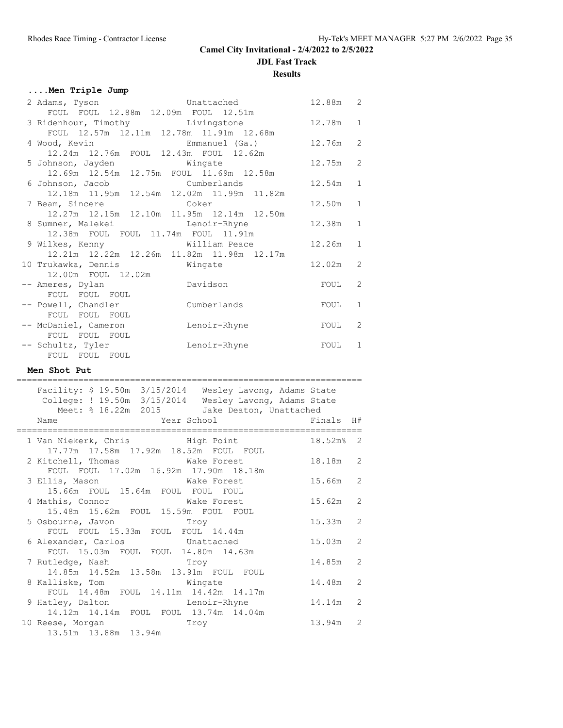**JDL Fast Track**

**Results**

## **....Men Triple Jump**

| 2 Adams, Tyson Unattached                      |              | 12.88m   | $\mathbf{2}$   |
|------------------------------------------------|--------------|----------|----------------|
| FOUL FOUL 12.88m 12.09m FOUL 12.51m            |              |          |                |
| 3 Ridenhour, Timothy Livingstone               |              | 12.78m 1 |                |
| FOUL 12.57m 12.11m 12.78m 11.91m 12.68m        |              |          |                |
|                                                |              | 12.76m   | 2              |
| 12.24m  12.76m  FOUL  12.43m  FOUL  12.62m     |              |          |                |
| 5 Johnson, Jayden Mingate                      |              | 12.75m   | $\overline{c}$ |
| 12.69m  12.54m  12.75m  FOUL  11.69m  12.58m   |              |          |                |
| 6 Johnson, Jacob             Cumberlands       |              | 12.54m   | $\mathbf{1}$   |
| 12.18m  11.95m  12.54m  12.02m  11.99m  11.82m |              |          |                |
| 7 Beam, Sincere Coker                          |              | 12.50m   | $1\,$          |
| 12.27m  12.15m  12.10m  11.95m  12.14m  12.50m |              |          |                |
| 8 Sumner, Malekei kan Lenoir-Rhyne             |              | 12.38m   | $\mathbf{1}$   |
| 12.38m FOUL FOUL 11.74m FOUL 11.91m            |              |          |                |
| 9 Wilkes, Kenny Milliam Peace                  |              | 12.26m   | $\mathbf{1}$   |
| 12.21m  12.22m  12.26m  11.82m  11.98m  12.17m |              |          |                |
|                                                |              | 12.02m   | 2              |
| 12.00m FOUL 12.02m                             |              |          |                |
| -- Ameres, Dylan                               | Davidson     | FOUL     | 2              |
| FOUL FOUL FOUL                                 |              |          |                |
| -- Powell, Chandler                            | Cumberlands  | FOUL     | $\mathbf{1}$   |
| FOUL FOUL FOUL                                 |              |          |                |
| -- McDaniel, Cameron                           | Lenoir-Rhyne | FOUL     | 2              |
| FOUL FOUL FOUL                                 |              |          |                |
| -- Schultz, Tyler                              | Lenoir-Rhyne | FOUL     | 1              |
| FOUL FOUL FOUL                                 |              |          |                |

#### **Men Shot Put**

=================================================================== Facility: \$ 19.50m 3/15/2014 Wesley Lavong, Adams State

| College: ! 19.50m 3/15/2014 Wesley Lavong, Adams State<br>Meet: % 18.22m 2015 Jake Deaton, Unattached |            |  |
|-------------------------------------------------------------------------------------------------------|------------|--|
| Year School <a> Finals H#<br/>Name</a>                                                                |            |  |
| 1 Van Niekerk, Chris Migh Point 18.52m% 2<br>17.77m  17.58m  17.92m  18.52m  FOUL  FOUL               |            |  |
| FOUL FOUL 17.02m 16.92m 17.90m 18.18m                                                                 |            |  |
| 3 Ellis, Mason Make Forest 15.66m 2<br>15.66m FOUL 15.64m FOUL FOUL FOUL                              |            |  |
| 4 Mathis, Connor Wake Forest<br>15.48m  15.62m  FOUL  15.59m  FOUL  FOUL                              | $15.62m$ 2 |  |
| 5 Osbourne, Javon Troy<br>FOUL FOUL 15.33m FOUL FOUL 14.44m                                           | $15.33m$ 2 |  |
| 6 Alexander, Carlos Contracted<br>FOUL 15.03m FOUL FOUL 14.80m 14.63m                                 | $15.03m$ 2 |  |
| 7 Rutledge, Nash Troy<br>14.85m  14.52m  13.58m  13.91m  FOUL  FOUL                                   | 14.85m 2   |  |
| 8 Kalliske, Tom Wingate<br>FOUL 14.48m FOUL 14.11m 14.42m 14.17m                                      | 14.48m 2   |  |
| 9 Hatley, Dalton Channel Lenoir-Rhyne<br>14.12m 14.14m FOUL FOUL 13.74m 14.04m                        | 14.14m 2   |  |
| 10 Reese, Morgan Troy<br>13.51m  13.88m  13.94m                                                       | 13.94m 2   |  |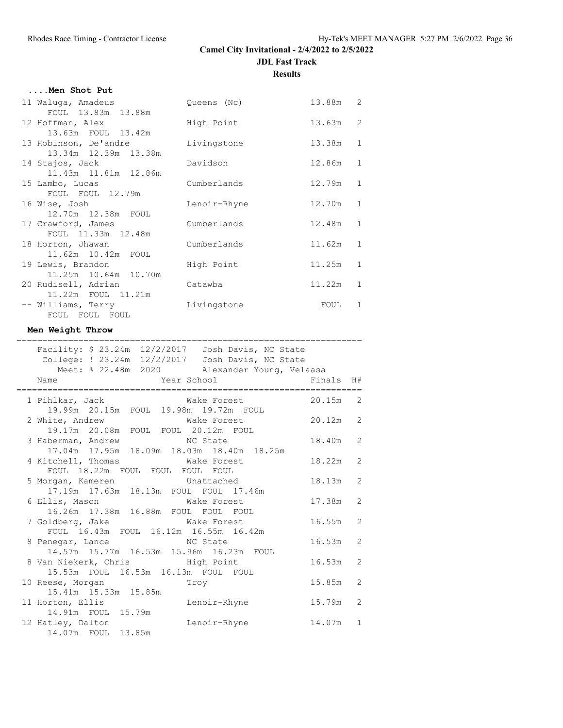**....Men Shot Put**

| 11 Waluga, Amadeus    | Queens (Nc)  | 13.88m 2   |                |
|-----------------------|--------------|------------|----------------|
| FOUL 13.83m 13.88m    |              |            |                |
| 12 Hoffman, Alex      | High Point   | $13.63m$ 2 |                |
| 13.63m FOUL 13.42m    |              |            |                |
| 13 Robinson, De'andre | Livingstone  | 13.38m     | $\overline{1}$ |
| 13.34m 12.39m 13.38m  |              |            |                |
| 14 Stajos, Jack       | Davidson     | 12.86m     | 1              |
| 11.43m 11.81m 12.86m  |              |            |                |
| 15 Lambo, Lucas       | Cumberlands  | 12.79m     | $\overline{1}$ |
| FOUL FOUL 12.79m      |              |            |                |
| 16 Wise, Josh         | Lenoir-Rhyne | 12.70m     | $\mathbf{1}$   |
| 12.70m 12.38m FOUL    |              |            |                |
| 17 Crawford, James    | Cumberlands  | 12.48m 1   |                |
| FOUL 11.33m 12.48m    |              |            |                |
| 18 Horton, Jhawan     | Cumberlands  | 11.62m     | $\mathbf{1}$   |
| 11.62m  10.42m  FOUL  |              |            |                |
| 19 Lewis, Brandon     | High Point   | 11.25m     | $\mathbf{1}$   |
| 11.25m 10.64m 10.70m  |              |            |                |
| 20 Rudisell, Adrian   | Catawba      | 11.22m     | $\mathbf{1}$   |
| 11.22m FOUL 11.21m    |              |            |                |
| -- Williams, Terry    | Livingstone  | FOUL       | $\mathbf{1}$   |
| FOUL FOUL FOUL        |              |            |                |

#### **Men Weight Throw**

| ______________________________<br>______________________________<br>Facility: \$ 23.24m 12/2/2017    Josh Davis, NC State<br>College: ! 23.24m 12/2/2017 Josh Davis, NC State |            |  |
|-------------------------------------------------------------------------------------------------------------------------------------------------------------------------------|------------|--|
| Meet: % 22.48m 2020 Alexander Young, Velaasa                                                                                                                                  |            |  |
| Name                                                                                                                                                                          |            |  |
| 1 Pihlkar, Jack Make Forest 20.15m 2                                                                                                                                          |            |  |
| 19.99m  20.15m  FOUL  19.98m  19.72m  FOUL<br>2 White, Andrew Make Forest 20.12m 2                                                                                            |            |  |
| 19.17m  20.08m  FOUL  FOUL  20.12m  FOUL<br>3 Haberman, Andrew MC State                                                                                                       | 18.40m 2   |  |
| 17.04m  17.95m  18.09m  18.03m  18.40m  18.25m<br>4 Kitchell, Thomas Make Forest                                                                                              | 18.22m 2   |  |
| FOUL 18.22m FOUL FOUL FOUL FOUL<br>5 Morgan, Kameren Mattached                                                                                                                | 18.13m 2   |  |
| 17.19m  17.63m  18.13m  FOUL  FOUL  17.46m<br>6 Ellis, Mason<br>Wake Forest                                                                                                   | 17.38m 2   |  |
| 16.26m  17.38m  16.88m  FOUL  FOUL  FOUL<br>7 Goldberg, Jake Nake Forest                                                                                                      | $16.55m$ 2 |  |
| FOUL 16.43m FOUL 16.12m 16.55m 16.42m<br>8 Penegar, Lance NC State                                                                                                            | $16.53m$ 2 |  |
| 14.57m 15.77m 16.53m 15.96m 16.23m FOUL<br>8 Van Niekerk, Chris and High Point                                                                                                | $16.53m$ 2 |  |
| 15.53m FOUL 16.53m 16.13m FOUL FOUL<br>10 Reese, Morgan<br>Troy                                                                                                               | 15.85m 2   |  |
| 15.41m  15.33m  15.85m<br>Lenoir-Rhyne<br>15.79m 2<br>11 Horton, Ellis                                                                                                        |            |  |
| 14.91m FOUL 15.79m<br>12 Hatley, Dalton<br>14.07m 1<br>Lenoir-Rhyne<br>14.07m FOUL 13.85m                                                                                     |            |  |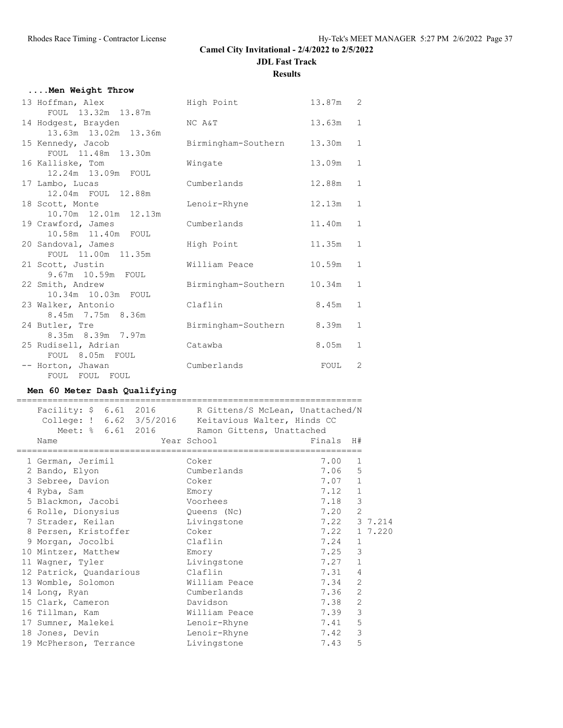## **....Men Weight Throw**

| 13 Hoffman, Alex                           | High Point          | 13.87m | 2            |
|--------------------------------------------|---------------------|--------|--------------|
| FOUL 13.32m 13.87m                         |                     |        |              |
| 14 Hodgest, Brayden                        | NC A&T              | 13.63m | $\mathbf{1}$ |
| 13.63m 13.02m 13.36m                       |                     |        |              |
| 15 Kennedy, Jacob                          | Birmingham-Southern | 13.30m | $\mathbf{1}$ |
| FOUL 11.48m 13.30m                         |                     |        |              |
| 16 Kalliske, Tom                           | Wingate             | 13.09m | $\mathbf{1}$ |
| 12.24m 13.09m FOUL                         |                     |        |              |
| 17 Lambo, Lucas                            | Cumberlands         | 12.88m | $\mathbf{1}$ |
| 12.04m FOUL 12.88m                         |                     |        |              |
| 18 Scott, Monte                            | Lenoir-Rhyne        | 12.13m | $\mathbf{1}$ |
| 10.70m 12.01m 12.13m                       |                     |        | $\mathbf{1}$ |
| 19 Crawford, James<br>10.58m  11.40m  FOUL | Cumberlands         | 11.40m |              |
|                                            |                     | 11.35m | $\mathbf{1}$ |
| 20 Sandoval, James<br>FOUL 11.00m 11.35m   | High Point          |        |              |
| 21 Scott, Justin                           | William Peace       | 10.59m | $\mathbf{1}$ |
| 9.67m 10.59m FOUL                          |                     |        |              |
| 22 Smith, Andrew                           | Birmingham-Southern | 10.34m | $\mathbf{1}$ |
| 10.34m 10.03m FOUL                         |                     |        |              |
| 23 Walker, Antonio                         | Claflin             | 8.45m  | $\mathbf{1}$ |
| 8.45m 7.75m 8.36m                          |                     |        |              |
| 24 Butler, Tre                             | Birmingham-Southern | 8.39m  | $\mathbf{1}$ |
| 8.35m 8.39m 7.97m                          |                     |        |              |
| 25 Rudisell, Adrian                        | Catawba             | 8.05m  | $\mathbf{1}$ |
| FOUL 8.05m FOUL                            |                     |        |              |
| -- Horton, Jhawan                          | Cumberlands         | FOUL   | 2            |
| FOUL FOUL FOUL                             |                     |        |              |
|                                            |                     |        |              |

## **Men 60 Meter Dash Qualifying**

| Facility: \$ 6.61 2016 R Gittens/S McLean, Unattached/N<br>College: ! 6.62 3/5/2016 Keitavious Walter, Hinds CC<br>Meet: % 6.61 2016 Ramon Gittens, Unattached<br>Name | Year School and the Material School<br>============================== | Finals H#    |                |         |
|------------------------------------------------------------------------------------------------------------------------------------------------------------------------|-----------------------------------------------------------------------|--------------|----------------|---------|
| 1 German, Jerimil                                                                                                                                                      | Coker                                                                 | 7.00         | 1              |         |
| 2 Bando, Elyon                                                                                                                                                         | Cumberlands                                                           | 7.06         | 5              |         |
| 3 Sebree, Davion                                                                                                                                                       | Coker                                                                 | 7.07         | $\mathbf{1}$   |         |
| 4 Ryba, Sam                                                                                                                                                            | Emory                                                                 | 7.12         | $\mathbf 1$    |         |
| 5 Blackmon, Jacobi                                                                                                                                                     | Voorhees                                                              | 7.18         | 3              |         |
| 6 Rolle, Dionysius                                                                                                                                                     | Queens (Nc)                                                           | 7.20         | $\overline{c}$ |         |
| 7 Strader, Keilan                                                                                                                                                      | Livingstone                                                           | 7.22 3 7.214 |                |         |
| 8 Persen, Kristoffer                                                                                                                                                   | Coker                                                                 | 7.22         |                | 1 7.220 |
| 9 Morgan, Jocolbi                                                                                                                                                      | Claflin                                                               | 7.24         | $\mathbf{1}$   |         |
| 10 Mintzer, Matthew                                                                                                                                                    | Emory                                                                 | 7.25         | 3              |         |
| 11 Wagner, Tyler                                                                                                                                                       | Livingstone                                                           | 7.27         | $\mathbf{1}$   |         |
| 12 Patrick, Quandarious                                                                                                                                                | Claflin                                                               | 7.31         | $\overline{4}$ |         |
| 13 Womble, Solomon                                                                                                                                                     | William Peace                                                         | 7.34         | $\overline{2}$ |         |
| 14 Long, Ryan                                                                                                                                                          | Cumberlands                                                           | 7.36         | $\mathbf{2}$   |         |
| 15 Clark, Cameron                                                                                                                                                      | Davidson                                                              | 7.38         | 2              |         |
| 16 Tillman, Kam                                                                                                                                                        | William Peace                                                         | 7.39         | 3              |         |
| 17 Sumner, Malekei                                                                                                                                                     | Lenoir-Rhyne                                                          | 7.41         | 5              |         |
| 18 Jones, Devin                                                                                                                                                        | Lenoir-Rhyne                                                          | 7.42         | 3              |         |
| 19 McPherson, Terrance                                                                                                                                                 | Livingstone                                                           | 7.43         | 5              |         |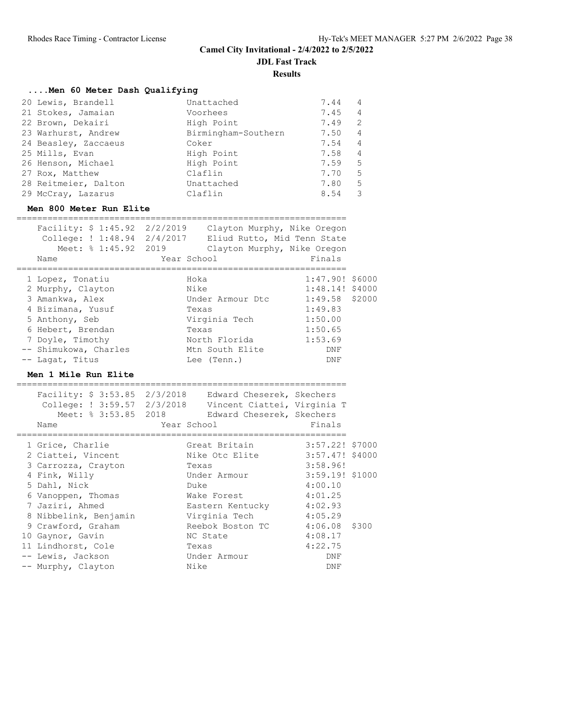**JDL Fast Track**

**Results**

## **....Men 60 Meter Dash Qualifying**

| 20 Lewis, Brandell   | Unattached          | 7.44 | $\overline{4}$ |
|----------------------|---------------------|------|----------------|
| 21 Stokes, Jamaian   | Voorhees            | 7.45 | $\overline{4}$ |
| 22 Brown, Dekairi    | High Point          | 7.49 | -2             |
| 23 Warhurst, Andrew  | Birmingham-Southern | 7.50 | $\overline{4}$ |
| 24 Beasley, Zaccaeus | Coker               | 7.54 | $\overline{4}$ |
| 25 Mills, Evan       | High Point          | 7.58 | $\overline{4}$ |
| 26 Henson, Michael   | High Point          | 7.59 | -5             |
| 27 Rox, Matthew      | Claflin             | 7.70 | 5              |
| 28 Reitmeier, Dalton | Unattached          | 7.80 | 5              |
| 29 McCray, Lazarus   | Claflin             | 8.54 | -3             |

#### **Men 800 Meter Run Elite**

| Facility: \$ 1:45.92 2/2/2019 |             | Clayton Murphy, Nike Oregon |                   |  |
|-------------------------------|-------------|-----------------------------|-------------------|--|
| College: ! 1:48.94 2/4/2017   |             | Eliud Rutto, Mid Tenn State |                   |  |
| Meet: % 1:45.92 2019          |             | Clayton Murphy, Nike Oregon |                   |  |
| Name                          | Year School |                             | Finals            |  |
|                               |             |                             |                   |  |
| 1 Lopez, Tonatiu              | Hoka        |                             | $1:47.90!$ \$6000 |  |
| 2 Murphy, Clayton             | Nike        |                             | $1:48.14!$ \$4000 |  |
| 3 Amankwa, Alex               |             | Under Armour Dtc            | $1:49.58$ \$2000  |  |
| 4 Bizimana, Yusuf             | Texas       |                             | 1:49.83           |  |
| 5 Anthony, Seb                |             | Virginia Tech               | 1:50.00           |  |
| 6 Hebert, Brendan             | Texas       |                             | 1:50.65           |  |
| 7 Doyle, Timothy              |             | North Florida               | 1:53.69           |  |
| -- Shimukowa, Charles         |             | Mtn South Elite             | DNF               |  |
| -- Lagat, Titus               |             | Lee (Tenn.)                 | DNF               |  |

#### **Men 1 Mile Run Elite**

| Facility: \$ 3:53.85 2/3/2018 Edward Cheserek, Skechers<br>College: ! 3:59.57 2/3/2018 Vincent Ciattei, Virginia T<br>Meet: % 3:53.85 2018<br>Name | Year School | Edward Cheserek, Skechers | Finals          |       |
|----------------------------------------------------------------------------------------------------------------------------------------------------|-------------|---------------------------|-----------------|-------|
| 1 Grice, Charlie                                                                                                                                   |             | Great Britain             | 3:57.22! \$7000 |       |
| 2 Ciattei, Vincent                                                                                                                                 |             | Nike Otc Elite            | 3:57.47! \$4000 |       |
| 3 Carrozza, Crayton                                                                                                                                |             | Texas                     | 3:58.96!        |       |
| 4 Fink, Willy                                                                                                                                      |             | Under Armour              | 3:59.19! \$1000 |       |
| 5 Dahl, Nick                                                                                                                                       |             | Duke                      | 4:00.10         |       |
| 6 Vanoppen, Thomas                                                                                                                                 |             | Wake Forest               | 4:01.25         |       |
| 7 Jaziri, Ahmed                                                                                                                                    |             | Eastern Kentucky          | 4:02.93         |       |
| 8 Nibbelink, Benjamin                                                                                                                              |             | Virginia Tech             | 4:05.29         |       |
| 9 Crawford, Graham                                                                                                                                 |             | Reebok Boston TC          | 4:06.08         | \$300 |
| 10 Gaynor, Gavin                                                                                                                                   |             | NC State                  | 4:08.17         |       |
| 11 Lindhorst, Cole                                                                                                                                 |             | Texas                     | 4:22.75         |       |
| -- Lewis, Jackson                                                                                                                                  |             | Under Armour              | DNF             |       |
| -- Murphy, Clayton                                                                                                                                 |             | Nike                      | DNF             |       |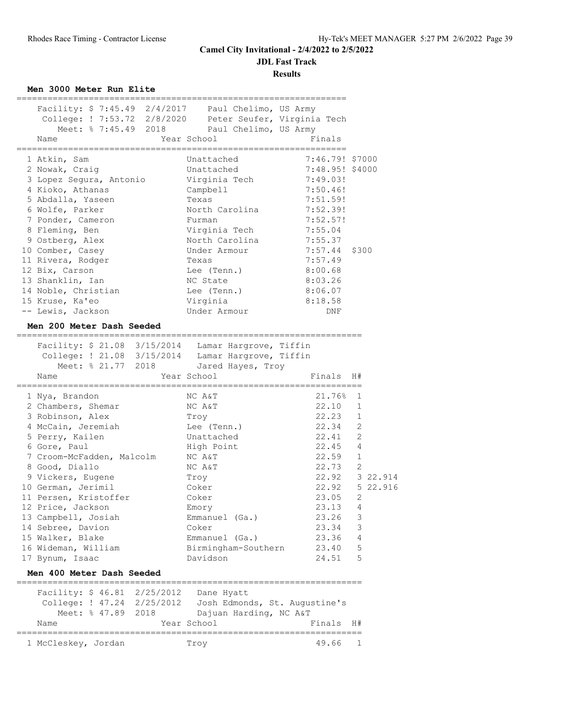**JDL Fast Track**

**Results**

**Men 3000 Meter Run Elite**

| Facility: \$ 7:45.49 2/4/2017 Paul Chelimo, US Army       |                                            |                                  |                |                |
|-----------------------------------------------------------|--------------------------------------------|----------------------------------|----------------|----------------|
| College: ! 7:53.72 2/8/2020 Peter Seufer, Virginia Tech   |                                            |                                  |                |                |
|                                                           | Meet: % 7:45.49 2018 Paul Chelimo, US Army |                                  |                |                |
| Name                                                      | Year School                                | Finals                           |                |                |
|                                                           |                                            |                                  |                |                |
| 1 Atkin, Sam                                              | Unattached                                 | 7:46.79! \$7000                  |                |                |
| 2 Nowak, Craig                                            | Unattached                                 | 7:48.95! \$4000                  |                |                |
| 3 Lopez Segura, Antonio                                   | Virginia Tech                              | 7:49.03!                         |                |                |
| 4 Kioko, Athanas                                          | Campbell                                   | 7:50.46!                         |                |                |
| 5 Abdalla, Yaseen                                         | Texas                                      | 7:51.59!                         |                |                |
| 6 Wolfe, Parker                                           | North Carolina                             | 7:52.39!                         |                |                |
| 7 Ponder, Cameron                                         | Furman                                     | 7:52.57!                         |                |                |
| 8 Fleming, Ben                                            | Virginia Tech                              | 7:55.04                          |                |                |
| 9 Ostberg, Alex                                           | North Carolina                             | 7:55.37                          |                |                |
| 10 Comber, Casey                                          | Under Armour                               | 7:57.44                          | \$300          |                |
| 11 Rivera, Rodger                                         | Texas                                      | 7:57.49                          |                |                |
| 12 Bix, Carson                                            | Lee (Tenn.)                                | 8:00.68                          |                |                |
| 13 Shanklin, Ian                                          | NC State                                   | 8:03.26                          |                |                |
| 14 Noble, Christian                                       | Lee (Tenn.)                                | 8:06.07                          |                |                |
| 15 Kruse, Ka'eo                                           | Virginia                                   | 8:18.58                          |                |                |
| -- Lewis, Jackson                                         | Under Armour                               | DNF                              |                |                |
| Men 200 Meter Dash Seeded                                 |                                            |                                  |                |                |
| .____________________________                             |                                            |                                  |                |                |
| Facility: \$ 21.08 3/15/2014 Lamar Hargrove, Tiffin       |                                            |                                  |                |                |
| College: ! 21.08 3/15/2014 Lamar Hargrove, Tiffin         |                                            |                                  |                |                |
| Meet: % 21.77 2018                                        | Jared Hayes, Troy                          |                                  |                |                |
| Name<br>-=====================================            | Year School                                | Finals<br>====================== | H#             |                |
| 1 Nya, Brandon                                            | NC A&T                                     | 21.76%                           | 1              |                |
| 2 Chambers, Shemar                                        | NC A&T                                     | 22.10                            | 1              |                |
| 3 Robinson, Alex                                          | Troy                                       | 22.23                            | 1              |                |
| 4 McCain, Jeremiah                                        | Lee (Tenn.)                                | 22.34                            | 2              |                |
| 5 Perry, Kailen                                           | Unattached                                 | 22.41                            | 2              |                |
| 6 Gore, Paul                                              | High Point                                 | 22.45 4                          |                |                |
| 7 Croom-McFadden, Malcolm                                 | NC A&T                                     | $22.59$ 1                        |                |                |
| 8 Good, Diallo                                            | NC A&T                                     | 22.73                            | 2              |                |
| 9 Vickers, Eugene                                         | Troy                                       | 22.92 3 22.914                   |                |                |
| 10 German, Jerimil                                        | Coker                                      |                                  |                | 22.92 5 22.916 |
| 11 Persen, Kristoffer                                     | Coker                                      | $23.05$ 2                        |                |                |
| 12 Price, Jackson                                         | Emory                                      | 23.13                            | $\overline{4}$ |                |
| 13 Campbell, Josiah                                       | Emmanuel (Ga.)                             | 23.26                            | 3              |                |
| 14 Sebree, Davion                                         | Coker                                      | 23.34                            | $\mathsf 3$    |                |
| 15 Walker, Blake                                          | Emmanuel (Ga.)                             | 23.36                            | 4              |                |
| 16 Wideman, William                                       | Birmingham-Southern                        | 23.40                            | 5              |                |
| 17 Bynum, Isaac                                           | Davidson                                   | 24.51                            | 5              |                |
|                                                           |                                            |                                  |                |                |
| Men 400 Meter Dash Seeded                                 |                                            |                                  |                |                |
| Facility: \$ 46.81 2/25/2012                              | Dane Hyatt                                 |                                  |                |                |
| College: ! 47.24 2/25/2012  Josh Edmonds, St. Augustine's |                                            |                                  |                |                |
| Meet: % 47.89 2018                                        | Dajuan Harding, NC A&T                     |                                  |                |                |
| Name                                                      | Year School                                | Finals                           | H#             |                |
|                                                           |                                            |                                  |                |                |
| 1 McCleskey, Jordan                                       | Troy                                       | 49.66                            | 1              |                |